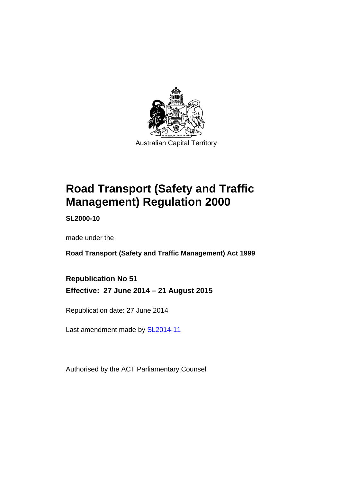

# **Road Transport (Safety and Traffic Management) Regulation 2000**

**SL2000-10** 

made under the

**Road Transport (Safety and Traffic Management) Act 1999** 

**Republication No 51 Effective: 27 June 2014 – 21 August 2015** 

Republication date: 27 June 2014

Last amendment made by [SL2014-11](http://www.legislation.act.gov.au/sl/2014-11)

Authorised by the ACT Parliamentary Counsel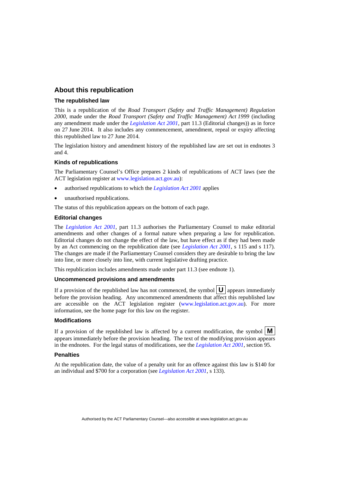#### **About this republication**

#### **The republished law**

This is a republication of the *Road Transport (Safety and Traffic Management) Regulation 2000*, made under the *Road Transport (Safety and Traffic Management) Act 1999* (including any amendment made under the *[Legislation Act 2001](http://www.legislation.act.gov.au/a/2001-14)*, part 11.3 (Editorial changes)) as in force on 27 June 2014*.* It also includes any commencement, amendment, repeal or expiry affecting this republished law to 27 June 2014.

The legislation history and amendment history of the republished law are set out in endnotes 3 and 4.

#### **Kinds of republications**

The Parliamentary Counsel's Office prepares 2 kinds of republications of ACT laws (see the ACT legislation register at [www.legislation.act.gov.au](http://www.legislation.act.gov.au/)):

- authorised republications to which the *[Legislation Act 2001](http://www.legislation.act.gov.au/a/2001-14)* applies
- unauthorised republications.

The status of this republication appears on the bottom of each page.

#### **Editorial changes**

The *[Legislation Act 2001](http://www.legislation.act.gov.au/a/2001-14)*, part 11.3 authorises the Parliamentary Counsel to make editorial amendments and other changes of a formal nature when preparing a law for republication. Editorial changes do not change the effect of the law, but have effect as if they had been made by an Act commencing on the republication date (see *[Legislation Act 2001](http://www.legislation.act.gov.au/a/2001-14)*, s 115 and s 117). The changes are made if the Parliamentary Counsel considers they are desirable to bring the law into line, or more closely into line, with current legislative drafting practice.

This republication includes amendments made under part 11.3 (see endnote 1).

#### **Uncommenced provisions and amendments**

If a provision of the republished law has not commenced, the symbol  $\mathbf{U}$  appears immediately before the provision heading. Any uncommenced amendments that affect this republished law are accessible on the ACT legislation register [\(www.legislation.act.gov.au](http://www.legislation.act.gov.au/)). For more information, see the home page for this law on the register.

#### **Modifications**

If a provision of the republished law is affected by a current modification, the symbol  $\mathbf{M}$ appears immediately before the provision heading. The text of the modifying provision appears in the endnotes. For the legal status of modifications, see the *[Legislation Act 2001](http://www.legislation.act.gov.au/a/2001-14)*, section 95.

#### **Penalties**

At the republication date, the value of a penalty unit for an offence against this law is \$140 for an individual and \$700 for a corporation (see *[Legislation Act 2001](http://www.legislation.act.gov.au/a/2001-14)*, s 133).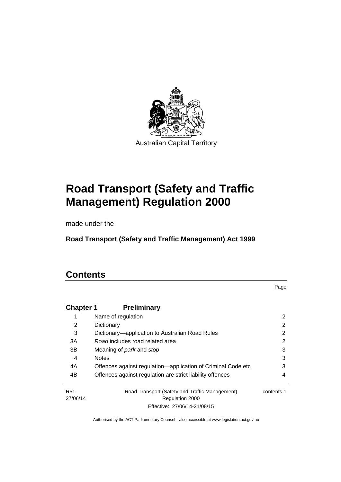

# **Road Transport (Safety and Traffic Management) Regulation 2000**

made under the

**Road Transport (Safety and Traffic Management) Act 1999** 

### **Contents**

Page

| <b>Chapter 1</b>       | <b>Preliminary</b>                                                       |            |
|------------------------|--------------------------------------------------------------------------|------------|
|                        | Name of regulation                                                       | 2          |
| 2                      | Dictionary                                                               | 2          |
| 3                      | Dictionary—application to Australian Road Rules                          | 2          |
| 3A                     | Road includes road related area                                          | 2          |
| 3B                     | Meaning of <i>park</i> and <i>stop</i>                                   | 3          |
| 4                      | <b>Notes</b>                                                             | 3          |
| 4A                     | Offences against regulation-application of Criminal Code etc             | 3          |
| 4B                     | Offences against regulation are strict liability offences                | 4          |
| <b>R51</b><br>27/06/14 | Road Transport (Safety and Traffic Management)<br><b>Regulation 2000</b> | contents 1 |
|                        | Effective: 27/06/14-21/08/15                                             |            |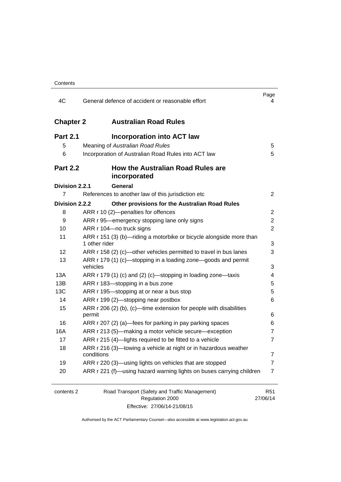| 4C               | General defence of accident or reasonable effort                                     | Page<br>4                   |
|------------------|--------------------------------------------------------------------------------------|-----------------------------|
| <b>Chapter 2</b> | <b>Australian Road Rules</b>                                                         |                             |
| <b>Part 2.1</b>  | <b>Incorporation into ACT law</b>                                                    |                             |
| 5                | Meaning of Australian Road Rules                                                     | 5                           |
| 6                | Incorporation of Australian Road Rules into ACT law                                  | 5                           |
| <b>Part 2.2</b>  | <b>How the Australian Road Rules are</b><br>incorporated                             |                             |
| Division 2.2.1   | General                                                                              |                             |
| 7                | References to another law of this jurisdiction etc                                   | $\overline{2}$              |
| Division 2.2.2   | Other provisions for the Australian Road Rules                                       |                             |
| 8                | ARR r 10 (2)-penalties for offences                                                  | 2                           |
| 9                | ARR r 95—emergency stopping lane only signs                                          | $\overline{2}$              |
| 10               | ARR r 104-no truck signs                                                             | 2                           |
| 11               | ARR r 151 (3) (b)—riding a motorbike or bicycle alongside more than<br>1 other rider | 3                           |
| 12               | ARR r 158 (2) (c)—other vehicles permitted to travel in bus lanes                    | 3                           |
| 13               | ARR r 179 (1) (c)—stopping in a loading zone—goods and permit<br>vehicles            | 3                           |
| 13A              | ARR r 179 (1) (c) and (2) (c)-stopping in loading zone-taxis                         | 4                           |
| 13B              | ARR r 183-stopping in a bus zone                                                     | 5                           |
| 13C              | ARR r 195-stopping at or near a bus stop                                             | 5                           |
| 14               | ARR r 199 (2)-stopping near postbox                                                  | 6                           |
| 15               | ARR r 206 (2) (b), (c)—time extension for people with disabilities                   |                             |
|                  | permit                                                                               | 6                           |
| 16               | ARR r 207 (2) (a)—fees for parking in pay parking spaces                             | 6                           |
| 16A              | ARR r 213 (5)—making a motor vehicle secure—exception                                | 7                           |
| 17               | ARR r 215 (4)-lights required to be fitted to a vehicle                              | 7                           |
| 18               | ARR r 216 (3)-towing a vehicle at night or in hazardous weather<br>conditions        | 7                           |
| 19               | ARR r 220 (3)—using lights on vehicles that are stopped                              | 7                           |
| 20               | ARR r 221 (f)—using hazard warning lights on buses carrying children                 | $\overline{7}$              |
|                  |                                                                                      |                             |
| contents 2       | Road Transport (Safety and Traffic Management)<br>Regulation 2000                    | R <sub>51</sub><br>27/06/14 |

Effective: 27/06/14-21/08/15

27/06/14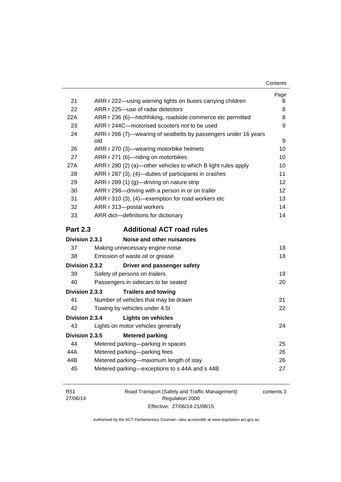| Contents |
|----------|
|----------|

|                 |                                                                        | Page |
|-----------------|------------------------------------------------------------------------|------|
| 21              | ARR r 222-using warning lights on buses carrying children              | 8    |
| 22              | ARR r 225-use of radar detectors                                       | 8    |
| 22A             | ARR r 236 (6)—hitchhiking, roadside commerce etc permitted             | 8    |
| 23              | ARR r 244C-motorised scooters not to be used                           | 9    |
| 24              | ARR r 266 (7)—wearing of seatbelts by passengers under 16 years<br>old | 9    |
| 26              | ARR r 270 (3)—wearing motorbike helmets                                | 10   |
| 27              | ARR r 271 (6)-riding on motorbikes                                     | 10   |
| 27A             | ARR r 280 (2) (a)—other vehicles to which B light rules apply          | 10   |
| 28              | ARR r 287 (3), (4)-duties of participants in crashes                   | 11   |
| 29              | ARR r 289 (1) (g)-driving on nature strip                              | 12   |
| 30              | ARR r 298-driving with a person in or on trailer                       | 12   |
| 31              | ARR r 310 (3), (4)-exemption for road workers etc                      | 13   |
| 32              | ARR r 313-postal workers                                               | 14   |
| 33              | ARR dict-definitions for dictionary                                    | 14   |
| <b>Part 2.3</b> | <b>Additional ACT road rules</b>                                       |      |
| Division 2.3.1  | Noise and other nuisances                                              |      |
| 37              | Making unnecessary engine noise                                        | 18   |
| 38              | Emission of waste oil or grease                                        | 18   |
| Division 2.3.2  | Driver and passenger safety                                            |      |
| 39              | Safety of persons on trailers                                          | 19   |
| 40              | Passengers in sidecars to be seated                                    | 20   |
| Division 2.3.3  | <b>Trailers and towing</b>                                             |      |
| 41              | Number of vehicles that may be drawn                                   | 21   |
| 42              | Towing by vehicles under 4.5t                                          | 22   |
| Division 2.3.4  | <b>Lights on vehicles</b>                                              |      |
| 43              | Lights on motor vehicles generally                                     | 24   |
| Division 2.3.5  | <b>Metered parking</b>                                                 |      |
| 44              | Metered parking-parking in spaces                                      | 25   |
| 44A             | Metered parking-parking fees                                           | 26   |
| 44B             | Metered parking-maximum length of stay                                 | 26   |
| 45              | Metered parking-exceptions to s 44A and s 44B                          | 27   |

| <b>R51</b> | Road Transport (Safety and Traffic Management) | contents 3 |
|------------|------------------------------------------------|------------|
| 27/06/14   | Regulation 2000                                |            |
|            | Effective: 27/06/14-21/08/15                   |            |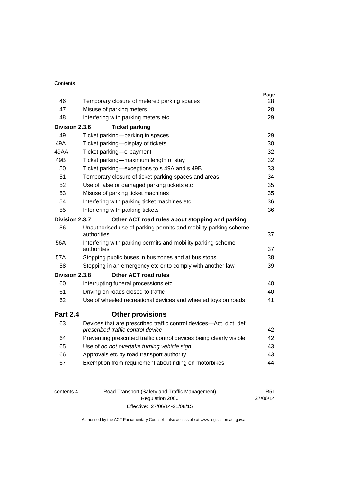|                 |                                                                                                         | Page     |
|-----------------|---------------------------------------------------------------------------------------------------------|----------|
| 46<br>47        | Temporary closure of metered parking spaces                                                             | 28<br>28 |
|                 | Misuse of parking meters                                                                                |          |
| 48              | Interfering with parking meters etc                                                                     | 29       |
| Division 2.3.6  | <b>Ticket parking</b>                                                                                   |          |
| 49              | Ticket parking-parking in spaces                                                                        | 29       |
| 49A             | Ticket parking-display of tickets                                                                       | 30       |
| 49AA            | Ticket parking-e-payment                                                                                | 32       |
| 49B             | Ticket parking-maximum length of stay                                                                   | 32       |
| 50              | Ticket parking-exceptions to s 49A and s 49B                                                            | 33       |
| 51              | Temporary closure of ticket parking spaces and areas                                                    | 34       |
| 52              | Use of false or damaged parking tickets etc                                                             | 35       |
| 53              | Misuse of parking ticket machines                                                                       | 35       |
| 54              | Interfering with parking ticket machines etc                                                            | 36       |
| 55              | Interfering with parking tickets                                                                        | 36       |
| Division 2.3.7  | Other ACT road rules about stopping and parking                                                         |          |
| 56              | Unauthorised use of parking permits and mobility parking scheme                                         |          |
|                 | authorities                                                                                             | 37       |
| 56A             | Interfering with parking permits and mobility parking scheme<br>authorities                             | 37       |
| 57A             | Stopping public buses in bus zones and at bus stops                                                     | 38       |
| 58              | Stopping in an emergency etc or to comply with another law                                              | 39       |
| Division 2.3.8  | <b>Other ACT road rules</b>                                                                             |          |
| 60              | Interrupting funeral processions etc                                                                    | 40       |
| 61              | Driving on roads closed to traffic                                                                      | 40       |
| 62              | Use of wheeled recreational devices and wheeled toys on roads                                           | 41       |
| <b>Part 2.4</b> | <b>Other provisions</b>                                                                                 |          |
| 63              | Devices that are prescribed traffic control devices-Act, dict, def<br>prescribed traffic control device | 42       |
| 64              | Preventing prescribed traffic control devices being clearly visible                                     | 42       |
| 65              | Use of do not overtake turning vehicle sign                                                             | 43       |
| 66              | Approvals etc by road transport authority                                                               | 43       |
| 67              | Exemption from requirement about riding on motorbikes                                                   | 44       |
|                 |                                                                                                         |          |

| contents 4 | Road Transport (Safety and Traffic Management) | R51      |
|------------|------------------------------------------------|----------|
|            | Regulation 2000                                | 27/06/14 |
|            | Effective: 27/06/14-21/08/15                   |          |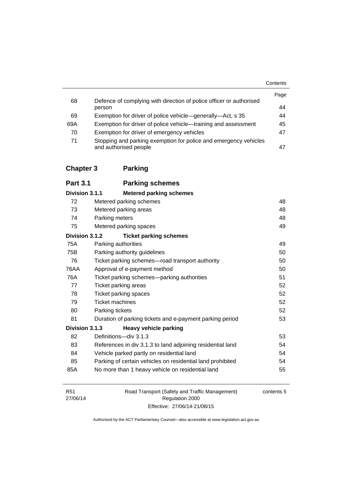|     |                                                                                           | Contents |
|-----|-------------------------------------------------------------------------------------------|----------|
| 68  | Defence of complying with direction of police officer or authorised                       | Page     |
|     | person                                                                                    | 44       |
| 69  | Exemption for driver of police vehicle—generally—Act, s 35                                | 44       |
| 69A | Exemption for driver of police vehicle—training and assessment                            | 45       |
| 70  | Exemption for driver of emergency vehicles                                                | 47       |
| 71  | Stopping and parking exemption for police and emergency vehicles<br>and authorised people | 47       |

## **[Chapter 3](#page-64-0) Parking**

| <b>Part 3.1</b> | <b>Parking schemes</b>  |
|-----------------|-------------------------|
| Division 2.4.4  | Matarad narking cahamac |

| Division 3.1.1 | <b>Metered parking schemes</b>                             |    |
|----------------|------------------------------------------------------------|----|
| 72             | Metered parking schemes                                    | 48 |
| 73             | Metered parking areas                                      | 48 |
| 74             | Parking meters                                             | 48 |
| 75             | Metered parking spaces                                     | 49 |
| Division 3.1.2 | <b>Ticket parking schemes</b>                              |    |
| 75A            | Parking authorities                                        | 49 |
| 75B            | Parking authority guidelines                               | 50 |
| 76             | Ticket parking schemes—road transport authority            | 50 |
| 76AA           | Approval of e-payment method                               | 50 |
| 76A            | Ticket parking schemes-parking authorities                 | 51 |
| 77             | Ticket parking areas                                       | 52 |
| 78             | <b>Ticket parking spaces</b>                               | 52 |
| 79             | <b>Ticket machines</b>                                     | 52 |
| 80             | Parking tickets                                            | 52 |
| 81             | Duration of parking tickets and e-payment parking period   | 53 |
| Division 3.1.3 | <b>Heavy vehicle parking</b>                               |    |
| 82             | Definitions-div 3.1.3                                      | 53 |
| 83             | References in div 3.1.3 to land adjoining residential land | 54 |
| 84             | Vehicle parked partly on residential land                  | 54 |
| 85             | Parking of certain vehicles on residential land prohibited | 54 |
| 85A            | No more than 1 heavy vehicle on residential land           | 55 |

| R51      | Road Transport (Safety and Traffic Management) | contents 5 |
|----------|------------------------------------------------|------------|
| 27/06/14 | Regulation 2000                                |            |
|          | Effective: 27/06/14-21/08/15                   |            |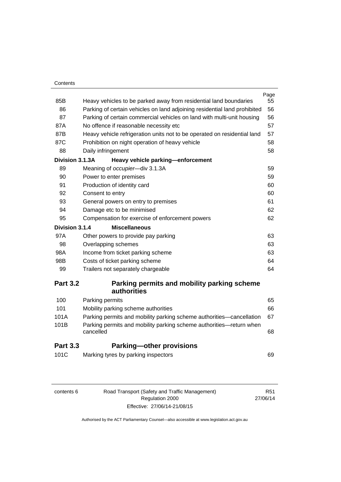#### **Contents**

| 85B             | Heavy vehicles to be parked away from residential land boundaries                | Page<br>55 |
|-----------------|----------------------------------------------------------------------------------|------------|
| 86              | Parking of certain vehicles on land adjoining residential land prohibited        | 56         |
| 87              | Parking of certain commercial vehicles on land with multi-unit housing           | 56         |
| 87A             | No offence if reasonable necessity etc                                           | 57         |
| 87B             | Heavy vehicle refrigeration units not to be operated on residential land         | 57         |
| 87C             | Prohibition on night operation of heavy vehicle                                  | 58         |
| 88              | Daily infringement                                                               | 58         |
| Division 3.1.3A | Heavy vehicle parking-enforcement                                                |            |
| 89              | Meaning of occupier-div 3.1.3A                                                   | 59         |
| 90              | Power to enter premises                                                          | 59         |
| 91              | Production of identity card                                                      | 60         |
| 92              | Consent to entry                                                                 | 60         |
| 93              | General powers on entry to premises                                              | 61         |
| 94              | Damage etc to be minimised                                                       | 62         |
| 95              | Compensation for exercise of enforcement powers                                  | 62         |
| Division 3.1.4  | <b>Miscellaneous</b>                                                             |            |
| 97A             | Other powers to provide pay parking                                              | 63         |
| 98              | Overlapping schemes                                                              | 63         |
| 98A             | Income from ticket parking scheme                                                | 63         |
| 98B             | Costs of ticket parking scheme                                                   | 64         |
| 99              | Trailers not separately chargeable                                               | 64         |
| <b>Part 3.2</b> | Parking permits and mobility parking scheme                                      |            |
|                 | authorities                                                                      |            |
| 100             | Parking permits                                                                  | 65         |
| 101             | Mobility parking scheme authorities                                              | 66         |
| 101A            | Parking permits and mobility parking scheme authorities—cancellation             | 67         |
| 101B            | Parking permits and mobility parking scheme authorities—return when<br>cancelled | 68         |
| <b>Part 3.3</b> | <b>Parking-other provisions</b>                                                  |            |
| 101C            | Marking tyres by parking inspectors                                              | 69         |
|                 |                                                                                  |            |

| contents 6 |  |
|------------|--|
|            |  |

| contents 6 | Road Transport (Safety and Traffic Management) |
|------------|------------------------------------------------|
|            | Regulation 2000                                |
|            | Effective: 27/06/14-21/08/15                   |

R51 27/06/14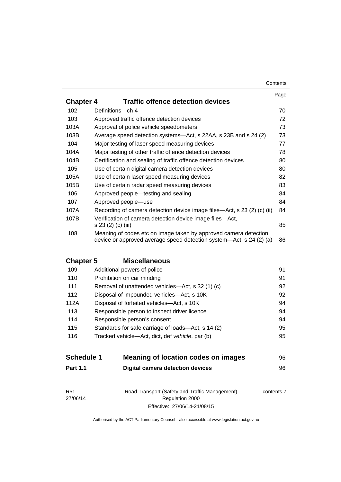| Contents |
|----------|
|----------|

|                  |                                                                                                                                         | Page |
|------------------|-----------------------------------------------------------------------------------------------------------------------------------------|------|
| <b>Chapter 4</b> | <b>Traffic offence detection devices</b>                                                                                                |      |
| 102              | Definitions-ch 4                                                                                                                        | 70   |
| 103              | Approved traffic offence detection devices                                                                                              | 72   |
| 103A             | Approval of police vehicle speedometers                                                                                                 | 73   |
| 103B             | Average speed detection systems—Act, s 22AA, s 23B and s 24 (2)                                                                         | 73   |
| 104              | Major testing of laser speed measuring devices                                                                                          | 77   |
| 104A             | Major testing of other traffic offence detection devices                                                                                | 78   |
| 104B             | Certification and sealing of traffic offence detection devices                                                                          | 80   |
| 105              | Use of certain digital camera detection devices                                                                                         | 80   |
| 105A             | Use of certain laser speed measuring devices                                                                                            | 82   |
| 105B             | Use of certain radar speed measuring devices                                                                                            | 83   |
| 106              | Approved people—testing and sealing                                                                                                     | 84   |
| 107              | Approved people-use                                                                                                                     | 84   |
| 107A             | Recording of camera detection device image files—Act, s 23 (2) (c) (ii)                                                                 | 84   |
| 107B             | Verification of camera detection device image files—Act,<br>s 23 (2) (c) (iii)                                                          | 85   |
| 108              | Meaning of codes etc on image taken by approved camera detection<br>device or approved average speed detection system—Act, s 24 (2) (a) | 86   |

### **Chapter 5 [Miscellaneous](#page-107-0)**

| 109  | Additional powers of police                        | 91 |
|------|----------------------------------------------------|----|
| 110  | Prohibition on car minding                         | 91 |
| 111  | Removal of unattended vehicles—Act, s 32 (1) (c)   | 92 |
| 112  | Disposal of impounded vehicles—Act, s 10K          | 92 |
| 112A | Disposal of forfeited vehicles-Act, s 10K          | 94 |
| 113  | Responsible person to inspect driver licence       | 94 |
| 114  | Responsible person's consent                       | 94 |
| 115  | Standards for safe carriage of loads—Act, s 14 (2) | 95 |
| 116  | Tracked vehicle—Act, dict, def vehicle, par (b)    | 95 |
|      |                                                    |    |

| <b>Schedule 1</b> | Meaning of location codes on images | 96. |
|-------------------|-------------------------------------|-----|
| <b>Part 1.1</b>   | Digital camera detection devices    | 96. |

| R51      | Road Transport (Safety and Traffic Management) | contents 7 |
|----------|------------------------------------------------|------------|
| 27/06/14 | Regulation 2000                                |            |
|          | Effective: 27/06/14-21/08/15                   |            |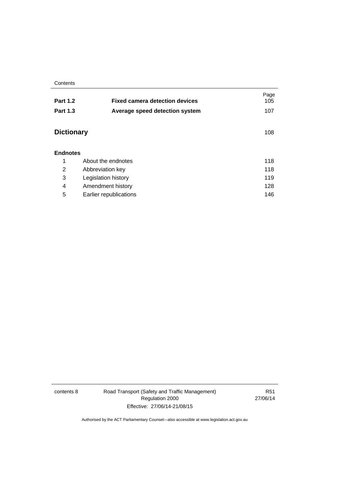**Contents** 

| <b>Part 1.2</b>   | <b>Fixed camera detection devices</b> | Page<br>105 |
|-------------------|---------------------------------------|-------------|
| <b>Part 1.3</b>   | Average speed detection system        | 107         |
| <b>Dictionary</b> |                                       | 108         |
| <b>Endnotes</b>   |                                       |             |
| 1                 | About the endnotes                    | 118         |
| 2                 | Abbreviation key                      | 118         |
| 3                 | Legislation history                   | 119         |
| 4                 | Amendment history                     | 128         |
| 5                 | Earlier republications                | 146         |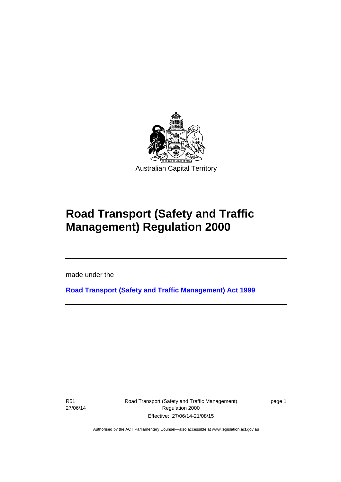

# **Road Transport (Safety and Traffic Management) Regulation 2000**

made under the

**[Road Transport \(Safety and Traffic Management\) Act 1999](http://www.legislation.act.gov.au/a/1999-80)**

R51 27/06/14

l

Road Transport (Safety and Traffic Management) Regulation 2000 Effective: 27/06/14-21/08/15

page 1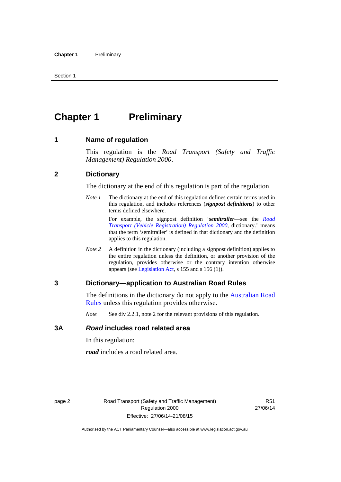## <span id="page-11-0"></span>**Chapter 1** Preliminary

#### <span id="page-11-1"></span>**1 Name of regulation**

This regulation is the *Road Transport (Safety and Traffic Management) Regulation 2000*.

#### <span id="page-11-2"></span>**2 Dictionary**

The dictionary at the end of this regulation is part of the regulation.

*Note 1* The dictionary at the end of this regulation defines certain terms used in this regulation, and includes references (*signpost definitions*) to other terms defined elsewhere.

> For example, the signpost definition '*semitrailer*—see the *[Road](http://www.legislation.act.gov.au/sl/2000-12)  [Transport \(Vehicle Registration\) Regulation 2000](http://www.legislation.act.gov.au/sl/2000-12)*, dictionary.' means that the term 'semitrailer' is defined in that dictionary and the definition applies to this regulation.

*Note 2* A definition in the dictionary (including a signpost definition) applies to the entire regulation unless the definition, or another provision of the regulation, provides otherwise or the contrary intention otherwise appears (see [Legislation Act,](http://www.legislation.act.gov.au/a/2001-14) s 155 and s 156 (1)).

#### <span id="page-11-3"></span>**3 Dictionary—application to Australian Road Rules**

The definitions in the dictionary do not apply to the Australian Road [Rules](http://www.legislation.act.gov.au//ni/db_37271/default.asp) unless this regulation provides otherwise.

*Note* See div 2.2.1, note 2 for the relevant provisions of this regulation.

#### <span id="page-11-4"></span>**3A** *Road* **includes road related area**

In this regulation:

*road* includes a road related area.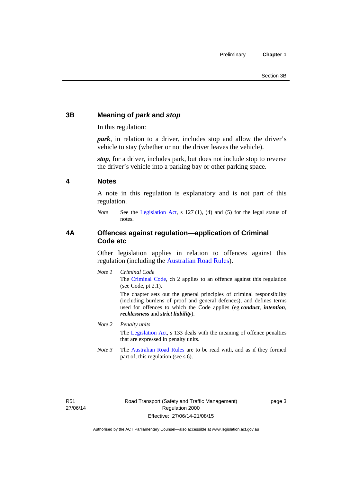#### <span id="page-12-0"></span>**3B Meaning of** *park* **and** *stop*

In this regulation:

*park*, in relation to a driver, includes stop and allow the driver's vehicle to stay (whether or not the driver leaves the vehicle).

*stop*, for a driver, includes park, but does not include stop to reverse the driver's vehicle into a parking bay or other parking space.

#### <span id="page-12-1"></span>**4 Notes**

A note in this regulation is explanatory and is not part of this regulation.

*Note* See the [Legislation Act,](http://www.legislation.act.gov.au/a/2001-14) s 127 (1), (4) and (5) for the legal status of notes.

#### <span id="page-12-2"></span>**4A Offences against regulation—application of Criminal Code etc**

Other legislation applies in relation to offences against this regulation (including the [Australian Road Rules](http://www.legislation.act.gov.au//ni/db_37271/default.asp)).

*Note 1 Criminal Code* The [Criminal Code,](http://www.legislation.act.gov.au/a/2002-51) ch 2 applies to an offence against this regulation (see Code, pt 2.1).

> The chapter sets out the general principles of criminal responsibility (including burdens of proof and general defences), and defines terms used for offences to which the Code applies (eg *conduct*, *intention*, *recklessness* and *strict liability*).

#### *Note 2 Penalty units*

The [Legislation Act](http://www.legislation.act.gov.au/a/2001-14), s 133 deals with the meaning of offence penalties that are expressed in penalty units.

*Note 3* The [Australian Road Rules](http://www.legislation.act.gov.au//ni/db_37271/default.asp) are to be read with, and as if they formed part of, this regulation (see s 6).

R51 27/06/14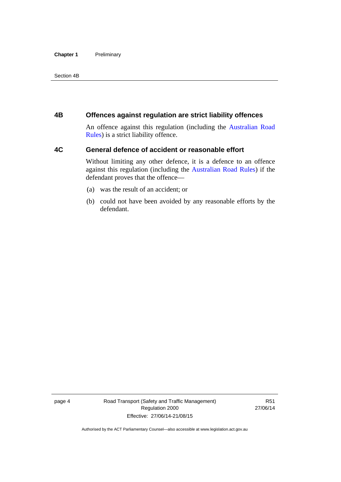#### **Chapter 1** Preliminary

Section 4B

#### <span id="page-13-0"></span>**4B Offences against regulation are strict liability offences**

An offence against this regulation (including the [Australian Road](http://www.legislation.act.gov.au//ni/db_37271/default.asp)  [Rules](http://www.legislation.act.gov.au//ni/db_37271/default.asp)) is a strict liability offence.

#### <span id="page-13-1"></span>**4C General defence of accident or reasonable effort**

Without limiting any other defence, it is a defence to an offence against this regulation (including the [Australian Road Rules\)](http://www.legislation.act.gov.au//ni/db_37271/default.asp) if the defendant proves that the offence—

- (a) was the result of an accident; or
- (b) could not have been avoided by any reasonable efforts by the defendant.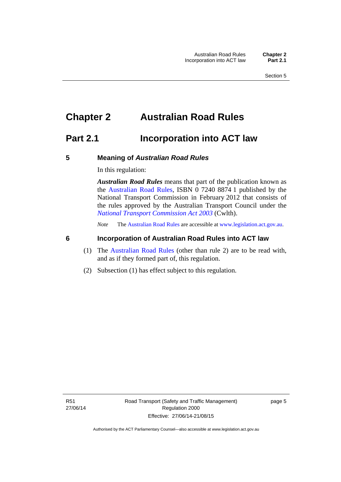### <span id="page-14-0"></span>**Chapter 2 Australian Road Rules**

### <span id="page-14-1"></span>**Part 2.1 Incorporation into ACT law**

#### <span id="page-14-2"></span>**5 Meaning of** *Australian Road Rules*

In this regulation:

*Australian Road Rules* means that part of the publication known as the [Australian Road Rules](http://www.legislation.act.gov.au//ni/db_37271/default.asp), ISBN 0 7240 8874 1 published by the National Transport Commission in February 2012 that consists of the rules approved by the Australian Transport Council under the *[National Transport Commission Act 2003](http://www.comlaw.gov.au/Series/C2004A01166)* (Cwlth).

*Note* The [Australian Road Rules](http://www.legislation.act.gov.au//ni/db_37271/default.asp) are accessible at [www.legislation.act.gov.au](http://www.legislation.act.gov.au/).

#### <span id="page-14-3"></span>**6 Incorporation of Australian Road Rules into ACT law**

- (1) The [Australian Road Rules](http://www.legislation.act.gov.au//ni/db_37271/default.asp) (other than rule 2) are to be read with, and as if they formed part of, this regulation.
- (2) Subsection (1) has effect subject to this regulation.

page 5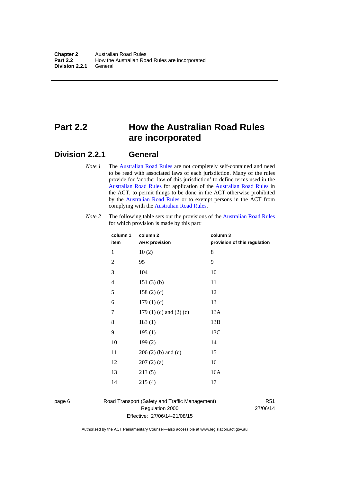### <span id="page-15-0"></span>**Part 2.2 How the Australian Road Rules are incorporated**

#### <span id="page-15-1"></span>**Division 2.2.1 General**

*Note 1* The [Australian Road Rules](http://www.legislation.act.gov.au//ni/db_37271/default.asp) are not completely self-contained and need to be read with associated laws of each jurisdiction. Many of the rules provide for 'another law of this jurisdiction' to define terms used in the [Australian Road Rules](http://www.legislation.act.gov.au//ni/db_37271/default.asp) for application of the [Australian Road Rules](http://www.legislation.act.gov.au//ni/db_37271/default.asp) in the ACT, to permit things to be done in the ACT otherwise prohibited by the [Australian Road Rules](http://www.legislation.act.gov.au//ni/db_37271/default.asp) or to exempt persons in the ACT from complying with the [Australian Road Rules.](http://www.legislation.act.gov.au//ni/db_37271/default.asp)

| column 1<br>item | column <sub>2</sub><br><b>ARR</b> provision | column 3<br>provision of this regulation |
|------------------|---------------------------------------------|------------------------------------------|
| 1                | 10(2)                                       | 8                                        |
| $\mathbf{2}$     | 95                                          | 9                                        |
| 3                | 104                                         | 10                                       |
| $\overline{4}$   | 151(3)(b)                                   | 11                                       |
| 5                | 158 $(2)(c)$                                | 12                                       |
| 6                | 179(1)(c)                                   | 13                                       |
| 7                | 179 $(1)$ $(c)$ and $(2)$ $(c)$             | 13A                                      |
| 8                | 183(1)                                      | 13B                                      |
| 9                | 195(1)                                      | 13C                                      |
| 10               | 199(2)                                      | 14                                       |
| 11               | $206(2)$ (b) and (c)                        | 15                                       |
| 12               | 207(2)(a)                                   | 16                                       |
| 13               | 213(5)                                      | 16A                                      |
| 14               | 215(4)                                      | 17                                       |

*Note 2* The following table sets out the provisions of the [Australian Road Rules](http://www.legislation.act.gov.au//ni/db_37271/default.asp) for which provision is made by this part:

page 6 Road Transport (Safety and Traffic Management) Regulation 2000 Effective: 27/06/14-21/08/15

R51 27/06/14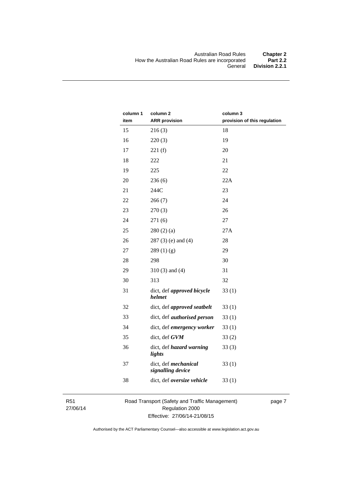| column 1<br>item | column <sub>2</sub><br><b>ARR</b> provision | column 3<br>provision of this regulation |
|------------------|---------------------------------------------|------------------------------------------|
| 15               | 216(3)                                      | 18                                       |
| 16               | 220(3)                                      | 19                                       |
| 17               | 221(f)                                      | 20                                       |
| 18               | 222                                         | 21                                       |
| 19               | 225                                         | 22                                       |
| 20               | 236(6)                                      | 22A                                      |
| 21               | 244C                                        | 23                                       |
| 22               | 266(7)                                      | 24                                       |
| 23               | 270(3)                                      | 26                                       |
| 24               | 271(6)                                      | 27                                       |
| 25               | 280(2)(a)                                   | 27A                                      |
| 26               | $287(3)$ (e) and (4)                        | 28                                       |
| 27               | 289(1)(g)                                   | 29                                       |
| 28               | 298                                         | 30                                       |
| 29               | $310(3)$ and $(4)$                          | 31                                       |
| 30               | 313                                         | 32                                       |
| 31               | dict, def approved bicycle<br>helmet        | 33(1)                                    |
| 32               | dict, def approved seatbelt                 | 33(1)                                    |
| 33               | dict, def <i>authorised</i> person          | 33(1)                                    |
| 34               | dict, def emergency worker                  | 33(1)                                    |
| 35               | dict, def GVM                               | 33(2)                                    |
| 36               | dict, def hazard warning<br>lights          | 33(3)                                    |
| 37               | dict, def mechanical<br>signalling device   | 33(1)                                    |
| 38               | dict, def oversize vehicle                  | 33(1)                                    |

R51 27/06/14 Road Transport (Safety and Traffic Management) Regulation 2000 Effective: 27/06/14-21/08/15

page 7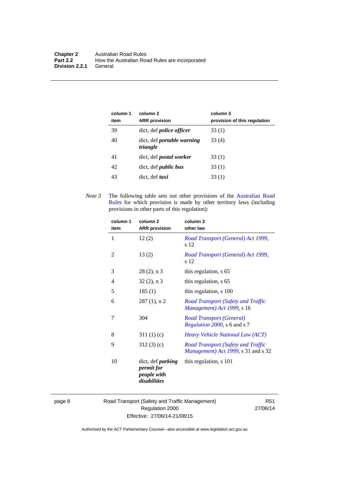| column 1<br>item | column 2<br><b>ARR</b> provision              | column 3<br>provision of this regulation |
|------------------|-----------------------------------------------|------------------------------------------|
| 39               | dict, def <i>police officer</i>               | 33 (1)                                   |
| 40               | dict, def <i>portable</i> warning<br>triangle | 33 (4)                                   |
| 41               | dict, def <i>postal</i> worker                | 33 (1)                                   |
| 42               | dict, def <i>public</i> bus                   | 33 (1)                                   |
| 43               | dict, def taxi                                | 33(1)                                    |

*Note 3* The following table sets out other provisions of the [Australian Road](http://www.legislation.act.gov.au//ni/db_37271/default.asp)  [Rules](http://www.legislation.act.gov.au//ni/db_37271/default.asp) for which provision is made by other territory laws (including provisions in other parts of this regulation):

| column 2<br><b>ARR</b> provision                                      | column 3<br>other law                                                            |
|-----------------------------------------------------------------------|----------------------------------------------------------------------------------|
| 12(2)                                                                 | Road Transport (General) Act 1999,<br>s 12                                       |
| 13(2)                                                                 | Road Transport (General) Act 1999,<br>s 12                                       |
| $28(2)$ , n 3                                                         | this regulation, s 65                                                            |
| $32(2)$ , n 3                                                         | this regulation, s 65                                                            |
| 185(1)                                                                | this regulation, s 100                                                           |
| $287(1)$ , n 2                                                        | <b>Road Transport (Safety and Traffic</b><br>Management) Act 1999, s 16          |
| 304                                                                   | Road Transport (General)<br>Regulation 2000, s 6 and s 7                         |
| 311(1)(c)                                                             | <i>Heavy Vehicle National Law (ACT)</i>                                          |
| 312(3)(c)                                                             | <b>Road Transport (Safety and Traffic</b><br>Management) Act 1999, s 31 and s 32 |
| dict, def <i>parking</i><br>permit for<br>people with<br>disabilities | this regulation, s 101                                                           |
|                                                                       |                                                                                  |

page 8 Road Transport (Safety and Traffic Management) Regulation 2000 Effective: 27/06/14-21/08/15

R51 27/06/14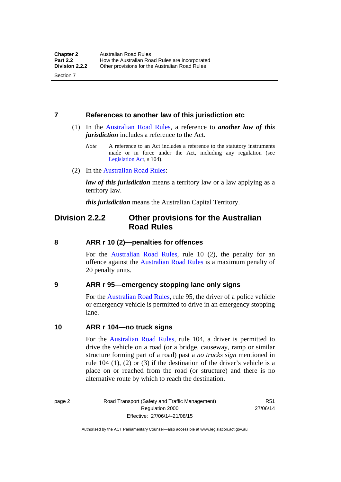Section 7

#### <span id="page-18-0"></span>**7 References to another law of this jurisdiction etc**

- (1) In the [Australian Road Rules,](http://www.legislation.act.gov.au//ni/db_37271/default.asp) a reference to *another law of this jurisdiction* includes a reference to the Act.
	- *Note* A reference to an Act includes a reference to the statutory instruments made or in force under the Act, including any regulation (see [Legislation Act,](http://www.legislation.act.gov.au/a/2001-14) s 104).
- (2) In the [Australian Road Rules](http://www.legislation.act.gov.au//ni/db_37271/default.asp):

*law of this jurisdiction* means a territory law or a law applying as a territory law.

*this jurisdiction* means the Australian Capital Territory.

### <span id="page-18-1"></span>**Division 2.2.2 Other provisions for the Australian Road Rules**

#### <span id="page-18-2"></span>**8 ARR r 10 (2)—penalties for offences**

For the [Australian Road Rules,](http://www.legislation.act.gov.au//ni/db_37271/default.asp) rule 10 (2), the penalty for an offence against the [Australian Road Rules](http://www.legislation.act.gov.au//ni/db_37271/default.asp) is a maximum penalty of 20 penalty units.

#### <span id="page-18-3"></span>**9 ARR r 95—emergency stopping lane only signs**

For the [Australian Road Rules](http://www.legislation.act.gov.au//ni/db_37271/default.asp), rule 95, the driver of a police vehicle or emergency vehicle is permitted to drive in an emergency stopping lane.

#### <span id="page-18-4"></span>**10 ARR r 104—no truck signs**

For the [Australian Road Rules](http://www.legislation.act.gov.au//ni/db_37271/default.asp), rule 104, a driver is permitted to drive the vehicle on a road (or a bridge, causeway, ramp or similar structure forming part of a road) past a *no trucks sign* mentioned in rule 104 (1), (2) or (3) if the destination of the driver's vehicle is a place on or reached from the road (or structure) and there is no alternative route by which to reach the destination.

page 2 Road Transport (Safety and Traffic Management) Regulation 2000 Effective: 27/06/14-21/08/15

R51 27/06/14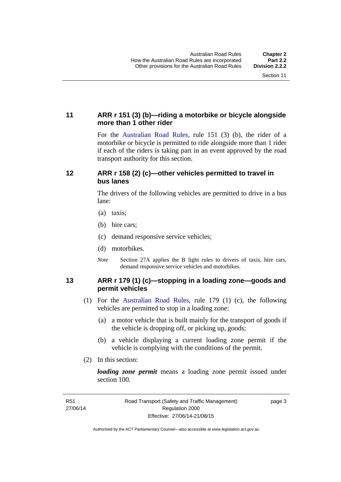#### <span id="page-19-0"></span>**11 ARR r 151 (3) (b)—riding a motorbike or bicycle alongside more than 1 other rider**

For the [Australian Road Rules](http://www.legislation.act.gov.au//ni/db_37271/default.asp), rule 151 (3) (b), the rider of a motorbike or bicycle is permitted to ride alongside more than 1 rider if each of the riders is taking part in an event approved by the road transport authority for this section.

#### <span id="page-19-1"></span>**12 ARR r 158 (2) (c)—other vehicles permitted to travel in bus lanes**

The drivers of the following vehicles are permitted to drive in a bus lane:

- (a) taxis;
- (b) hire cars;
- (c) demand responsive service vehicles;
- (d) motorbikes.
- *Note* Section 27A applies the B light rules to drivers of taxis, hire cars, demand responsive service vehicles and motorbikes.

#### <span id="page-19-2"></span>**13 ARR r 179 (1) (c)—stopping in a loading zone—goods and permit vehicles**

- (1) For the [Australian Road Rules](http://www.legislation.act.gov.au//ni/db_37271/default.asp), rule 179 (1) (c), the following vehicles are permitted to stop in a loading zone:
	- (a) a motor vehicle that is built mainly for the transport of goods if the vehicle is dropping off, or picking up, goods;
	- (b) a vehicle displaying a current loading zone permit if the vehicle is complying with the conditions of the permit.
- (2) In this section:

*loading zone permit* means a loading zone permit issued under section 100.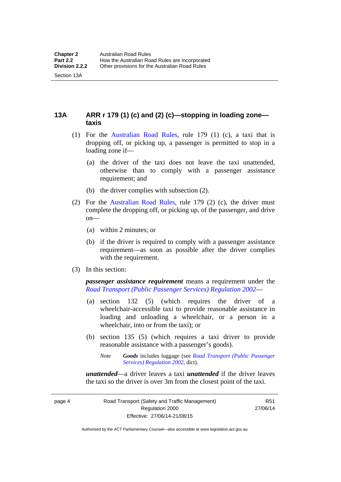Section 13A

<span id="page-20-0"></span>**13A ARR r 179 (1) (c) and (2) (c)—stopping in loading zone taxis** 

- (1) For the [Australian Road Rules,](http://www.legislation.act.gov.au//ni/db_37271/default.asp) rule 179 (1) (c), a taxi that is dropping off, or picking up, a passenger is permitted to stop in a loading zone if—
	- (a) the driver of the taxi does not leave the taxi unattended, otherwise than to comply with a passenger assistance requirement; and
	- (b) the driver complies with subsection (2).
- (2) For the [Australian Road Rules,](http://www.legislation.act.gov.au//ni/db_37271/default.asp) rule 179 (2) (c), the driver must complete the dropping off, or picking up, of the passenger, and drive on—
	- (a) within 2 minutes; or
	- (b) if the driver is required to comply with a passenger assistance requirement—as soon as possible after the driver complies with the requirement.
- (3) In this section:

*passenger assistance requirement* means a requirement under the *[Road Transport \(Public Passenger Services\) Regulation 2002](http://www.legislation.act.gov.au/sl/2002-3)*—

- (a) section 132 (5) (which requires the driver of a wheelchair-accessible taxi to provide reasonable assistance in loading and unloading a wheelchair, or a person in a wheelchair, into or from the taxi); or
- (b) section 135 (5) (which requires a taxi driver to provide reasonable assistance with a passenger's goods).

*unattended*—a driver leaves a taxi *unattended* if the driver leaves the taxi so the driver is over 3m from the closest point of the taxi.

*Note Goods* includes luggage (see *[Road Transport \(Public Passenger](http://www.legislation.act.gov.au/sl/2002-3)  [Services\) Regulation 2002](http://www.legislation.act.gov.au/sl/2002-3)*, dict).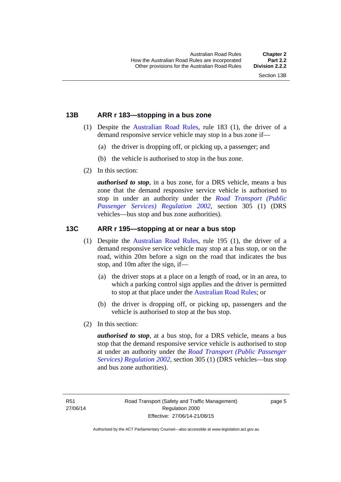#### <span id="page-21-0"></span>**13B ARR r 183—stopping in a bus zone**

- (1) Despite the [Australian Road Rules](http://www.legislation.act.gov.au//ni/db_37271/default.asp), rule 183 (1), the driver of a demand responsive service vehicle may stop in a bus zone if—
	- (a) the driver is dropping off, or picking up, a passenger; and
	- (b) the vehicle is authorised to stop in the bus zone.
- (2) In this section:

*authorised to stop*, in a bus zone, for a DRS vehicle, means a bus zone that the demand responsive service vehicle is authorised to stop in under an authority under the *[Road Transport \(Public](http://www.legislation.act.gov.au/sl/2002-3)  [Passenger Services\) Regulation 2002](http://www.legislation.act.gov.au/sl/2002-3)*, section 305 (1) (DRS vehicles—bus stop and bus zone authorities).

#### <span id="page-21-1"></span>**13C ARR r 195—stopping at or near a bus stop**

- (1) Despite the [Australian Road Rules](http://www.legislation.act.gov.au//ni/db_37271/default.asp), rule 195 (1), the driver of a demand responsive service vehicle may stop at a bus stop, or on the road, within 20m before a sign on the road that indicates the bus stop, and 10m after the sign, if—
	- (a) the driver stops at a place on a length of road, or in an area, to which a parking control sign applies and the driver is permitted to stop at that place under the [Australian Road Rules](http://www.legislation.act.gov.au//ni/db_37271/default.asp); or
	- (b) the driver is dropping off, or picking up, passengers and the vehicle is authorised to stop at the bus stop.
- (2) In this section:

*authorised to stop*, at a bus stop, for a DRS vehicle, means a bus stop that the demand responsive service vehicle is authorised to stop at under an authority under the *[Road Transport \(Public Passenger](http://www.legislation.act.gov.au/sl/2002-3)  [Services\) Regulation 2002](http://www.legislation.act.gov.au/sl/2002-3)*, section 305 (1) (DRS vehicles—bus stop and bus zone authorities).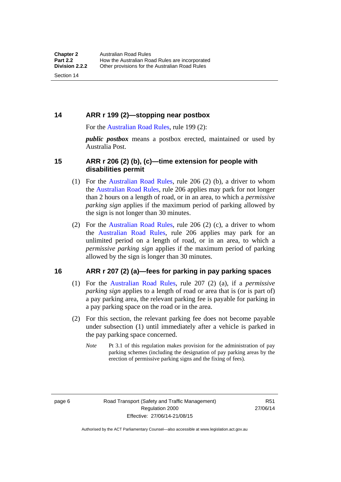#### <span id="page-22-0"></span>**14 ARR r 199 (2)—stopping near postbox**

For the [Australian Road Rules,](http://www.legislation.act.gov.au//ni/db_37271/default.asp) rule 199 (2):

*public postbox* means a postbox erected, maintained or used by Australia Post.

#### <span id="page-22-1"></span>**15 ARR r 206 (2) (b), (c)—time extension for people with disabilities permit**

- (1) For the [Australian Road Rules](http://www.legislation.act.gov.au//ni/db_37271/default.asp), rule 206 (2) (b), a driver to whom the [Australian Road Rules](http://www.legislation.act.gov.au//ni/db_37271/default.asp), rule 206 applies may park for not longer than 2 hours on a length of road, or in an area, to which a *permissive parking sign* applies if the maximum period of parking allowed by the sign is not longer than 30 minutes.
- (2) For the [Australian Road Rules,](http://www.legislation.act.gov.au//ni/db_37271/default.asp) rule 206 (2) (c), a driver to whom the [Australian Road Rules,](http://www.legislation.act.gov.au//ni/db_37271/default.asp) rule 206 applies may park for an unlimited period on a length of road, or in an area, to which a *permissive parking sign* applies if the maximum period of parking allowed by the sign is longer than 30 minutes.

#### <span id="page-22-2"></span>**16 ARR r 207 (2) (a)—fees for parking in pay parking spaces**

- (1) For the [Australian Road Rules,](http://www.legislation.act.gov.au//ni/db_37271/default.asp) rule 207 (2) (a), if a *permissive parking sign* applies to a length of road or area that is (or is part of) a pay parking area, the relevant parking fee is payable for parking in a pay parking space on the road or in the area.
- (2) For this section, the relevant parking fee does not become payable under subsection (1) until immediately after a vehicle is parked in the pay parking space concerned.
	- *Note* Pt 3.1 of this regulation makes provision for the administration of pay parking schemes (including the designation of pay parking areas by the erection of permissive parking signs and the fixing of fees).

page 6 Road Transport (Safety and Traffic Management) Regulation 2000 Effective: 27/06/14-21/08/15

R51 27/06/14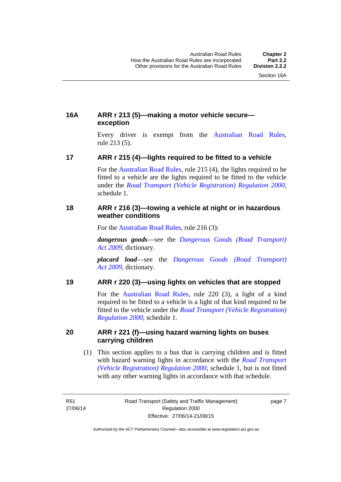#### <span id="page-23-0"></span>**16A ARR r 213 (5)—making a motor vehicle secure exception**

Every driver is exempt from the [Australian Road Rules](http://www.legislation.act.gov.au//ni/db_37271/default.asp), rule 213 (5).

#### <span id="page-23-1"></span>**17 ARR r 215 (4)—lights required to be fitted to a vehicle**

For the [Australian Road Rules,](http://www.legislation.act.gov.au//ni/db_37271/default.asp) rule 215 (4), the lights required to be fitted to a vehicle are the lights required to be fitted to the vehicle under the *[Road Transport \(Vehicle Registration\) Regulation 2000](http://www.legislation.act.gov.au/sl/2000-12),*  schedule 1.

#### <span id="page-23-2"></span>**18 ARR r 216 (3)—towing a vehicle at night or in hazardous weather conditions**

For the [Australian Road Rules](http://www.legislation.act.gov.au//ni/db_37271/default.asp), rule 216 (3):

*dangerous goods*—see the *[Dangerous Goods \(Road Transport\)](http://www.legislation.act.gov.au/a/2009-34)  [Act 2009](http://www.legislation.act.gov.au/a/2009-34)*, dictionary.

*placard load*—see the *[Dangerous Goods \(Road Transport\)](http://www.legislation.act.gov.au/a/2009-34)  [Act 2009](http://www.legislation.act.gov.au/a/2009-34)*, dictionary.

#### <span id="page-23-3"></span>**19 ARR r 220 (3)—using lights on vehicles that are stopped**

For the [Australian Road Rules](http://www.legislation.act.gov.au//ni/db_37271/default.asp), rule 220 (3), a light of a kind required to be fitted to a vehicle is a light of that kind required to be fitted to the vehicle under the *[Road Transport \(Vehicle Registration\)](http://www.legislation.act.gov.au/sl/2000-12)  [Regulation 2000](http://www.legislation.act.gov.au/sl/2000-12)*, schedule 1.

#### <span id="page-23-4"></span>**20 ARR r 221 (f)—using hazard warning lights on buses carrying children**

 (1) This section applies to a bus that is carrying children and is fitted with hazard warning lights in accordance with the *[Road Transport](http://www.legislation.act.gov.au/sl/2000-12)  [\(Vehicle Registration\) Regulation 2000](http://www.legislation.act.gov.au/sl/2000-12)*, schedule 1, but is not fitted with any other warning lights in accordance with that schedule.

R51 27/06/14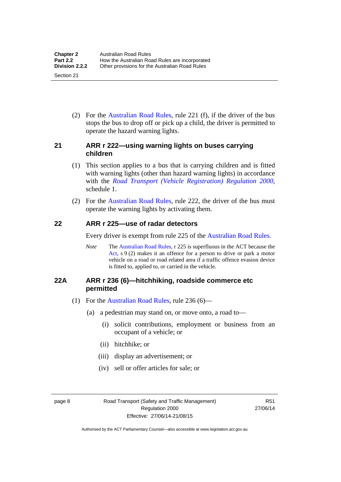(2) For the [Australian Road Rules](http://www.legislation.act.gov.au//ni/db_37271/default.asp), rule 221 (f), if the driver of the bus stops the bus to drop off or pick up a child, the driver is permitted to operate the hazard warning lights.

#### <span id="page-24-0"></span>**21 ARR r 222—using warning lights on buses carrying children**

- (1) This section applies to a bus that is carrying children and is fitted with warning lights (other than hazard warning lights) in accordance with the *[Road Transport \(Vehicle Registration\) Regulation 2000](http://www.legislation.act.gov.au/sl/2000-12)*, schedule 1.
- (2) For the [Australian Road Rules](http://www.legislation.act.gov.au//ni/db_37271/default.asp), rule 222, the driver of the bus must operate the warning lights by activating them.

#### <span id="page-24-1"></span>**22 ARR r 225—use of radar detectors**

Every driver is exempt from rule 225 of the [Australian Road Rules.](http://www.legislation.act.gov.au//ni/db_37271/default.asp)

*Note* The [Australian Road Rules,](http://www.legislation.act.gov.au//ni/db_37271/default.asp) r 225 is superfluous in the ACT because the [Act](http://www.legislation.act.gov.au/a/1999-80/default.asp), s 9 (2) makes it an offence for a person to drive or park a motor vehicle on a road or road related area if a traffic offence evasion device is fitted to, applied to, or carried in the vehicle.

#### <span id="page-24-2"></span>**22A ARR r 236 (6)—hitchhiking, roadside commerce etc permitted**

- (1) For the [Australian Road Rules,](http://www.legislation.act.gov.au//ni/db_37271/default.asp) rule 236 (6)—
	- (a) a pedestrian may stand on, or move onto, a road to—
		- (i) solicit contributions, employment or business from an occupant of a vehicle; or
		- (ii) hitchhike; or
		- (iii) display an advertisement; or
		- (iv) sell or offer articles for sale; or

page 8 Road Transport (Safety and Traffic Management) Regulation 2000 Effective: 27/06/14-21/08/15

R51 27/06/14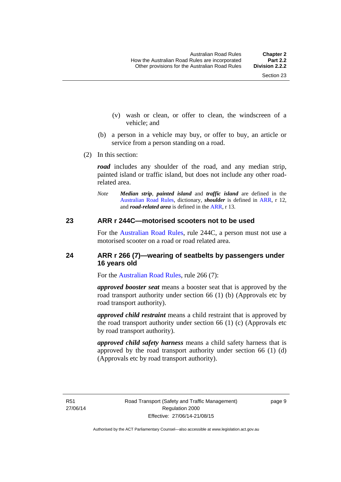- (v) wash or clean, or offer to clean, the windscreen of a vehicle; and
- (b) a person in a vehicle may buy, or offer to buy, an article or service from a person standing on a road.
- (2) In this section:

*road* includes any shoulder of the road, and any median strip, painted island or traffic island, but does not include any other roadrelated area.

*Note Median strip*, *painted island* and *traffic island* are defined in the [Australian Road Rules,](http://www.legislation.act.gov.au//ni/db_37271/default.asp) dictionary, *shoulder* is defined in [ARR](http://www.legislation.act.gov.au//ni/db_37271/default.asp), r 12, and *road-related area* is defined in the [ARR](http://www.legislation.act.gov.au//ni/db_37271/default.asp), r 13.

#### <span id="page-25-0"></span>**23 ARR r 244C—motorised scooters not to be used**

For the [Australian Road Rules](http://www.legislation.act.gov.au//ni/db_37271/default.asp), rule 244C, a person must not use a motorised scooter on a road or road related area.

#### <span id="page-25-1"></span>**24 ARR r 266 (7)—wearing of seatbelts by passengers under 16 years old**

For the [Australian Road Rules](http://www.legislation.act.gov.au//ni/db_37271/default.asp), rule 266 (7):

*approved booster seat* means a booster seat that is approved by the road transport authority under section 66 (1) (b) (Approvals etc by road transport authority).

*approved child restraint* means a child restraint that is approved by the road transport authority under section 66 (1) (c) (Approvals etc by road transport authority).

*approved child safety harness* means a child safety harness that is approved by the road transport authority under section 66 (1) (d) (Approvals etc by road transport authority).

R51 27/06/14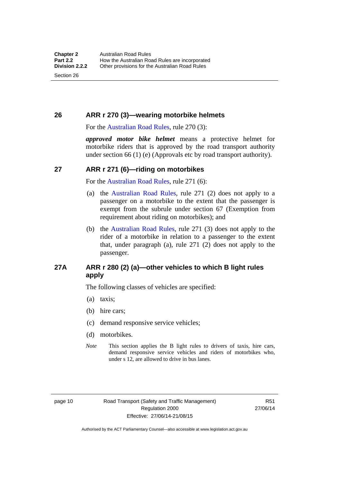Section 26

#### <span id="page-26-0"></span>**26 ARR r 270 (3)—wearing motorbike helmets**

For the [Australian Road Rules,](http://www.legislation.act.gov.au//ni/db_37271/default.asp) rule 270 (3):

*approved motor bike helmet* means a protective helmet for motorbike riders that is approved by the road transport authority under section 66 (1) (e) (Approvals etc by road transport authority).

#### <span id="page-26-1"></span>**27 ARR r 271 (6)—riding on motorbikes**

For the [Australian Road Rules,](http://www.legislation.act.gov.au//ni/db_37271/default.asp) rule 271 (6):

- (a) the [Australian Road Rules](http://www.legislation.act.gov.au//ni/db_37271/default.asp), rule 271 (2) does not apply to a passenger on a motorbike to the extent that the passenger is exempt from the subrule under section 67 (Exemption from requirement about riding on motorbikes); and
- (b) the [Australian Road Rules,](http://www.legislation.act.gov.au//ni/db_37271/default.asp) rule 271 (3) does not apply to the rider of a motorbike in relation to a passenger to the extent that, under paragraph (a), rule 271 (2) does not apply to the passenger.

#### <span id="page-26-2"></span>**27A ARR r 280 (2) (a)—other vehicles to which B light rules apply**

The following classes of vehicles are specified:

- (a) taxis;
- (b) hire cars;
- (c) demand responsive service vehicles;
- (d) motorbikes.
- *Note* This section applies the B light rules to drivers of taxis, hire cars, demand responsive service vehicles and riders of motorbikes who, under s 12, are allowed to drive in bus lanes.

R51 27/06/14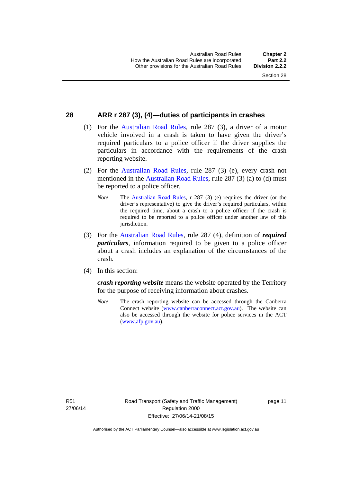#### <span id="page-27-0"></span>**28 ARR r 287 (3), (4)—duties of participants in crashes**

- (1) For the [Australian Road Rules,](http://www.legislation.act.gov.au//ni/db_37271/default.asp) rule 287 (3), a driver of a motor vehicle involved in a crash is taken to have given the driver's required particulars to a police officer if the driver supplies the particulars in accordance with the requirements of the crash reporting website.
- (2) For the [Australian Road Rules,](http://www.legislation.act.gov.au//ni/db_37271/default.asp) rule 287 (3) (e), every crash not mentioned in the [Australian Road Rules,](http://www.legislation.act.gov.au//ni/db_37271/default.asp) rule 287 (3) (a) to (d) must be reported to a police officer.
	- *Note* The [Australian Road Rules,](http://www.legislation.act.gov.au//ni/db_37271/default.asp) r 287 (3) (e) requires the driver (or the driver's representative) to give the driver's required particulars, within the required time, about a crash to a police officer if the crash is required to be reported to a police officer under another law of this jurisdiction.
- (3) For the [Australian Road Rules](http://www.legislation.act.gov.au//ni/db_37271/default.asp), rule 287 (4), definition of *required particulars*, information required to be given to a police officer about a crash includes an explanation of the circumstances of the crash.
- (4) In this section:

*crash reporting website* means the website operated by the Territory for the purpose of receiving information about crashes.

*Note* The crash reporting website can be accessed through the Canberra Connect website [\(www.canberraconnect.act.gov.au\)](http://www.canberraconnect.act.gov.au/). The website can also be accessed through the website for police services in the ACT [\(www.afp.gov.au\)](http://www.afp.gov.au/).

R51 27/06/14 page 11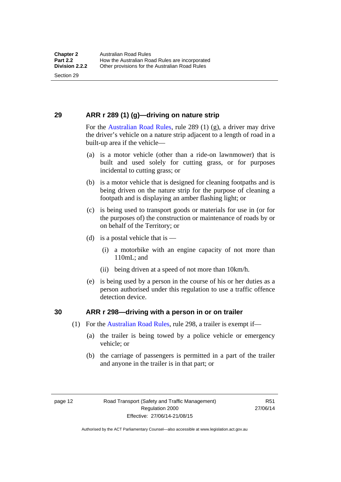Section 29

### <span id="page-28-0"></span>**29 ARR r 289 (1) (g)—driving on nature strip**

For the [Australian Road Rules](http://www.legislation.act.gov.au//ni/db_37271/default.asp), rule 289 (1) (g), a driver may drive the driver's vehicle on a nature strip adjacent to a length of road in a built-up area if the vehicle—

- (a) is a motor vehicle (other than a ride-on lawnmower) that is built and used solely for cutting grass, or for purposes incidental to cutting grass; or
- (b) is a motor vehicle that is designed for cleaning footpaths and is being driven on the nature strip for the purpose of cleaning a footpath and is displaying an amber flashing light; or
- (c) is being used to transport goods or materials for use in (or for the purposes of) the construction or maintenance of roads by or on behalf of the Territory; or
- (d) is a postal vehicle that is  $-$ 
	- (i) a motorbike with an engine capacity of not more than 110mL; and
	- (ii) being driven at a speed of not more than 10km/h.
- (e) is being used by a person in the course of his or her duties as a person authorised under this regulation to use a traffic offence detection device.

#### <span id="page-28-1"></span>**30 ARR r 298—driving with a person in or on trailer**

- (1) For the [Australian Road Rules,](http://www.legislation.act.gov.au//ni/db_37271/default.asp) rule 298, a trailer is exempt if—
	- (a) the trailer is being towed by a police vehicle or emergency vehicle; or
	- (b) the carriage of passengers is permitted in a part of the trailer and anyone in the trailer is in that part; or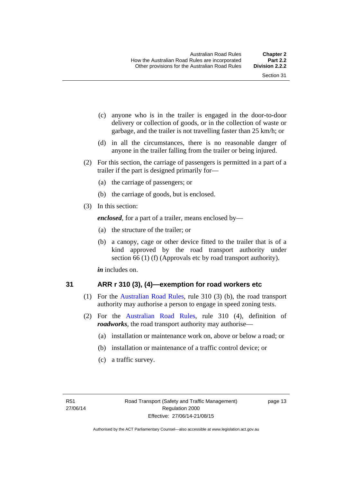- (c) anyone who is in the trailer is engaged in the door-to-door delivery or collection of goods, or in the collection of waste or garbage, and the trailer is not travelling faster than 25 km/h; or
- (d) in all the circumstances, there is no reasonable danger of anyone in the trailer falling from the trailer or being injured.
- (2) For this section, the carriage of passengers is permitted in a part of a trailer if the part is designed primarily for—
	- (a) the carriage of passengers; or
	- (b) the carriage of goods, but is enclosed.
- (3) In this section:

*enclosed*, for a part of a trailer, means enclosed by—

- (a) the structure of the trailer; or
- (b) a canopy, cage or other device fitted to the trailer that is of a kind approved by the road transport authority under section 66 (1) (f) (Approvals etc by road transport authority).

*in* includes on.

#### <span id="page-29-0"></span>**31 ARR r 310 (3), (4)—exemption for road workers etc**

- (1) For the [Australian Road Rules](http://www.legislation.act.gov.au//ni/db_37271/default.asp), rule 310 (3) (b), the road transport authority may authorise a person to engage in speed zoning tests.
- (2) For the [Australian Road Rules](http://www.legislation.act.gov.au//ni/db_37271/default.asp), rule 310 (4), definition of *roadworks*, the road transport authority may authorise—
	- (a) installation or maintenance work on, above or below a road; or
	- (b) installation or maintenance of a traffic control device; or
	- (c) a traffic survey.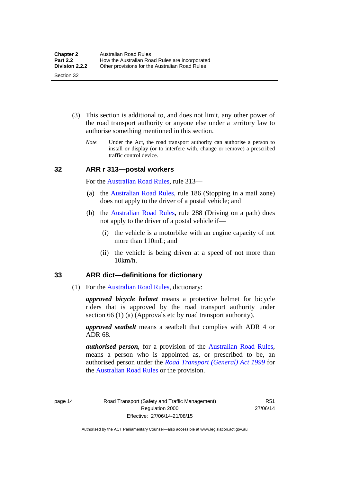- (3) This section is additional to, and does not limit, any other power of the road transport authority or anyone else under a territory law to authorise something mentioned in this section.
	- *Note* Under the Act, the road transport authority can authorise a person to install or display (or to interfere with, change or remove) a prescribed traffic control device.

#### <span id="page-30-0"></span>**32 ARR r 313—postal workers**

For the [Australian Road Rules,](http://www.legislation.act.gov.au//ni/db_37271/default.asp) rule 313—

- (a) the [Australian Road Rules,](http://www.legislation.act.gov.au//ni/db_37271/default.asp) rule 186 (Stopping in a mail zone) does not apply to the driver of a postal vehicle; and
- (b) the [Australian Road Rules](http://www.legislation.act.gov.au//ni/db_37271/default.asp), rule 288 (Driving on a path) does not apply to the driver of a postal vehicle if—
	- (i) the vehicle is a motorbike with an engine capacity of not more than 110mL; and
	- (ii) the vehicle is being driven at a speed of not more than 10km/h.

#### <span id="page-30-1"></span>**33 ARR dict—definitions for dictionary**

(1) For the [Australian Road Rules,](http://www.legislation.act.gov.au//ni/db_37271/default.asp) dictionary:

*approved bicycle helmet* means a protective helmet for bicycle riders that is approved by the road transport authority under section 66 (1) (a) (Approvals etc by road transport authority).

*approved seatbelt* means a seatbelt that complies with ADR 4 or ADR 68.

*authorised person,* for a provision of the [Australian Road Rules](http://www.legislation.act.gov.au//ni/db_37271/default.asp), means a person who is appointed as, or prescribed to be, an authorised person under the *[Road Transport \(General\) Act 1999](http://www.legislation.act.gov.au/a/1999-77)* for the [Australian Road Rules](http://www.legislation.act.gov.au//ni/db_37271/default.asp) or the provision.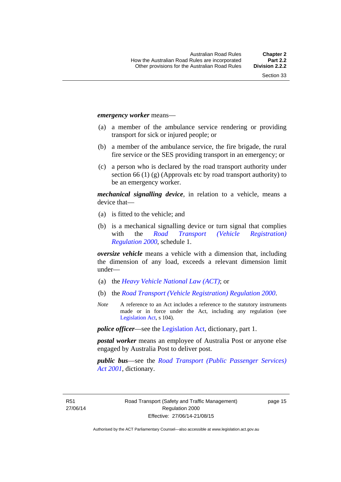#### *emergency worker* means—

- (a) a member of the ambulance service rendering or providing transport for sick or injured people; or
- (b) a member of the ambulance service, the fire brigade, the rural fire service or the SES providing transport in an emergency; or
- (c) a person who is declared by the road transport authority under section 66 (1) (g) (Approvals etc by road transport authority) to be an emergency worker.

*mechanical signalling device*, in relation to a vehicle, means a device that—

- (a) is fitted to the vehicle; and
- (b) is a mechanical signalling device or turn signal that complies with the *[Road Transport \(Vehicle Registration\)](http://www.legislation.act.gov.au/sl/2000-12)  [Regulation 2000](http://www.legislation.act.gov.au/sl/2000-12)*, schedule 1.

*oversize vehicle* means a vehicle with a dimension that, including the dimension of any load, exceeds a relevant dimension limit under—

- (a) the *[Heavy Vehicle National Law \(ACT\)](http://www.legislation.act.gov.au/a/db_49155/default.asp)*; or
- (b) the *[Road Transport \(Vehicle Registration\) Regulation 2000](http://www.legislation.act.gov.au/sl/2000-12)*.
- *Note* A reference to an Act includes a reference to the statutory instruments made or in force under the Act, including any regulation (see [Legislation Act,](http://www.legislation.act.gov.au/a/2001-14) s 104).

*police officer*—see the [Legislation Act](http://www.legislation.act.gov.au/a/2001-14), dictionary, part 1.

*postal worker* means an employee of Australia Post or anyone else engaged by Australia Post to deliver post.

*public bus*—see the *[Road Transport \(Public Passenger Services\)](http://www.legislation.act.gov.au/a/2001-62)  [Act 2001](http://www.legislation.act.gov.au/a/2001-62)*, dictionary.

R51 27/06/14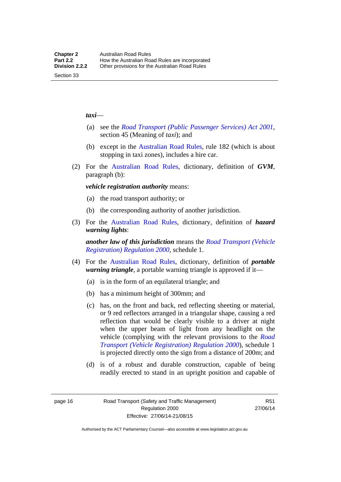#### *taxi*—

Section 33

- (a) see the *[Road Transport \(Public Passenger Services\) Act 2001](http://www.legislation.act.gov.au/a/2001-62)*, section 45 (Meaning of *taxi*); and
- (b) except in the [Australian Road Rules,](http://www.legislation.act.gov.au//ni/db_37271/default.asp) rule 182 (which is about stopping in taxi zones), includes a hire car.
- (2) For the [Australian Road Rules](http://www.legislation.act.gov.au//ni/db_37271/default.asp), dictionary, definition of *GVM*, paragraph (b):

*vehicle registration authority* means:

- (a) the road transport authority; or
- (b) the corresponding authority of another jurisdiction.
- (3) For the [Australian Road Rules](http://www.legislation.act.gov.au//ni/db_37271/default.asp), dictionary, definition of *hazard warning lights*:

*another law of this jurisdiction* means the *[Road Transport \(Vehicle](http://www.legislation.act.gov.au/sl/2000-12)  [Registration\) Regulation 2000](http://www.legislation.act.gov.au/sl/2000-12)*, schedule 1.

- (4) For the [Australian Road Rules](http://www.legislation.act.gov.au//ni/db_37271/default.asp), dictionary, definition of *portable warning triangle*, a portable warning triangle is approved if it—
	- (a) is in the form of an equilateral triangle; and
	- (b) has a minimum height of 300mm; and
	- (c) has, on the front and back, red reflecting sheeting or material, or 9 red reflectors arranged in a triangular shape, causing a red reflection that would be clearly visible to a driver at night when the upper beam of light from any headlight on the vehicle (complying with the relevant provisions to the *[Road](http://www.legislation.act.gov.au/sl/2000-12)  [Transport \(Vehicle Registration\) Regulation 2000](http://www.legislation.act.gov.au/sl/2000-12)*), schedule 1 is projected directly onto the sign from a distance of 200m; and
	- (d) is of a robust and durable construction, capable of being readily erected to stand in an upright position and capable of

page 16 Road Transport (Safety and Traffic Management) Regulation 2000 Effective: 27/06/14-21/08/15

R51 27/06/14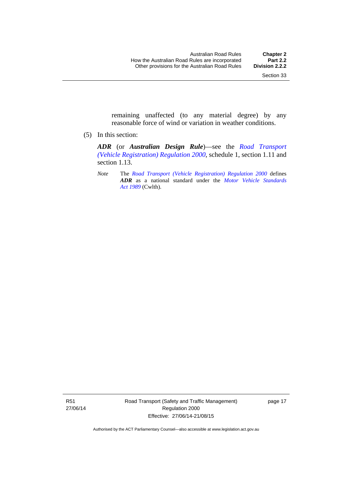remaining unaffected (to any material degree) by any reasonable force of wind or variation in weather conditions.

(5) In this section:

*ADR* (or *Australian Design Rule*)—see the *[Road Transport](http://www.legislation.act.gov.au/sl/2000-12)  [\(Vehicle Registration\) Regulation 2000](http://www.legislation.act.gov.au/sl/2000-12)*, schedule 1, section 1.11 and section 1.13.

*Note* The *[Road Transport \(Vehicle Registration\) Regulation 2000](http://www.legislation.act.gov.au/sl/2000-12)* defines *ADR* as a national standard under the *[Motor Vehicle Standards](http://www.comlaw.gov.au/Series/C2004A03813)  [Act 1989](http://www.comlaw.gov.au/Series/C2004A03813)* (Cwlth).

R51 27/06/14 Road Transport (Safety and Traffic Management) Regulation 2000 Effective: 27/06/14-21/08/15

page 17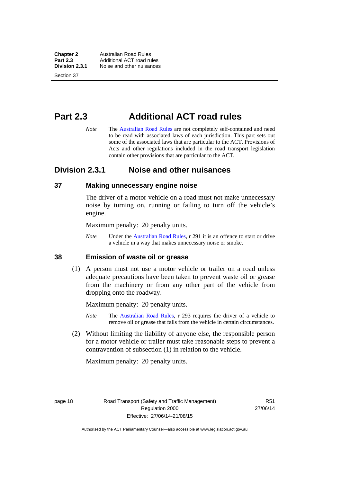**Chapter 2 Australian Road Rules**<br>**Part 2.3 Additional ACT road rules Part 2.3** Additional ACT road rules<br>**Division 2.3.1** Noise and other nuisances **Division 2.3.1** Noise and other nuisances

Section 37

## <span id="page-34-0"></span>**Part 2.3 Additional ACT road rules**

*Note* The [Australian Road Rules](http://www.legislation.act.gov.au//ni/db_37271/default.asp) are not completely self-contained and need to be read with associated laws of each jurisdiction. This part sets out some of the associated laws that are particular to the ACT. Provisions of Acts and other regulations included in the road transport legislation contain other provisions that are particular to the ACT.

### <span id="page-34-1"></span>**Division 2.3.1 Noise and other nuisances**

#### <span id="page-34-2"></span>**37 Making unnecessary engine noise**

The driver of a motor vehicle on a road must not make unnecessary noise by turning on, running or failing to turn off the vehicle's engine.

Maximum penalty: 20 penalty units.

*Note* Under the [Australian Road Rules,](http://www.legislation.act.gov.au//ni/db_37271/default.asp) r 291 it is an offence to start or drive a vehicle in a way that makes unnecessary noise or smoke.

#### <span id="page-34-3"></span>**38 Emission of waste oil or grease**

 (1) A person must not use a motor vehicle or trailer on a road unless adequate precautions have been taken to prevent waste oil or grease from the machinery or from any other part of the vehicle from dropping onto the roadway.

Maximum penalty: 20 penalty units.

- *Note* The [Australian Road Rules,](http://www.legislation.act.gov.au//ni/db_37271/default.asp) r 293 requires the driver of a vehicle to remove oil or grease that falls from the vehicle in certain circumstances.
- (2) Without limiting the liability of anyone else, the responsible person for a motor vehicle or trailer must take reasonable steps to prevent a contravention of subsection (1) in relation to the vehicle.

Maximum penalty: 20 penalty units.

page 18 Road Transport (Safety and Traffic Management) Regulation 2000 Effective: 27/06/14-21/08/15

R51 27/06/14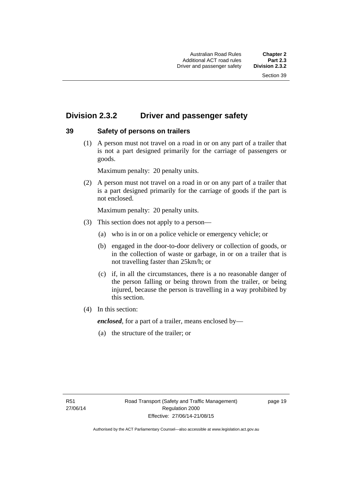### <span id="page-35-0"></span>**Division 2.3.2 Driver and passenger safety**

#### <span id="page-35-1"></span>**39 Safety of persons on trailers**

 (1) A person must not travel on a road in or on any part of a trailer that is not a part designed primarily for the carriage of passengers or goods.

Maximum penalty: 20 penalty units.

 (2) A person must not travel on a road in or on any part of a trailer that is a part designed primarily for the carriage of goods if the part is not enclosed.

Maximum penalty: 20 penalty units.

- (3) This section does not apply to a person—
	- (a) who is in or on a police vehicle or emergency vehicle; or
	- (b) engaged in the door-to-door delivery or collection of goods, or in the collection of waste or garbage, in or on a trailer that is not travelling faster than 25km/h; or
	- (c) if, in all the circumstances, there is a no reasonable danger of the person falling or being thrown from the trailer, or being injured, because the person is travelling in a way prohibited by this section.
- (4) In this section:

*enclosed*, for a part of a trailer, means enclosed by—

(a) the structure of the trailer; or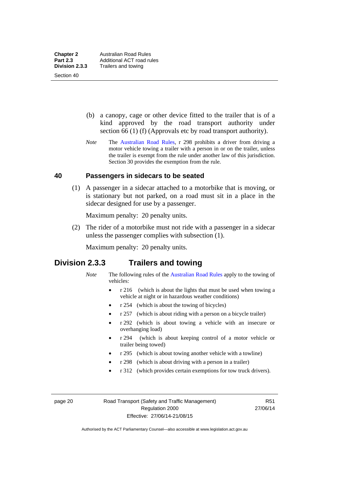(b) a canopy, cage or other device fitted to the trailer that is of a kind approved by the road transport authority under section 66 (1) (f) (Approvals etc by road transport authority).

*Note* The [Australian Road Rules](http://www.legislation.act.gov.au//ni/db_37271/default.asp), r 298 prohibits a driver from driving a motor vehicle towing a trailer with a person in or on the trailer, unless the trailer is exempt from the rule under another law of this jurisdiction. Section 30 provides the exemption from the rule.

#### **40 Passengers in sidecars to be seated**

 (1) A passenger in a sidecar attached to a motorbike that is moving, or is stationary but not parked, on a road must sit in a place in the sidecar designed for use by a passenger.

Maximum penalty: 20 penalty units.

 (2) The rider of a motorbike must not ride with a passenger in a sidecar unless the passenger complies with subsection (1).

Maximum penalty: 20 penalty units.

# **Division 2.3.3 Trailers and towing**

- *Note* The following rules of the [Australian Road Rules](http://www.legislation.act.gov.au//ni/db_37271/default.asp) apply to the towing of vehicles:
	- r 216 (which is about the lights that must be used when towing a vehicle at night or in hazardous weather conditions)
	- r 254 (which is about the towing of bicycles)
	- r 257 (which is about riding with a person on a bicycle trailer)
	- r 292 (which is about towing a vehicle with an insecure or overhanging load)
	- r 294 (which is about keeping control of a motor vehicle or trailer being towed)
	- r 295 (which is about towing another vehicle with a towline)
	- r 298 (which is about driving with a person in a trailer)
	- r 312 (which provides certain exemptions for tow truck drivers).

page 20 Road Transport (Safety and Traffic Management) Regulation 2000 Effective: 27/06/14-21/08/15

R51 27/06/14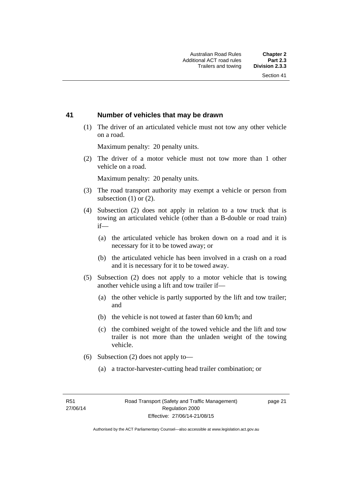#### **41 Number of vehicles that may be drawn**

 (1) The driver of an articulated vehicle must not tow any other vehicle on a road.

Maximum penalty: 20 penalty units.

 (2) The driver of a motor vehicle must not tow more than 1 other vehicle on a road.

Maximum penalty: 20 penalty units.

- (3) The road transport authority may exempt a vehicle or person from subsection (1) or (2).
- (4) Subsection (2) does not apply in relation to a tow truck that is towing an articulated vehicle (other than a B-double or road train) if—
	- (a) the articulated vehicle has broken down on a road and it is necessary for it to be towed away; or
	- (b) the articulated vehicle has been involved in a crash on a road and it is necessary for it to be towed away.
- (5) Subsection (2) does not apply to a motor vehicle that is towing another vehicle using a lift and tow trailer if—
	- (a) the other vehicle is partly supported by the lift and tow trailer; and
	- (b) the vehicle is not towed at faster than 60 km/h; and
	- (c) the combined weight of the towed vehicle and the lift and tow trailer is not more than the unladen weight of the towing vehicle.
- (6) Subsection (2) does not apply to—
	- (a) a tractor-harvester-cutting head trailer combination; or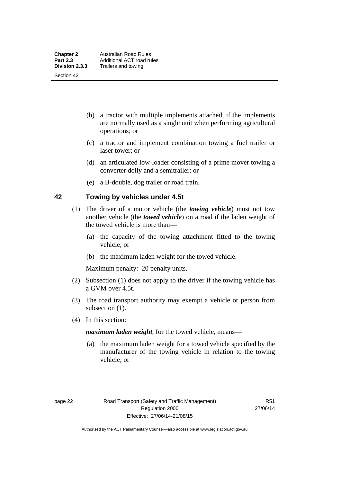- (b) a tractor with multiple implements attached, if the implements are normally used as a single unit when performing agricultural operations; or
- (c) a tractor and implement combination towing a fuel trailer or laser tower; or
- (d) an articulated low-loader consisting of a prime mover towing a converter dolly and a semitrailer; or
- (e) a B-double, dog trailer or road train.

#### **42 Towing by vehicles under 4.5t**

- (1) The driver of a motor vehicle (the *towing vehicle*) must not tow another vehicle (the *towed vehicle*) on a road if the laden weight of the towed vehicle is more than—
	- (a) the capacity of the towing attachment fitted to the towing vehicle; or
	- (b) the maximum laden weight for the towed vehicle.

Maximum penalty: 20 penalty units.

- (2) Subsection (1) does not apply to the driver if the towing vehicle has a GVM over 4.5t.
- (3) The road transport authority may exempt a vehicle or person from subsection  $(1)$ .
- (4) In this section:

*maximum laden weight*, for the towed vehicle, means—

 (a) the maximum laden weight for a towed vehicle specified by the manufacturer of the towing vehicle in relation to the towing vehicle; or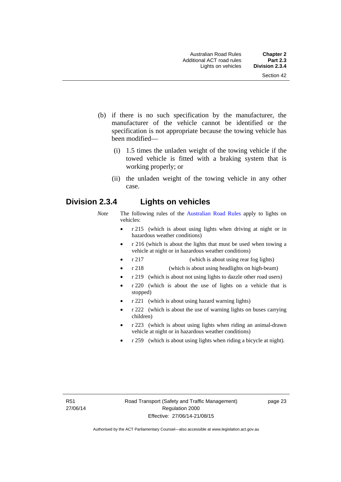- (b) if there is no such specification by the manufacturer, the manufacturer of the vehicle cannot be identified or the specification is not appropriate because the towing vehicle has been modified—
	- (i) 1.5 times the unladen weight of the towing vehicle if the towed vehicle is fitted with a braking system that is working properly; or
	- (ii) the unladen weight of the towing vehicle in any other case.

# **Division 2.3.4 Lights on vehicles**

- *Note* The following rules of the [Australian Road Rules](http://www.legislation.act.gov.au//ni/db_37271/default.asp) apply to lights on vehicles:
	- r 215 (which is about using lights when driving at night or in hazardous weather conditions)
	- r 216 (which is about the lights that must be used when towing a vehicle at night or in hazardous weather conditions)
	- r 217 (which is about using rear fog lights)
	- r 218 (which is about using headlights on high-beam)
	- r 219 (which is about not using lights to dazzle other road users)
	- r 220 (which is about the use of lights on a vehicle that is stopped)
	- r 221 (which is about using hazard warning lights)
	- r 222 (which is about the use of warning lights on buses carrying children)
	- r 223 (which is about using lights when riding an animal-drawn vehicle at night or in hazardous weather conditions)
	- r 259 (which is about using lights when riding a bicycle at night).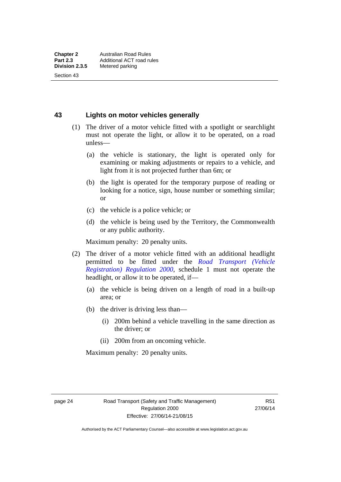#### **43 Lights on motor vehicles generally**

- (1) The driver of a motor vehicle fitted with a spotlight or searchlight must not operate the light, or allow it to be operated, on a road unless—
	- (a) the vehicle is stationary, the light is operated only for examining or making adjustments or repairs to a vehicle, and light from it is not projected further than 6m; or
	- (b) the light is operated for the temporary purpose of reading or looking for a notice, sign, house number or something similar; or
	- (c) the vehicle is a police vehicle; or
	- (d) the vehicle is being used by the Territory, the Commonwealth or any public authority.

Maximum penalty: 20 penalty units.

- (2) The driver of a motor vehicle fitted with an additional headlight permitted to be fitted under the *[Road Transport \(Vehicle](http://www.legislation.act.gov.au/sl/2000-12)  [Registration\) Regulation 2000](http://www.legislation.act.gov.au/sl/2000-12)*, schedule 1 must not operate the headlight, or allow it to be operated, if—
	- (a) the vehicle is being driven on a length of road in a built-up area; or
	- (b) the driver is driving less than—
		- (i) 200m behind a vehicle travelling in the same direction as the driver; or
		- (ii) 200m from an oncoming vehicle.

Maximum penalty: 20 penalty units.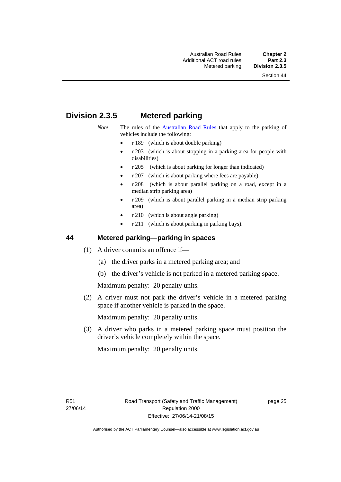# **Division 2.3.5 Metered parking**

- *Note* The rules of the [Australian Road Rules](http://www.legislation.act.gov.au//ni/db_37271/default.asp) that apply to the parking of vehicles include the following:
	- r 189 (which is about double parking)
	- r 203 (which is about stopping in a parking area for people with disabilities)
	- r 205 (which is about parking for longer than indicated)
	- r 207 (which is about parking where fees are payable)
	- r 208 (which is about parallel parking on a road, except in a median strip parking area)
	- r 209 (which is about parallel parking in a median strip parking area)
	- r 210 (which is about angle parking)
	- r 211 (which is about parking in parking bays).

#### **44 Metered parking—parking in spaces**

- (1) A driver commits an offence if—
	- (a) the driver parks in a metered parking area; and
	- (b) the driver's vehicle is not parked in a metered parking space.

Maximum penalty: 20 penalty units.

 (2) A driver must not park the driver's vehicle in a metered parking space if another vehicle is parked in the space.

Maximum penalty: 20 penalty units.

 (3) A driver who parks in a metered parking space must position the driver's vehicle completely within the space.

Maximum penalty: 20 penalty units.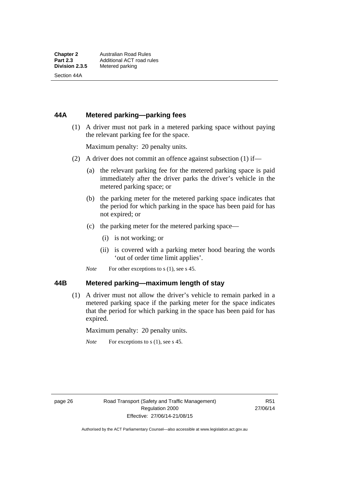Section 44A

#### **44A Metered parking—parking fees**

 (1) A driver must not park in a metered parking space without paying the relevant parking fee for the space.

Maximum penalty: 20 penalty units.

- (2) A driver does not commit an offence against subsection (1) if—
	- (a) the relevant parking fee for the metered parking space is paid immediately after the driver parks the driver's vehicle in the metered parking space; or
	- (b) the parking meter for the metered parking space indicates that the period for which parking in the space has been paid for has not expired; or
	- (c) the parking meter for the metered parking space—
		- (i) is not working; or
		- (ii) is covered with a parking meter hood bearing the words 'out of order time limit applies'.
	- *Note* For other exceptions to s (1), see s 45.

#### **44B Metered parking—maximum length of stay**

 (1) A driver must not allow the driver's vehicle to remain parked in a metered parking space if the parking meter for the space indicates that the period for which parking in the space has been paid for has expired.

Maximum penalty: 20 penalty units.

*Note* For exceptions to s (1), see s 45.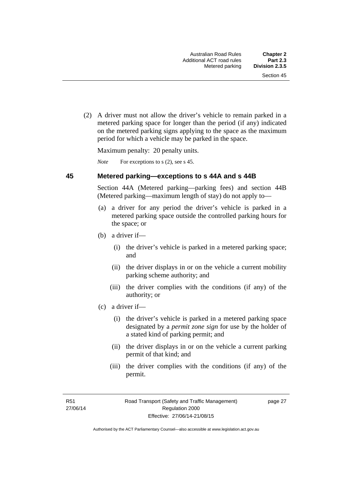(2) A driver must not allow the driver's vehicle to remain parked in a metered parking space for longer than the period (if any) indicated on the metered parking signs applying to the space as the maximum period for which a vehicle may be parked in the space.

Maximum penalty: 20 penalty units.

*Note* For exceptions to s (2), see s 45.

#### **45 Metered parking—exceptions to s 44A and s 44B**

Section 44A (Metered parking—parking fees) and section 44B (Metered parking—maximum length of stay) do not apply to—

- (a) a driver for any period the driver's vehicle is parked in a metered parking space outside the controlled parking hours for the space; or
- (b) a driver if—
	- (i) the driver's vehicle is parked in a metered parking space; and
	- (ii) the driver displays in or on the vehicle a current mobility parking scheme authority; and
	- (iii) the driver complies with the conditions (if any) of the authority; or
- (c) a driver if—
	- (i) the driver's vehicle is parked in a metered parking space designated by a *permit zone sign* for use by the holder of a stated kind of parking permit; and
	- (ii) the driver displays in or on the vehicle a current parking permit of that kind; and
	- (iii) the driver complies with the conditions (if any) of the permit.

R51 27/06/14 page 27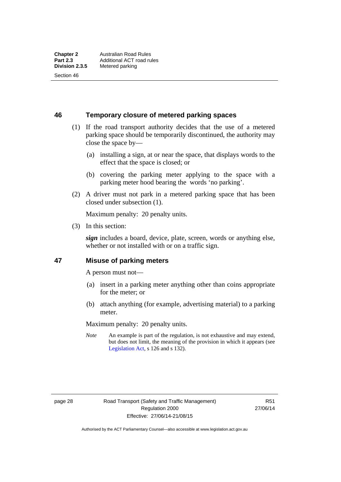**46 Temporary closure of metered parking spaces**

- (1) If the road transport authority decides that the use of a metered parking space should be temporarily discontinued, the authority may close the space by—
	- (a) installing a sign, at or near the space, that displays words to the effect that the space is closed; or
	- (b) covering the parking meter applying to the space with a parking meter hood bearing the words 'no parking'.
- (2) A driver must not park in a metered parking space that has been closed under subsection (1).

Maximum penalty: 20 penalty units.

(3) In this section:

*sign* includes a board, device, plate, screen, words or anything else, whether or not installed with or on a traffic sign.

#### **47 Misuse of parking meters**

A person must not—

- (a) insert in a parking meter anything other than coins appropriate for the meter; or
- (b) attach anything (for example, advertising material) to a parking meter.

Maximum penalty: 20 penalty units.

*Note* An example is part of the regulation, is not exhaustive and may extend, but does not limit, the meaning of the provision in which it appears (see [Legislation Act,](http://www.legislation.act.gov.au/a/2001-14) s 126 and s 132).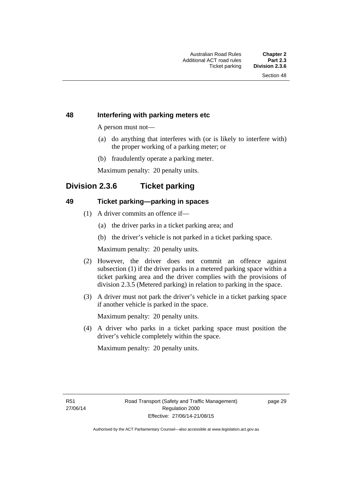#### **48 Interfering with parking meters etc**

A person must not—

- (a) do anything that interferes with (or is likely to interfere with) the proper working of a parking meter; or
- (b) fraudulently operate a parking meter.

Maximum penalty: 20 penalty units.

# **Division 2.3.6 Ticket parking**

#### **49 Ticket parking—parking in spaces**

- (1) A driver commits an offence if—
	- (a) the driver parks in a ticket parking area; and
	- (b) the driver's vehicle is not parked in a ticket parking space.

Maximum penalty: 20 penalty units.

- (2) However, the driver does not commit an offence against subsection (1) if the driver parks in a metered parking space within a ticket parking area and the driver complies with the provisions of division 2.3.5 (Metered parking) in relation to parking in the space.
- (3) A driver must not park the driver's vehicle in a ticket parking space if another vehicle is parked in the space.

Maximum penalty: 20 penalty units.

 (4) A driver who parks in a ticket parking space must position the driver's vehicle completely within the space.

Maximum penalty: 20 penalty units.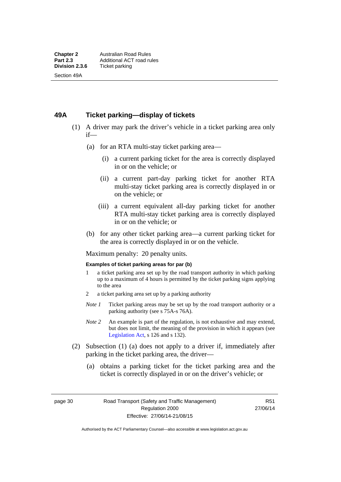#### **49A Ticket parking—display of tickets**

- (1) A driver may park the driver's vehicle in a ticket parking area only if—
	- (a) for an RTA multi-stay ticket parking area—
		- (i) a current parking ticket for the area is correctly displayed in or on the vehicle; or
		- (ii) a current part-day parking ticket for another RTA multi-stay ticket parking area is correctly displayed in or on the vehicle; or
		- (iii) a current equivalent all-day parking ticket for another RTA multi-stay ticket parking area is correctly displayed in or on the vehicle; or
	- (b) for any other ticket parking area—a current parking ticket for the area is correctly displayed in or on the vehicle.

Maximum penalty: 20 penalty units.

#### **Examples of ticket parking areas for par (b)**

- 1 a ticket parking area set up by the road transport authority in which parking up to a maximum of 4 hours is permitted by the ticket parking signs applying to the area
- 2 a ticket parking area set up by a parking authority
- *Note 1* Ticket parking areas may be set up by the road transport authority or a parking authority (see s 75A-s 76A).
- *Note 2* An example is part of the regulation, is not exhaustive and may extend, but does not limit, the meaning of the provision in which it appears (see [Legislation Act,](http://www.legislation.act.gov.au/a/2001-14) s 126 and s 132).
- (2) Subsection (1) (a) does not apply to a driver if, immediately after parking in the ticket parking area, the driver—
	- (a) obtains a parking ticket for the ticket parking area and the ticket is correctly displayed in or on the driver's vehicle; or

page 30 Road Transport (Safety and Traffic Management) Regulation 2000 Effective: 27/06/14-21/08/15

R51 27/06/14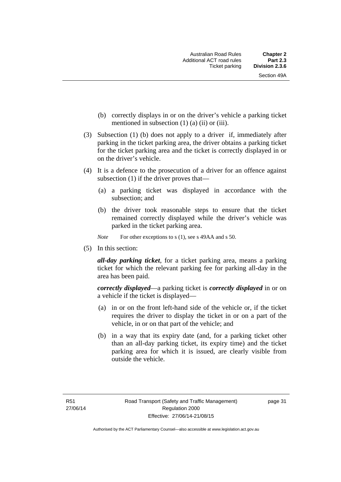- (b) correctly displays in or on the driver's vehicle a parking ticket mentioned in subsection  $(1)$   $(a)$   $(ii)$  or  $(iii)$ .
- (3) Subsection (1) (b) does not apply to a driver if, immediately after parking in the ticket parking area, the driver obtains a parking ticket for the ticket parking area and the ticket is correctly displayed in or on the driver's vehicle.
- (4) It is a defence to the prosecution of a driver for an offence against subsection (1) if the driver proves that—
	- (a) a parking ticket was displayed in accordance with the subsection; and
	- (b) the driver took reasonable steps to ensure that the ticket remained correctly displayed while the driver's vehicle was parked in the ticket parking area.
	- *Note* For other exceptions to s (1), see s 49AA and s 50.
- (5) In this section:

*all-day parking ticket*, for a ticket parking area, means a parking ticket for which the relevant parking fee for parking all-day in the area has been paid.

*correctly displayed*—a parking ticket is *correctly displayed* in or on a vehicle if the ticket is displayed—

- (a) in or on the front left-hand side of the vehicle or, if the ticket requires the driver to display the ticket in or on a part of the vehicle, in or on that part of the vehicle; and
- (b) in a way that its expiry date (and, for a parking ticket other than an all-day parking ticket, its expiry time) and the ticket parking area for which it is issued, are clearly visible from outside the vehicle.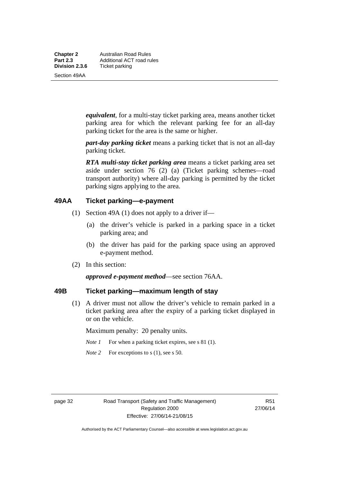**Chapter 2 Australian Road Rules**<br>**Part 2.3 Additional ACT road rules Part 2.3 Additional ACT road rules**<br>**Division 2.3.6** Ticket parking **Ticket parking** 

Section 49AA

*equivalent*, for a multi-stay ticket parking area, means another ticket parking area for which the relevant parking fee for an all-day parking ticket for the area is the same or higher.

*part-day parking ticket* means a parking ticket that is not an all-day parking ticket.

*RTA multi-stay ticket parking area* means a ticket parking area set aside under section 76 (2) (a) (Ticket parking schemes—road transport authority) where all-day parking is permitted by the ticket parking signs applying to the area.

#### **49AA Ticket parking—e-payment**

- (1) Section 49A (1) does not apply to a driver if—
	- (a) the driver's vehicle is parked in a parking space in a ticket parking area; and
	- (b) the driver has paid for the parking space using an approved e-payment method.
- (2) In this section:

*approved e-payment method*—see section 76AA.

#### **49B Ticket parking—maximum length of stay**

(1) A driver must not allow the driver's vehicle to remain parked in a ticket parking area after the expiry of a parking ticket displayed in or on the vehicle.

Maximum penalty: 20 penalty units.

- *Note 1* For when a parking ticket expires, see s 81 (1).
- *Note* 2 For exceptions to s (1), see s 50.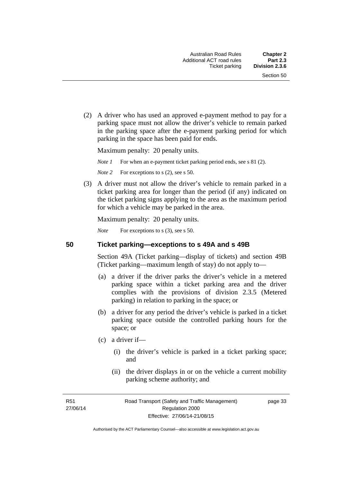(2) A driver who has used an approved e-payment method to pay for a parking space must not allow the driver's vehicle to remain parked in the parking space after the e-payment parking period for which parking in the space has been paid for ends.

Maximum penalty: 20 penalty units.

*Note 1* For when an e-payment ticket parking period ends, see s 81 (2).

*Note* 2 For exceptions to s (2), see s 50.

 (3) A driver must not allow the driver's vehicle to remain parked in a ticket parking area for longer than the period (if any) indicated on the ticket parking signs applying to the area as the maximum period for which a vehicle may be parked in the area.

Maximum penalty: 20 penalty units.

*Note* For exceptions to s (3), see s 50.

**50 Ticket parking—exceptions to s 49A and s 49B** 

Section 49A (Ticket parking—display of tickets) and section 49B (Ticket parking—maximum length of stay) do not apply to—

- (a) a driver if the driver parks the driver's vehicle in a metered parking space within a ticket parking area and the driver complies with the provisions of division 2.3.5 (Metered parking) in relation to parking in the space; or
- (b) a driver for any period the driver's vehicle is parked in a ticket parking space outside the controlled parking hours for the space; or
- (c) a driver if—
	- (i) the driver's vehicle is parked in a ticket parking space; and
	- (ii) the driver displays in or on the vehicle a current mobility parking scheme authority; and

R51 27/06/14 page 33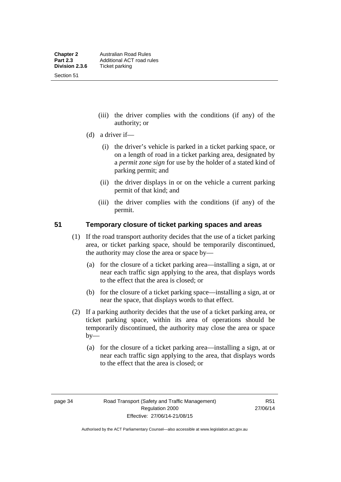- (iii) the driver complies with the conditions (if any) of the authority; or
- (d) a driver if—
	- (i) the driver's vehicle is parked in a ticket parking space, or on a length of road in a ticket parking area, designated by a *permit zone sign* for use by the holder of a stated kind of parking permit; and
	- (ii) the driver displays in or on the vehicle a current parking permit of that kind; and
	- (iii) the driver complies with the conditions (if any) of the permit.

#### **51 Temporary closure of ticket parking spaces and areas**

- (1) If the road transport authority decides that the use of a ticket parking area, or ticket parking space, should be temporarily discontinued, the authority may close the area or space by—
	- (a) for the closure of a ticket parking area—installing a sign, at or near each traffic sign applying to the area, that displays words to the effect that the area is closed; or
	- (b) for the closure of a ticket parking space—installing a sign, at or near the space, that displays words to that effect.
- (2) If a parking authority decides that the use of a ticket parking area, or ticket parking space, within its area of operations should be temporarily discontinued, the authority may close the area or space  $by-$ 
	- (a) for the closure of a ticket parking area—installing a sign, at or near each traffic sign applying to the area, that displays words to the effect that the area is closed; or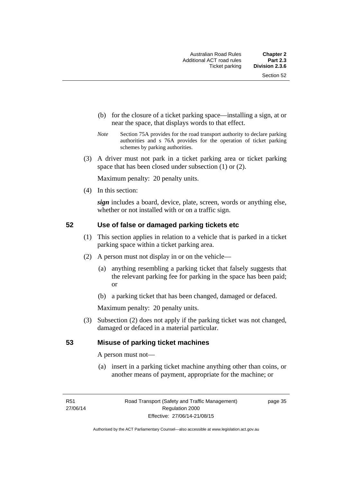- (b) for the closure of a ticket parking space—installing a sign, at or near the space, that displays words to that effect.
- *Note* Section 75A provides for the road transport authority to declare parking authorities and s 76A provides for the operation of ticket parking schemes by parking authorities.
- (3) A driver must not park in a ticket parking area or ticket parking space that has been closed under subsection (1) or (2).

Maximum penalty: 20 penalty units.

(4) In this section:

*sign* includes a board, device, plate, screen, words or anything else, whether or not installed with or on a traffic sign.

#### **52 Use of false or damaged parking tickets etc**

- (1) This section applies in relation to a vehicle that is parked in a ticket parking space within a ticket parking area.
- (2) A person must not display in or on the vehicle—
	- (a) anything resembling a parking ticket that falsely suggests that the relevant parking fee for parking in the space has been paid; or
	- (b) a parking ticket that has been changed, damaged or defaced.

Maximum penalty: 20 penalty units.

 (3) Subsection (2) does not apply if the parking ticket was not changed, damaged or defaced in a material particular.

#### **53 Misuse of parking ticket machines**

A person must not—

(a) insert in a parking ticket machine anything other than coins, or another means of payment, appropriate for the machine; or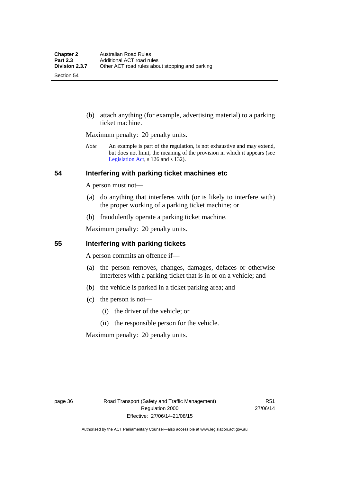(b) attach anything (for example, advertising material) to a parking ticket machine.

Maximum penalty: 20 penalty units.

*Note* An example is part of the regulation, is not exhaustive and may extend, but does not limit, the meaning of the provision in which it appears (see [Legislation Act,](http://www.legislation.act.gov.au/a/2001-14) s 126 and s 132).

#### **54 Interfering with parking ticket machines etc**

A person must not—

- (a) do anything that interferes with (or is likely to interfere with) the proper working of a parking ticket machine; or
- (b) fraudulently operate a parking ticket machine.

Maximum penalty: 20 penalty units.

#### **55 Interfering with parking tickets**

A person commits an offence if—

- (a) the person removes, changes, damages, defaces or otherwise interferes with a parking ticket that is in or on a vehicle; and
- (b) the vehicle is parked in a ticket parking area; and
- (c) the person is not—
	- (i) the driver of the vehicle; or
	- (ii) the responsible person for the vehicle.

Maximum penalty: 20 penalty units.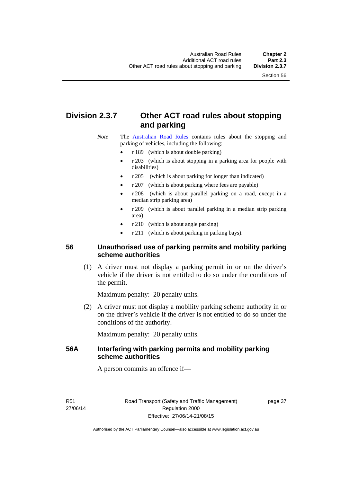# **Division 2.3.7 Other ACT road rules about stopping and parking**

*Note* The [Australian Road Rules](http://www.legislation.act.gov.au//ni/db_37271/default.asp) contains rules about the stopping and parking of vehicles, including the following:

- r 189 (which is about double parking)
- r 203 (which is about stopping in a parking area for people with disabilities)
- r 205 (which is about parking for longer than indicated)
- r 207 (which is about parking where fees are payable)
- r 208 (which is about parallel parking on a road, except in a median strip parking area)
- r 209 (which is about parallel parking in a median strip parking area)
- r 210 (which is about angle parking)
- r 211 (which is about parking in parking bays).

#### **56 Unauthorised use of parking permits and mobility parking scheme authorities**

 (1) A driver must not display a parking permit in or on the driver's vehicle if the driver is not entitled to do so under the conditions of the permit.

Maximum penalty: 20 penalty units.

 (2) A driver must not display a mobility parking scheme authority in or on the driver's vehicle if the driver is not entitled to do so under the conditions of the authority.

Maximum penalty: 20 penalty units.

#### **56A Interfering with parking permits and mobility parking scheme authorities**

A person commits an offence if—

R51 27/06/14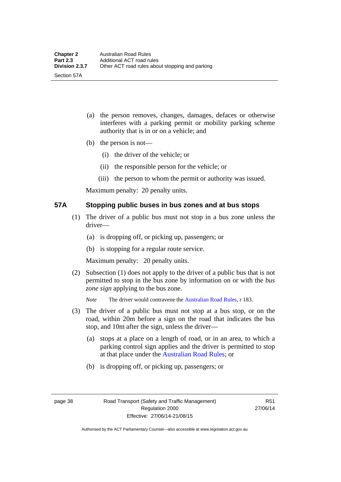- (a) the person removes, changes, damages, defaces or otherwise interferes with a parking permit or mobility parking scheme authority that is in or on a vehicle; and
- (b) the person is not—

Section 57A

- (i) the driver of the vehicle; or
- (ii) the responsible person for the vehicle; or
- (iii) the person to whom the permit or authority was issued.

Maximum penalty: 20 penalty units.

#### **57A Stopping public buses in bus zones and at bus stops**

- (1) The driver of a public bus must not stop in a bus zone unless the driver—
	- (a) is dropping off, or picking up, passengers; or
	- (b) is stopping for a regular route service.

Maximum penalty: 20 penalty units.

- (2) Subsection (1) does not apply to the driver of a public bus that is not permitted to stop in the bus zone by information on or with the *bus zone sign* applying to the bus zone.
	- *Note* The driver would contravene the [Australian Road Rules,](http://www.legislation.act.gov.au//ni/db_37271/default.asp) r 183.
- (3) The driver of a public bus must not stop at a bus stop, or on the road, within 20m before a sign on the road that indicates the bus stop, and 10m after the sign, unless the driver—
	- (a) stops at a place on a length of road, or in an area, to which a parking control sign applies and the driver is permitted to stop at that place under the [Australian Road Rules;](http://www.legislation.act.gov.au//ni/db_37271/default.asp) or
	- (b) is dropping off, or picking up, passengers; or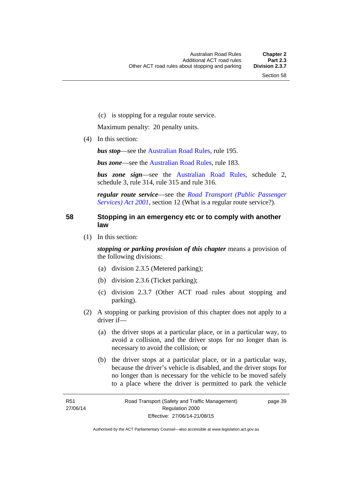(c) is stopping for a regular route service.

Maximum penalty: 20 penalty units.

(4) In this section:

*bus stop***—see the [Australian Road Rules](http://www.legislation.act.gov.au//ni/db_37271/default.asp)**, rule 195.

*bus zone*—see the [Australian Road Rules,](http://www.legislation.act.gov.au//ni/db_37271/default.asp) rule 183.

*bus zone sign*—see the [Australian Road Rules,](http://www.legislation.act.gov.au//ni/db_37271/default.asp) schedule 2, schedule 3, rule 314, rule 315 and rule 316.

*regular route service*—see the *[Road Transport \(Public Passenger](http://www.legislation.act.gov.au/a/2001-62)  [Services\) Act 2001](http://www.legislation.act.gov.au/a/2001-62)*, section 12 (What is a regular route service?).

#### **58 Stopping in an emergency etc or to comply with another law**

(1) In this section:

*stopping or parking provision of this chapter* means a provision of the following divisions:

- (a) division 2.3.5 (Metered parking);
- (b) division 2.3.6 (Ticket parking);
- (c) division 2.3.7 (Other ACT road rules about stopping and parking).
- (2) A stopping or parking provision of this chapter does not apply to a driver if—
	- (a) the driver stops at a particular place, or in a particular way, to avoid a collision, and the driver stops for no longer than is necessary to avoid the collision; or
	- (b) the driver stops at a particular place, or in a particular way, because the driver's vehicle is disabled, and the driver stops for no longer than is necessary for the vehicle to be moved safely to a place where the driver is permitted to park the vehicle

page 39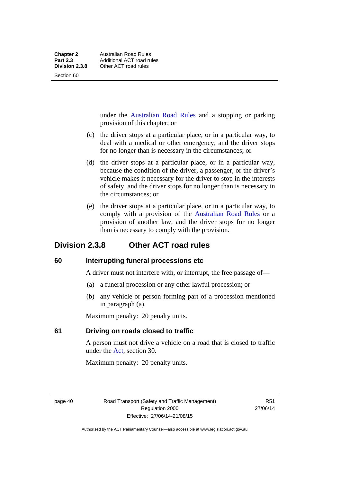**Other ACT road rules** 

under the [Australian Road Rules](http://www.legislation.act.gov.au//ni/db_37271/default.asp) and a stopping or parking provision of this chapter; or

- (c) the driver stops at a particular place, or in a particular way, to deal with a medical or other emergency, and the driver stops for no longer than is necessary in the circumstances; or
- (d) the driver stops at a particular place, or in a particular way, because the condition of the driver, a passenger, or the driver's vehicle makes it necessary for the driver to stop in the interests of safety, and the driver stops for no longer than is necessary in the circumstances; or
- (e) the driver stops at a particular place, or in a particular way, to comply with a provision of the [Australian Road Rules](http://www.legislation.act.gov.au//ni/db_37271/default.asp) or a provision of another law, and the driver stops for no longer than is necessary to comply with the provision.

# **Division 2.3.8 Other ACT road rules**

#### **60 Interrupting funeral processions etc**

A driver must not interfere with, or interrupt, the free passage of—

- (a) a funeral procession or any other lawful procession; or
- (b) any vehicle or person forming part of a procession mentioned in paragraph (a).

Maximum penalty: 20 penalty units.

### **61 Driving on roads closed to traffic**

A person must not drive a vehicle on a road that is closed to traffic under the [Act](http://www.legislation.act.gov.au/a/1999-80/default.asp), section 30.

Maximum penalty: 20 penalty units.

page 40 Road Transport (Safety and Traffic Management) Regulation 2000 Effective: 27/06/14-21/08/15

R51 27/06/14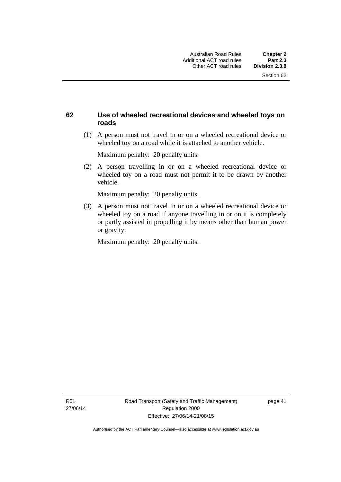#### **62 Use of wheeled recreational devices and wheeled toys on roads**

 (1) A person must not travel in or on a wheeled recreational device or wheeled toy on a road while it is attached to another vehicle.

Maximum penalty: 20 penalty units.

 (2) A person travelling in or on a wheeled recreational device or wheeled toy on a road must not permit it to be drawn by another vehicle.

Maximum penalty: 20 penalty units.

 (3) A person must not travel in or on a wheeled recreational device or wheeled toy on a road if anyone travelling in or on it is completely or partly assisted in propelling it by means other than human power or gravity.

Maximum penalty: 20 penalty units.

R51 27/06/14 page 41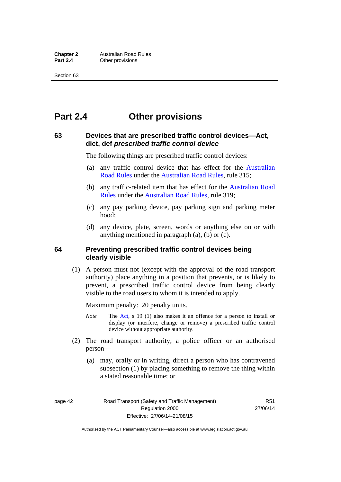# **Part 2.4 Other provisions**

#### **63 Devices that are prescribed traffic control devices—Act, dict, def** *prescribed traffic control device*

The following things are prescribed traffic control devices:

- (a) any traffic control device that has effect for the [Australian](http://www.legislation.act.gov.au//ni/db_37271/default.asp)  [Road Rules](http://www.legislation.act.gov.au//ni/db_37271/default.asp) under the [Australian Road Rules](http://www.legislation.act.gov.au//ni/db_37271/default.asp), rule 315;
- (b) any traffic-related item that has effect for the [Australian Road](http://www.legislation.act.gov.au//ni/db_37271/default.asp)  [Rules](http://www.legislation.act.gov.au//ni/db_37271/default.asp) under the [Australian Road Rules,](http://www.legislation.act.gov.au//ni/db_37271/default.asp) rule 319;
- (c) any pay parking device, pay parking sign and parking meter hood;
- (d) any device, plate, screen, words or anything else on or with anything mentioned in paragraph (a), (b) or (c).

#### **64 Preventing prescribed traffic control devices being clearly visible**

 (1) A person must not (except with the approval of the road transport authority) place anything in a position that prevents, or is likely to prevent, a prescribed traffic control device from being clearly visible to the road users to whom it is intended to apply.

Maximum penalty: 20 penalty units.

- *Note* The [Act](http://www.legislation.act.gov.au/a/1999-80/default.asp), s 19 (1) also makes it an offence for a person to install or display (or interfere, change or remove) a prescribed traffic control device without appropriate authority.
- (2) The road transport authority, a police officer or an authorised person—
	- (a) may, orally or in writing, direct a person who has contravened subsection (1) by placing something to remove the thing within a stated reasonable time; or

page 42 Road Transport (Safety and Traffic Management) Regulation 2000 Effective: 27/06/14-21/08/15

R51 27/06/14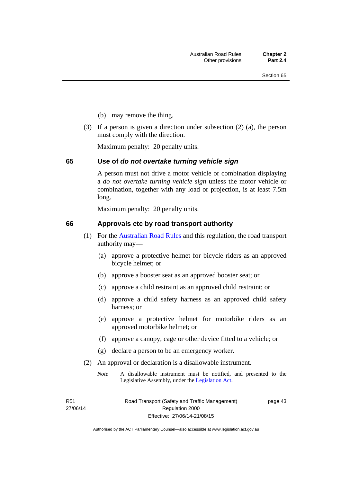- (b) may remove the thing.
- (3) If a person is given a direction under subsection (2) (a), the person must comply with the direction.

Maximum penalty: 20 penalty units.

#### **65 Use of** *do not overtake turning vehicle sign*

A person must not drive a motor vehicle or combination displaying a *do not overtake turning vehicle sign* unless the motor vehicle or combination, together with any load or projection, is at least 7.5m long.

Maximum penalty: 20 penalty units.

#### **66 Approvals etc by road transport authority**

- (1) For the [Australian Road Rules](http://www.legislation.act.gov.au//ni/db_37271/default.asp) and this regulation, the road transport authority may—
	- (a) approve a protective helmet for bicycle riders as an approved bicycle helmet; or
	- (b) approve a booster seat as an approved booster seat; or
	- (c) approve a child restraint as an approved child restraint; or
	- (d) approve a child safety harness as an approved child safety harness; or
	- (e) approve a protective helmet for motorbike riders as an approved motorbike helmet; or
	- (f) approve a canopy, cage or other device fitted to a vehicle; or
	- (g) declare a person to be an emergency worker.
- (2) An approval or declaration is a disallowable instrument.
	- *Note* A disallowable instrument must be notified, and presented to the Legislative Assembly, under the [Legislation Act.](http://www.legislation.act.gov.au/a/2001-14)

R51 27/06/14 page 43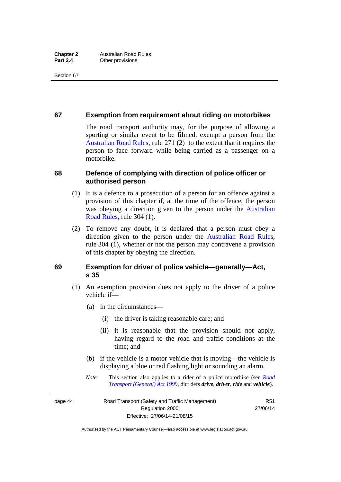#### **67 Exemption from requirement about riding on motorbikes**

The road transport authority may, for the purpose of allowing a sporting or similar event to be filmed, exempt a person from the [Australian Road Rules](http://www.legislation.act.gov.au//ni/db_37271/default.asp), rule 271 (2) to the extent that it requires the person to face forward while being carried as a passenger on a motorbike.

#### **68 Defence of complying with direction of police officer or authorised person**

- (1) It is a defence to a prosecution of a person for an offence against a provision of this chapter if, at the time of the offence, the person was obeying a direction given to the person under the [Australian](http://www.legislation.act.gov.au//ni/db_37271/default.asp)  [Road Rules,](http://www.legislation.act.gov.au//ni/db_37271/default.asp) rule 304 (1).
- (2) To remove any doubt, it is declared that a person must obey a direction given to the person under the [Australian Road Rules](http://www.legislation.act.gov.au//ni/db_37271/default.asp), rule 304 (1), whether or not the person may contravene a provision of this chapter by obeying the direction.

#### **69 Exemption for driver of police vehicle—generally—Act, s 35**

- (1) An exemption provision does not apply to the driver of a police vehicle if—
	- (a) in the circumstances—
		- (i) the driver is taking reasonable care; and
		- (ii) it is reasonable that the provision should not apply, having regard to the road and traffic conditions at the time; and
	- (b) if the vehicle is a motor vehicle that is moving—the vehicle is displaying a blue or red flashing light or sounding an alarm.
	- *Note* This section also applies to a rider of a police motorbike (see *[Road](http://www.legislation.act.gov.au/a/1999-77)  [Transport \(General\) Act 1999](http://www.legislation.act.gov.au/a/1999-77)*, dict defs *drive*, *driver*, *ride* and *vehicle*).

page 44 Road Transport (Safety and Traffic Management) Regulation 2000 Effective: 27/06/14-21/08/15

R51 27/06/14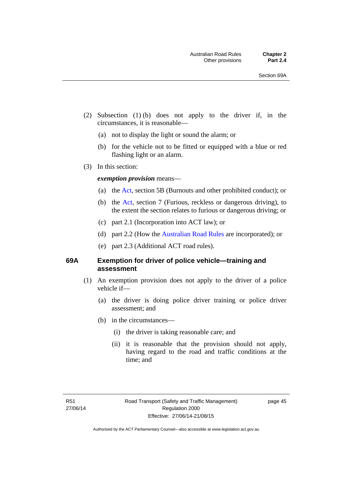- (2) Subsection (1) (b) does not apply to the driver if, in the circumstances, it is reasonable—
	- (a) not to display the light or sound the alarm; or
	- (b) for the vehicle not to be fitted or equipped with a blue or red flashing light or an alarm.
- (3) In this section:

#### *exemption provision* means—

- (a) the [Act](http://www.legislation.act.gov.au/a/1999-80/default.asp), section 5B (Burnouts and other prohibited conduct); or
- (b) the [Act](http://www.legislation.act.gov.au/a/1999-80/default.asp), section 7 (Furious, reckless or dangerous driving), to the extent the section relates to furious or dangerous driving; or
- (c) part 2.1 (Incorporation into ACT law); or
- (d) part 2.2 (How the [Australian Road Rules](http://www.legislation.act.gov.au//ni/db_37271/default.asp) are incorporated); or
- (e) part 2.3 (Additional ACT road rules).

#### **69A Exemption for driver of police vehicle—training and assessment**

- (1) An exemption provision does not apply to the driver of a police vehicle if—
	- (a) the driver is doing police driver training or police driver assessment; and
	- (b) in the circumstances—
		- (i) the driver is taking reasonable care; and
		- (ii) it is reasonable that the provision should not apply, having regard to the road and traffic conditions at the time; and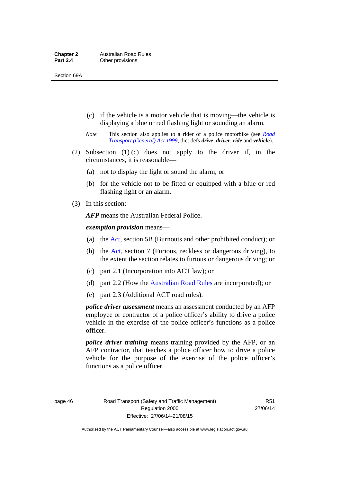- (c) if the vehicle is a motor vehicle that is moving—the vehicle is displaying a blue or red flashing light or sounding an alarm.
- *Note* This section also applies to a rider of a police motorbike (see *[Road](http://www.legislation.act.gov.au/a/1999-77)  [Transport \(General\) Act 1999](http://www.legislation.act.gov.au/a/1999-77)*, dict defs *drive*, *driver*, *ride* and *vehicle*).
- (2) Subsection (1) (c) does not apply to the driver if, in the circumstances, it is reasonable—
	- (a) not to display the light or sound the alarm; or
	- (b) for the vehicle not to be fitted or equipped with a blue or red flashing light or an alarm.
- (3) In this section:

*AFP* means the Australian Federal Police.

*exemption provision* means—

- (a) the [Act,](http://www.legislation.act.gov.au/a/1999-80/default.asp) section 5B (Burnouts and other prohibited conduct); or
- (b) the [Act](http://www.legislation.act.gov.au/a/1999-80/default.asp), section 7 (Furious, reckless or dangerous driving), to the extent the section relates to furious or dangerous driving; or
- (c) part 2.1 (Incorporation into ACT law); or
- (d) part 2.2 (How the [Australian Road Rules](http://www.legislation.act.gov.au//ni/db_37271/default.asp) are incorporated); or
- (e) part 2.3 (Additional ACT road rules).

*police driver assessment* means an assessment conducted by an AFP employee or contractor of a police officer's ability to drive a police vehicle in the exercise of the police officer's functions as a police officer.

*police driver training* means training provided by the AFP, or an AFP contractor, that teaches a police officer how to drive a police vehicle for the purpose of the exercise of the police officer's functions as a police officer.

page 46 Road Transport (Safety and Traffic Management) Regulation 2000 Effective: 27/06/14-21/08/15

R51 27/06/14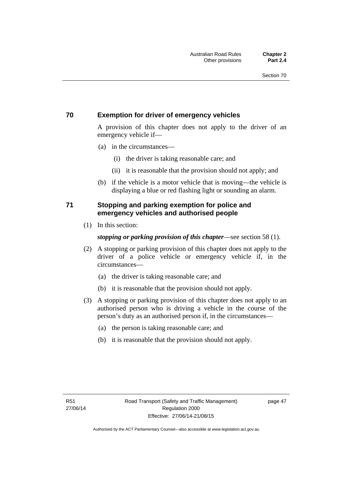#### **70 Exemption for driver of emergency vehicles**

A provision of this chapter does not apply to the driver of an emergency vehicle if—

- (a) in the circumstances—
	- (i) the driver is taking reasonable care; and
	- (ii) it is reasonable that the provision should not apply; and
- (b) if the vehicle is a motor vehicle that is moving—the vehicle is displaying a blue or red flashing light or sounding an alarm.

#### **71 Stopping and parking exemption for police and emergency vehicles and authorised people**

(1) In this section:

#### *stopping or parking provision of this chapter*—see section 58 (1).

- (2) A stopping or parking provision of this chapter does not apply to the driver of a police vehicle or emergency vehicle if, in the circumstances—
	- (a) the driver is taking reasonable care; and
	- (b) it is reasonable that the provision should not apply.
- (3) A stopping or parking provision of this chapter does not apply to an authorised person who is driving a vehicle in the course of the person's duty as an authorised person if, in the circumstances—
	- (a) the person is taking reasonable care; and
	- (b) it is reasonable that the provision should not apply.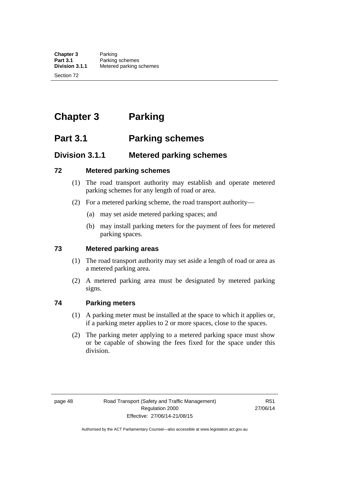# **Chapter 3 Parking**

# **Part 3.1 Parking schemes**

# **Division 3.1.1 Metered parking schemes**

#### **72 Metered parking schemes**

- (1) The road transport authority may establish and operate metered parking schemes for any length of road or area.
- (2) For a metered parking scheme, the road transport authority—
	- (a) may set aside metered parking spaces; and
	- (b) may install parking meters for the payment of fees for metered parking spaces.

#### **73 Metered parking areas**

- (1) The road transport authority may set aside a length of road or area as a metered parking area.
- (2) A metered parking area must be designated by metered parking signs.

#### **74 Parking meters**

- (1) A parking meter must be installed at the space to which it applies or, if a parking meter applies to 2 or more spaces, close to the spaces.
- (2) The parking meter applying to a metered parking space must show or be capable of showing the fees fixed for the space under this division.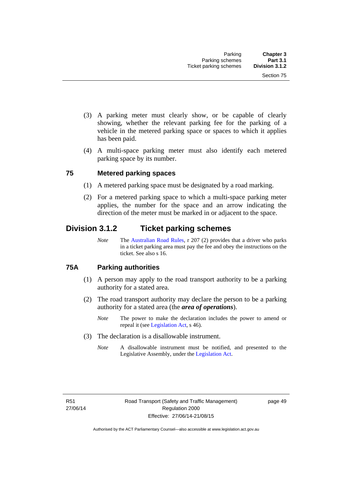- (3) A parking meter must clearly show, or be capable of clearly showing, whether the relevant parking fee for the parking of a vehicle in the metered parking space or spaces to which it applies has been paid.
- (4) A multi-space parking meter must also identify each metered parking space by its number.

#### **75 Metered parking spaces**

- (1) A metered parking space must be designated by a road marking.
- (2) For a metered parking space to which a multi-space parking meter applies, the number for the space and an arrow indicating the direction of the meter must be marked in or adjacent to the space.

# **Division 3.1.2 Ticket parking schemes**

*Note* The [Australian Road Rules](http://www.legislation.act.gov.au//ni/db_37271/default.asp), r 207 (2) provides that a driver who parks in a ticket parking area must pay the fee and obey the instructions on the ticket. See also s 16.

#### **75A Parking authorities**

- (1) A person may apply to the road transport authority to be a parking authority for a stated area.
- (2) The road transport authority may declare the person to be a parking authority for a stated area (the *area of operations*).
	- *Note* The power to make the declaration includes the power to amend or repeal it (see [Legislation Act,](http://www.legislation.act.gov.au/a/2001-14) s 46).
- (3) The declaration is a disallowable instrument.
	- *Note* A disallowable instrument must be notified, and presented to the Legislative Assembly, under the [Legislation Act.](http://www.legislation.act.gov.au/a/2001-14)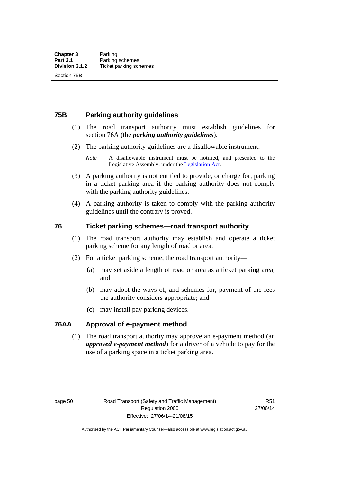#### **75B Parking authority guidelines**

- (1) The road transport authority must establish guidelines for section 76A (the *parking authority guidelines*).
- (2) The parking authority guidelines are a disallowable instrument.
	- *Note* A disallowable instrument must be notified, and presented to the Legislative Assembly, under the [Legislation Act.](http://www.legislation.act.gov.au/a/2001-14)
- (3) A parking authority is not entitled to provide, or charge for, parking in a ticket parking area if the parking authority does not comply with the parking authority guidelines.
- (4) A parking authority is taken to comply with the parking authority guidelines until the contrary is proved.

#### **76 Ticket parking schemes—road transport authority**

- (1) The road transport authority may establish and operate a ticket parking scheme for any length of road or area.
- (2) For a ticket parking scheme, the road transport authority—
	- (a) may set aside a length of road or area as a ticket parking area; and
	- (b) may adopt the ways of, and schemes for, payment of the fees the authority considers appropriate; and
	- (c) may install pay parking devices.

#### **76AA Approval of e-payment method**

(1) The road transport authority may approve an e-payment method (an *approved e-payment method*) for a driver of a vehicle to pay for the use of a parking space in a ticket parking area.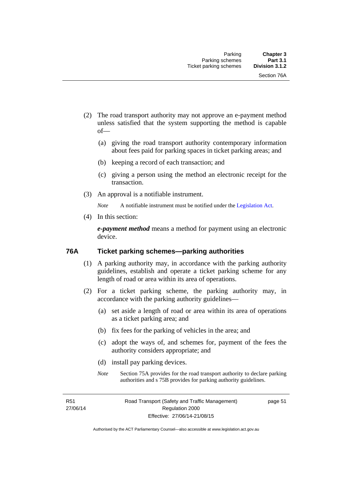- (2) The road transport authority may not approve an e-payment method unless satisfied that the system supporting the method is capable of—
	- (a) giving the road transport authority contemporary information about fees paid for parking spaces in ticket parking areas; and
	- (b) keeping a record of each transaction; and
	- (c) giving a person using the method an electronic receipt for the transaction.
- (3) An approval is a notifiable instrument.

*Note* A notifiable instrument must be notified under the [Legislation Act](http://www.legislation.act.gov.au/a/2001-14).

(4) In this section:

*e-payment method* means a method for payment using an electronic device.

#### **76A Ticket parking schemes—parking authorities**

- (1) A parking authority may, in accordance with the parking authority guidelines, establish and operate a ticket parking scheme for any length of road or area within its area of operations.
- (2) For a ticket parking scheme, the parking authority may, in accordance with the parking authority guidelines—
	- (a) set aside a length of road or area within its area of operations as a ticket parking area; and
	- (b) fix fees for the parking of vehicles in the area; and
	- (c) adopt the ways of, and schemes for, payment of the fees the authority considers appropriate; and
	- (d) install pay parking devices.
	- *Note* Section 75A provides for the road transport authority to declare parking authorities and s 75B provides for parking authority guidelines.

R51 27/06/14 page 51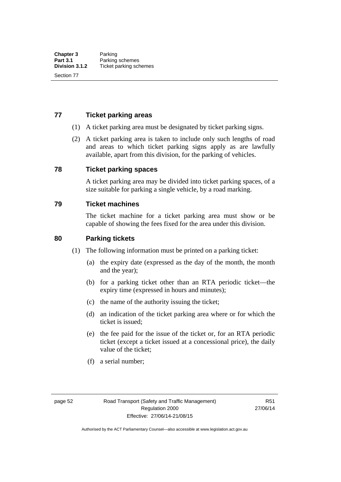#### **77 Ticket parking areas**

- (1) A ticket parking area must be designated by ticket parking signs.
- (2) A ticket parking area is taken to include only such lengths of road and areas to which ticket parking signs apply as are lawfully available, apart from this division, for the parking of vehicles.

#### **78 Ticket parking spaces**

A ticket parking area may be divided into ticket parking spaces, of a size suitable for parking a single vehicle, by a road marking.

#### **79 Ticket machines**

The ticket machine for a ticket parking area must show or be capable of showing the fees fixed for the area under this division.

#### **80 Parking tickets**

- (1) The following information must be printed on a parking ticket:
	- (a) the expiry date (expressed as the day of the month, the month and the year);
	- (b) for a parking ticket other than an RTA periodic ticket—the expiry time (expressed in hours and minutes);
	- (c) the name of the authority issuing the ticket;
	- (d) an indication of the ticket parking area where or for which the ticket is issued;
	- (e) the fee paid for the issue of the ticket or, for an RTA periodic ticket (except a ticket issued at a concessional price), the daily value of the ticket;
	- (f) a serial number;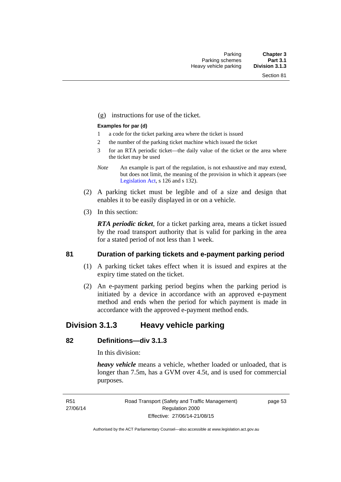(g) instructions for use of the ticket.

#### **Examples for par (d)**

- 1 a code for the ticket parking area where the ticket is issued
- 2 the number of the parking ticket machine which issued the ticket
- 3 for an RTA periodic ticket—the daily value of the ticket or the area where the ticket may be used
- *Note* An example is part of the regulation, is not exhaustive and may extend, but does not limit, the meaning of the provision in which it appears (see [Legislation Act,](http://www.legislation.act.gov.au/a/2001-14) s 126 and s 132).
- (2) A parking ticket must be legible and of a size and design that enables it to be easily displayed in or on a vehicle.
- (3) In this section:

*RTA periodic ticket*, for a ticket parking area, means a ticket issued by the road transport authority that is valid for parking in the area for a stated period of not less than 1 week.

#### **81 Duration of parking tickets and e-payment parking period**

- (1) A parking ticket takes effect when it is issued and expires at the expiry time stated on the ticket.
- (2) An e-payment parking period begins when the parking period is initiated by a device in accordance with an approved e-payment method and ends when the period for which payment is made in accordance with the approved e-payment method ends.

# **Division 3.1.3 Heavy vehicle parking**

### **82 Definitions—div 3.1.3**

In this division:

*heavy vehicle* means a vehicle, whether loaded or unloaded, that is longer than 7.5m, has a GVM over 4.5t, and is used for commercial purposes.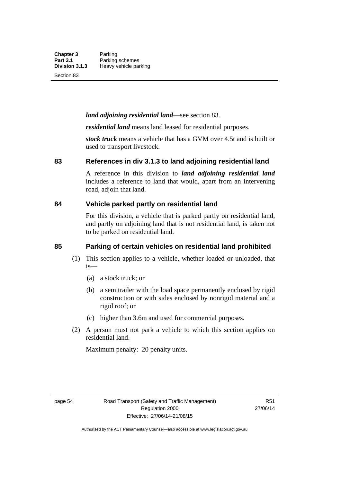#### *land adjoining residential land*—see section 83.

*residential land* means land leased for residential purposes.

*stock truck* means a vehicle that has a GVM over 4.5t and is built or used to transport livestock.

#### **83 References in div 3.1.3 to land adjoining residential land**

A reference in this division to *land adjoining residential land* includes a reference to land that would, apart from an intervening road, adjoin that land.

#### **84 Vehicle parked partly on residential land**

For this division, a vehicle that is parked partly on residential land, and partly on adjoining land that is not residential land, is taken not to be parked on residential land.

#### **85 Parking of certain vehicles on residential land prohibited**

- (1) This section applies to a vehicle, whether loaded or unloaded, that is—
	- (a) a stock truck; or
	- (b) a semitrailer with the load space permanently enclosed by rigid construction or with sides enclosed by nonrigid material and a rigid roof; or
	- (c) higher than 3.6m and used for commercial purposes.
- (2) A person must not park a vehicle to which this section applies on residential land.

Maximum penalty: 20 penalty units.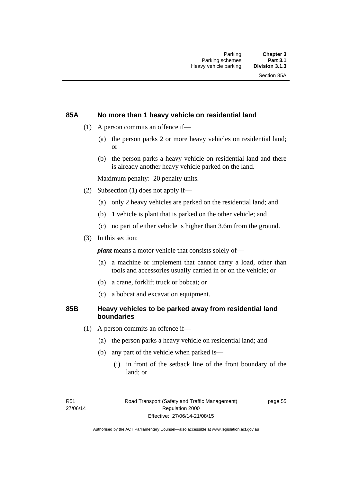#### **85A No more than 1 heavy vehicle on residential land**

- (1) A person commits an offence if—
	- (a) the person parks 2 or more heavy vehicles on residential land; or
	- (b) the person parks a heavy vehicle on residential land and there is already another heavy vehicle parked on the land.

Maximum penalty: 20 penalty units.

- (2) Subsection (1) does not apply if—
	- (a) only 2 heavy vehicles are parked on the residential land; and
	- (b) 1 vehicle is plant that is parked on the other vehicle; and
	- (c) no part of either vehicle is higher than 3.6m from the ground.
- (3) In this section:

*plant* means a motor vehicle that consists solely of—

- (a) a machine or implement that cannot carry a load, other than tools and accessories usually carried in or on the vehicle; or
- (b) a crane, forklift truck or bobcat; or
- (c) a bobcat and excavation equipment.

#### **85B Heavy vehicles to be parked away from residential land boundaries**

- (1) A person commits an offence if—
	- (a) the person parks a heavy vehicle on residential land; and
	- (b) any part of the vehicle when parked is—
		- (i) in front of the setback line of the front boundary of the land; or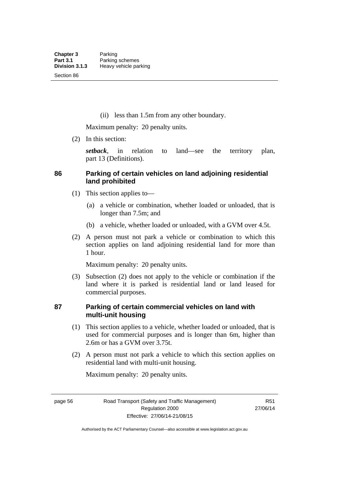(ii) less than 1.5m from any other boundary.

Maximum penalty: 20 penalty units.

(2) In this section:

*setback*, in relation to land—see the territory plan, part 13 (Definitions).

# **86 Parking of certain vehicles on land adjoining residential land prohibited**

- (1) This section applies to—
	- (a) a vehicle or combination, whether loaded or unloaded, that is longer than 7.5m; and
	- (b) a vehicle, whether loaded or unloaded, with a GVM over 4.5t.
- (2) A person must not park a vehicle or combination to which this section applies on land adjoining residential land for more than 1 hour.

Maximum penalty: 20 penalty units.

 (3) Subsection (2) does not apply to the vehicle or combination if the land where it is parked is residential land or land leased for commercial purposes.

# **87 Parking of certain commercial vehicles on land with multi-unit housing**

- (1) This section applies to a vehicle, whether loaded or unloaded, that is used for commercial purposes and is longer than 6m, higher than 2.6m or has a GVM over 3.75t.
- (2) A person must not park a vehicle to which this section applies on residential land with multi-unit housing.

Maximum penalty: 20 penalty units.

page 56 Road Transport (Safety and Traffic Management) Regulation 2000 Effective: 27/06/14-21/08/15

R51 27/06/14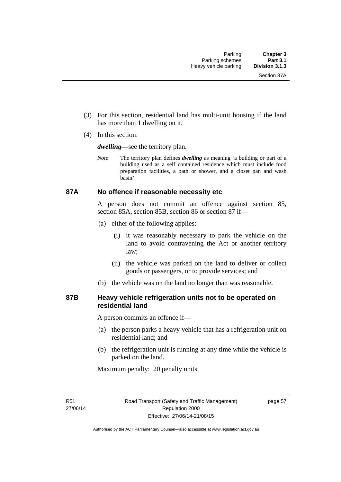- (3) For this section, residential land has multi-unit housing if the land has more than 1 dwelling on it.
- (4) In this section:

*dwelling—*see the territory plan.

*Note* The territory plan defines *dwelling* as meaning 'a building or part of a building used as a self contained residence which must include food preparation facilities, a bath or shower, and a closet pan and wash basin'.

#### **87A No offence if reasonable necessity etc**

A person does not commit an offence against section 85, section 85A, section 85B, section 86 or section 87 if—

- (a) either of the following applies:
	- (i) it was reasonably necessary to park the vehicle on the land to avoid contravening the Act or another territory law;
	- (ii) the vehicle was parked on the land to deliver or collect goods or passengers, or to provide services; and
- (b) the vehicle was on the land no longer than was reasonable.

#### **87B Heavy vehicle refrigeration units not to be operated on residential land**

A person commits an offence if—

- (a) the person parks a heavy vehicle that has a refrigeration unit on residential land; and
- (b) the refrigeration unit is running at any time while the vehicle is parked on the land.

Maximum penalty: 20 penalty units.

R51 27/06/14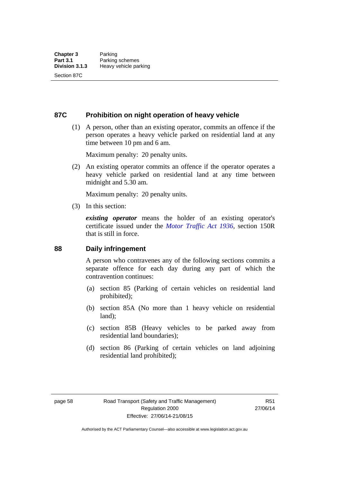**87C Prohibition on night operation of heavy vehicle** 

 (1) A person, other than an existing operator, commits an offence if the person operates a heavy vehicle parked on residential land at any time between 10 pm and 6 am.

Maximum penalty: 20 penalty units.

 (2) An existing operator commits an offence if the operator operates a heavy vehicle parked on residential land at any time between midnight and 5.30 am.

Maximum penalty: 20 penalty units.

(3) In this section:

*existing operator* means the holder of an existing operator's certificate issued under the *[Motor Traffic Act 1936](http://www.legislation.act.gov.au/a/1936-45)*, section 150R that is still in force.

#### **88 Daily infringement**

A person who contravenes any of the following sections commits a separate offence for each day during any part of which the contravention continues:

- (a) section 85 (Parking of certain vehicles on residential land prohibited);
- (b) section 85A (No more than 1 heavy vehicle on residential land);
- (c) section 85B (Heavy vehicles to be parked away from residential land boundaries);
- (d) section 86 (Parking of certain vehicles on land adjoining residential land prohibited);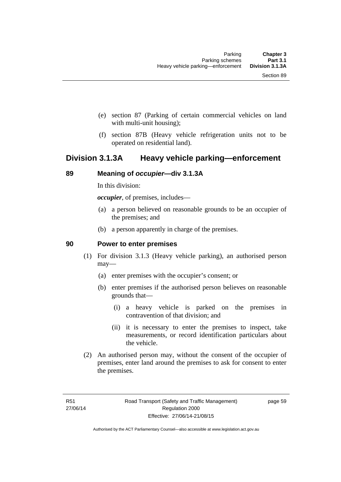- (e) section 87 (Parking of certain commercial vehicles on land with multi-unit housing);
- (f) section 87B (Heavy vehicle refrigeration units not to be operated on residential land).

# **Division 3.1.3A Heavy vehicle parking—enforcement**

# **89 Meaning of** *occupier***—div 3.1.3A**

In this division:

*occupier*, of premises, includes—

- (a) a person believed on reasonable grounds to be an occupier of the premises; and
- (b) a person apparently in charge of the premises.

#### **90 Power to enter premises**

- (1) For division 3.1.3 (Heavy vehicle parking), an authorised person may—
	- (a) enter premises with the occupier's consent; or
	- (b) enter premises if the authorised person believes on reasonable grounds that—
		- (i) a heavy vehicle is parked on the premises in contravention of that division; and
		- (ii) it is necessary to enter the premises to inspect, take measurements, or record identification particulars about the vehicle.
- (2) An authorised person may, without the consent of the occupier of premises, enter land around the premises to ask for consent to enter the premises.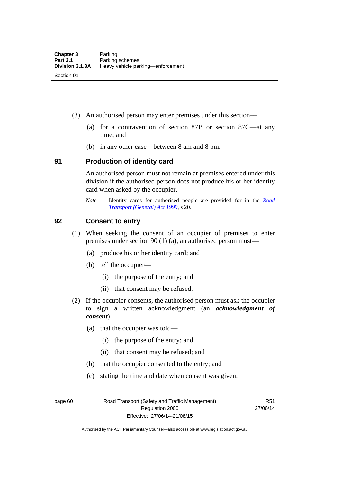- (3) An authorised person may enter premises under this section––
	- (a) for a contravention of section 87B or section 87C––at any time; and
	- (b) in any other case––between 8 am and 8 pm.

#### **91 Production of identity card**

An authorised person must not remain at premises entered under this division if the authorised person does not produce his or her identity card when asked by the occupier.

*Note* Identity cards for authorised people are provided for in the *[Road](http://www.legislation.act.gov.au/a/1999-77)  [Transport \(General\) Act 1999](http://www.legislation.act.gov.au/a/1999-77)*, s 20.

#### **92 Consent to entry**

- (1) When seeking the consent of an occupier of premises to enter premises under section 90 (1) (a), an authorised person must—
	- (a) produce his or her identity card; and
	- (b) tell the occupier—
		- (i) the purpose of the entry; and
		- (ii) that consent may be refused.
- (2) If the occupier consents, the authorised person must ask the occupier to sign a written acknowledgment (an *acknowledgment of consent*)—
	- (a) that the occupier was told—
		- (i) the purpose of the entry; and
		- (ii) that consent may be refused; and
	- (b) that the occupier consented to the entry; and
	- (c) stating the time and date when consent was given.

page 60 Road Transport (Safety and Traffic Management) Regulation 2000 Effective: 27/06/14-21/08/15

R51 27/06/14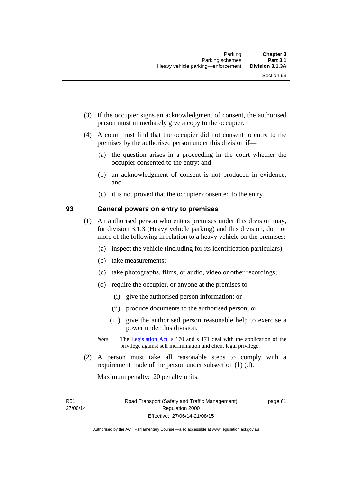- (3) If the occupier signs an acknowledgment of consent, the authorised person must immediately give a copy to the occupier.
- (4) A court must find that the occupier did not consent to entry to the premises by the authorised person under this division if—
	- (a) the question arises in a proceeding in the court whether the occupier consented to the entry; and
	- (b) an acknowledgment of consent is not produced in evidence; and
	- (c) it is not proved that the occupier consented to the entry.

#### **93 General powers on entry to premises**

- (1) An authorised person who enters premises under this division may, for division 3.1.3 (Heavy vehicle parking) and this division, do 1 or more of the following in relation to a heavy vehicle on the premises:
	- (a) inspect the vehicle (including for its identification particulars);
	- (b) take measurements;
	- (c) take photographs, films, or audio, video or other recordings;
	- (d) require the occupier, or anyone at the premises to—
		- (i) give the authorised person information; or
		- (ii) produce documents to the authorised person; or
		- (iii) give the authorised person reasonable help to exercise a power under this division.
	- *Note* The [Legislation Act,](http://www.legislation.act.gov.au/a/2001-14) s 170 and s 171 deal with the application of the privilege against self incrimination and client legal privilege.
- (2) A person must take all reasonable steps to comply with a requirement made of the person under subsection (1) (d).

Maximum penalty: 20 penalty units.

R51 27/06/14 page 61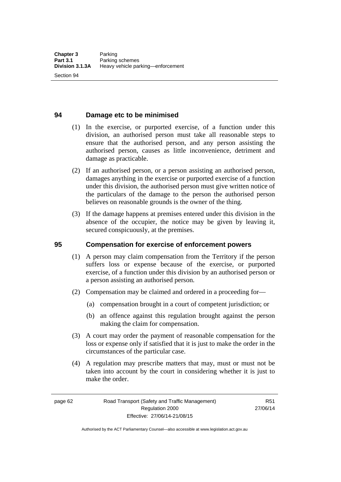Section 94

# **94 Damage etc to be minimised**

- (1) In the exercise, or purported exercise, of a function under this division, an authorised person must take all reasonable steps to ensure that the authorised person, and any person assisting the authorised person, causes as little inconvenience, detriment and damage as practicable.
- (2) If an authorised person, or a person assisting an authorised person, damages anything in the exercise or purported exercise of a function under this division, the authorised person must give written notice of the particulars of the damage to the person the authorised person believes on reasonable grounds is the owner of the thing.
- (3) If the damage happens at premises entered under this division in the absence of the occupier, the notice may be given by leaving it, secured conspicuously, at the premises.

# **95 Compensation for exercise of enforcement powers**

- (1) A person may claim compensation from the Territory if the person suffers loss or expense because of the exercise, or purported exercise, of a function under this division by an authorised person or a person assisting an authorised person.
- (2) Compensation may be claimed and ordered in a proceeding for—
	- (a) compensation brought in a court of competent jurisdiction; or
	- (b) an offence against this regulation brought against the person making the claim for compensation.
- (3) A court may order the payment of reasonable compensation for the loss or expense only if satisfied that it is just to make the order in the circumstances of the particular case.
- (4) A regulation may prescribe matters that may, must or must not be taken into account by the court in considering whether it is just to make the order.

page 62 Road Transport (Safety and Traffic Management) Regulation 2000 Effective: 27/06/14-21/08/15

R51 27/06/14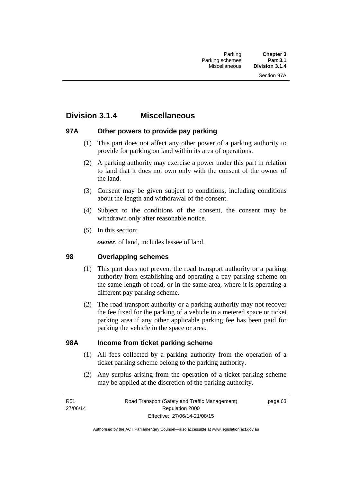# **Division 3.1.4 Miscellaneous**

# **97A Other powers to provide pay parking**

- (1) This part does not affect any other power of a parking authority to provide for parking on land within its area of operations.
- (2) A parking authority may exercise a power under this part in relation to land that it does not own only with the consent of the owner of the land.
- (3) Consent may be given subject to conditions, including conditions about the length and withdrawal of the consent.
- (4) Subject to the conditions of the consent, the consent may be withdrawn only after reasonable notice.
- (5) In this section:

*owner*, of land, includes lessee of land.

# **98 Overlapping schemes**

- (1) This part does not prevent the road transport authority or a parking authority from establishing and operating a pay parking scheme on the same length of road, or in the same area, where it is operating a different pay parking scheme.
- (2) The road transport authority or a parking authority may not recover the fee fixed for the parking of a vehicle in a metered space or ticket parking area if any other applicable parking fee has been paid for parking the vehicle in the space or area.

#### **98A Income from ticket parking scheme**

- (1) All fees collected by a parking authority from the operation of a ticket parking scheme belong to the parking authority.
- (2) Any surplus arising from the operation of a ticket parking scheme may be applied at the discretion of the parking authority.

page 63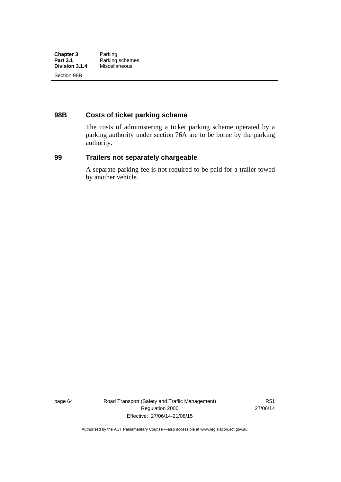# **98B Costs of ticket parking scheme**

The costs of administering a ticket parking scheme operated by a parking authority under section 76A are to be borne by the parking authority.

# **99 Trailers not separately chargeable**

A separate parking fee is not required to be paid for a trailer towed by another vehicle.

page 64 Road Transport (Safety and Traffic Management) Regulation 2000 Effective: 27/06/14-21/08/15

R51 27/06/14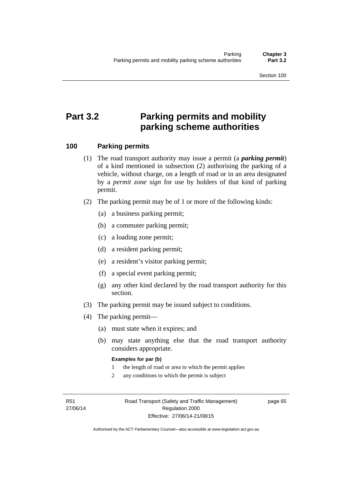Section 100

# **Part 3.2 Parking permits and mobility parking scheme authorities**

# **100 Parking permits**

- (1) The road transport authority may issue a permit (a *parking permit*) of a kind mentioned in subsection (2) authorising the parking of a vehicle, without charge, on a length of road or in an area designated by a *permit zone sign* for use by holders of that kind of parking permit.
- (2) The parking permit may be of 1 or more of the following kinds:
	- (a) a business parking permit;
	- (b) a commuter parking permit;
	- (c) a loading zone permit;
	- (d) a resident parking permit;
	- (e) a resident's visitor parking permit;
	- (f) a special event parking permit;
	- (g) any other kind declared by the road transport authority for this section.
- (3) The parking permit may be issued subject to conditions.
- (4) The parking permit—
	- (a) must state when it expires; and
	- (b) may state anything else that the road transport authority considers appropriate.

#### **Examples for par (b)**

- 1 the length of road or area to which the permit applies
- 2 any conditions to which the permit is subject

R51 27/06/14 page 65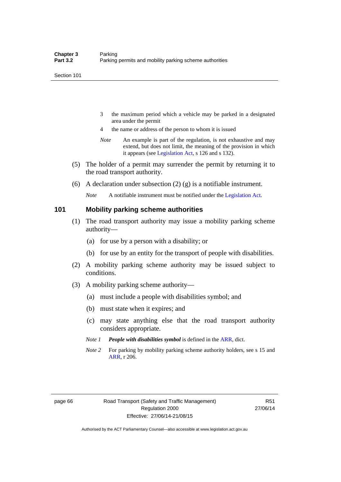- 3 the maximum period which a vehicle may be parked in a designated area under the permit
- 4 the name or address of the person to whom it is issued
- *Note* An example is part of the regulation, is not exhaustive and may extend, but does not limit, the meaning of the provision in which it appears (see [Legislation Act,](http://www.legislation.act.gov.au/a/2001-14) s 126 and s 132).
- (5) The holder of a permit may surrender the permit by returning it to the road transport authority.
- (6) A declaration under subsection (2) (g) is a notifiable instrument.

*Note* A notifiable instrument must be notified under the [Legislation Act](http://www.legislation.act.gov.au/a/2001-14).

#### **101 Mobility parking scheme authorities**

- (1) The road transport authority may issue a mobility parking scheme authority—
	- (a) for use by a person with a disability; or
	- (b) for use by an entity for the transport of people with disabilities.
- (2) A mobility parking scheme authority may be issued subject to conditions.
- (3) A mobility parking scheme authority—
	- (a) must include a people with disabilities symbol; and
	- (b) must state when it expires; and
	- (c) may state anything else that the road transport authority considers appropriate.
	- *Note 1 People with disabilities symbol* is defined in the [ARR](http://www.legislation.act.gov.au//ni/db_37271/default.asp), dict.
	- *Note 2* For parking by mobility parking scheme authority holders, see s 15 and [ARR,](http://www.legislation.act.gov.au//ni/db_37271/default.asp) r 206.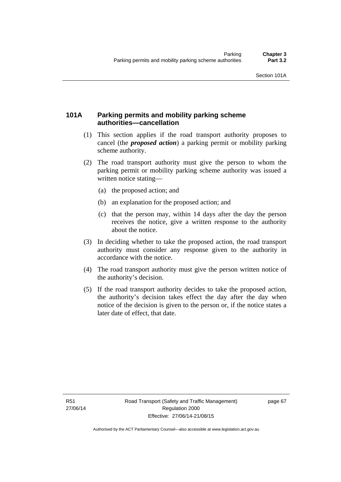# **101A Parking permits and mobility parking scheme authorities—cancellation**

- (1) This section applies if the road transport authority proposes to cancel (the *proposed action*) a parking permit or mobility parking scheme authority.
- (2) The road transport authority must give the person to whom the parking permit or mobility parking scheme authority was issued a written notice stating—
	- (a) the proposed action; and
	- (b) an explanation for the proposed action; and
	- (c) that the person may, within 14 days after the day the person receives the notice, give a written response to the authority about the notice.
- (3) In deciding whether to take the proposed action, the road transport authority must consider any response given to the authority in accordance with the notice.
- (4) The road transport authority must give the person written notice of the authority's decision.
- (5) If the road transport authority decides to take the proposed action, the authority's decision takes effect the day after the day when notice of the decision is given to the person or, if the notice states a later date of effect, that date.

page 67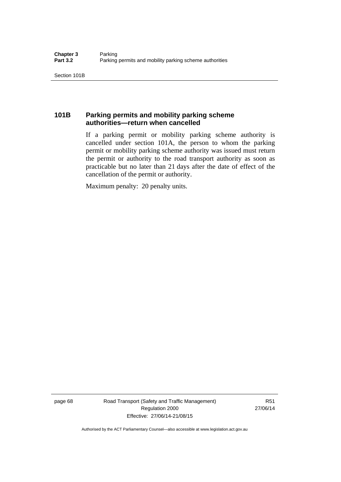# **101B Parking permits and mobility parking scheme authorities—return when cancelled**

If a parking permit or mobility parking scheme authority is cancelled under section 101A, the person to whom the parking permit or mobility parking scheme authority was issued must return the permit or authority to the road transport authority as soon as practicable but no later than 21 days after the date of effect of the cancellation of the permit or authority.

Maximum penalty: 20 penalty units.

page 68 Road Transport (Safety and Traffic Management) Regulation 2000 Effective: 27/06/14-21/08/15

R51 27/06/14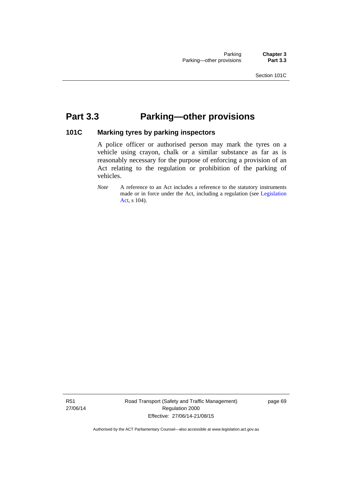# **Part 3.3 Parking—other provisions**

# **101C Marking tyres by parking inspectors**

A police officer or authorised person may mark the tyres on a vehicle using crayon, chalk or a similar substance as far as is reasonably necessary for the purpose of enforcing a provision of an Act relating to the regulation or prohibition of the parking of vehicles.

*Note* A reference to an Act includes a reference to the statutory instruments made or in force under the Act, including a regulation (see [Legislation](http://www.legislation.act.gov.au/a/2001-14)  [Act,](http://www.legislation.act.gov.au/a/2001-14) s 104).

R51 27/06/14 Road Transport (Safety and Traffic Management) Regulation 2000 Effective: 27/06/14-21/08/15

page 69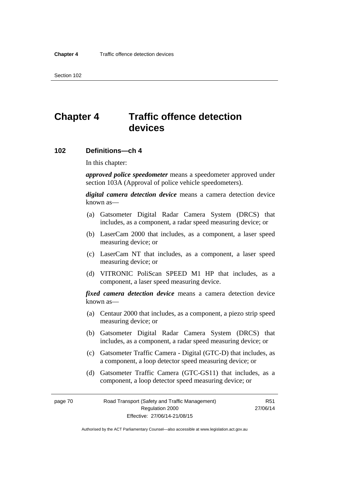# **Chapter 4 Traffic offence detection devices**

#### **102 Definitions—ch 4**

In this chapter:

*approved police speedometer* means a speedometer approved under section 103A (Approval of police vehicle speedometers).

*digital camera detection device* means a camera detection device known as—

- (a) Gatsometer Digital Radar Camera System (DRCS) that includes, as a component, a radar speed measuring device; or
- (b) LaserCam 2000 that includes, as a component, a laser speed measuring device; or
- (c) LaserCam NT that includes, as a component, a laser speed measuring device; or
- (d) VITRONIC PoliScan SPEED M1 HP that includes, as a component, a laser speed measuring device.

*fixed camera detection device* means a camera detection device known as—

- (a) Centaur 2000 that includes, as a component, a piezo strip speed measuring device; or
- (b) Gatsometer Digital Radar Camera System (DRCS) that includes, as a component, a radar speed measuring device; or
- (c) Gatsometer Traffic Camera Digital (GTC-D) that includes, as a component, a loop detector speed measuring device; or
- (d) Gatsometer Traffic Camera (GTC-GS11) that includes, as a component, a loop detector speed measuring device; or

page 70 Road Transport (Safety and Traffic Management) Regulation 2000 Effective: 27/06/14-21/08/15

R51 27/06/14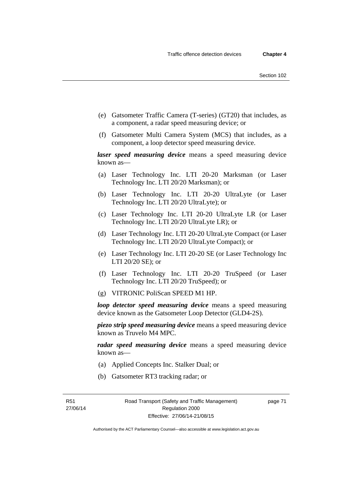- (e) Gatsometer Traffic Camera (T-series) (GT20) that includes, as a component, a radar speed measuring device; or
- (f) Gatsometer Multi Camera System (MCS) that includes, as a component, a loop detector speed measuring device.

*laser speed measuring device* means a speed measuring device known as—

- (a) Laser Technology Inc. LTI 20-20 Marksman (or Laser Technology Inc. LTI 20/20 Marksman); or
- (b) Laser Technology Inc. LTI 20-20 UltraLyte (or Laser Technology Inc. LTI 20/20 UltraLyte); or
- (c) Laser Technology Inc. LTI 20-20 UltraLyte LR (or Laser Technology Inc. LTI 20/20 UltraLyte LR); or
- (d) Laser Technology Inc. LTI 20-20 UltraLyte Compact (or Laser Technology Inc. LTI 20/20 UltraLyte Compact); or
- (e) Laser Technology Inc. LTI 20-20 SE (or Laser Technology Inc LTI 20/20 SE); or
- (f) Laser Technology Inc. LTI 20-20 TruSpeed (or Laser Technology Inc. LTI 20/20 TruSpeed); or
- (g) VITRONIC PoliScan SPEED M1 HP.

*loop detector speed measuring device* means a speed measuring device known as the Gatsometer Loop Detector (GLD4-2S).

*piezo strip speed measuring device* means a speed measuring device known as Truvelo M4 MPC.

*radar speed measuring device* means a speed measuring device known as—

- (a) Applied Concepts Inc. Stalker Dual; or
- (b) Gatsometer RT3 tracking radar; or

R51 27/06/14 page 71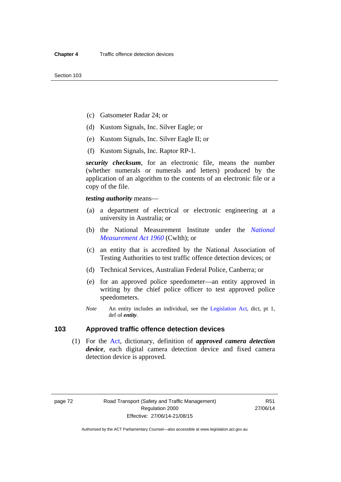- (c) Gatsometer Radar 24; or
- (d) Kustom Signals, Inc. Silver Eagle; or
- (e) Kustom Signals, Inc. Silver Eagle II; or
- (f) Kustom Signals, Inc. Raptor RP-1.

*security checksum*, for an electronic file, means the number (whether numerals or numerals and letters) produced by the application of an algorithm to the contents of an electronic file or a copy of the file.

*testing authority* means—

- (a) a department of electrical or electronic engineering at a university in Australia; or
- (b) the National Measurement Institute under the *[National](http://www.comlaw.gov.au/Series/C2004A07405)  [Measurement Act 1960](http://www.comlaw.gov.au/Series/C2004A07405)* (Cwlth); or
- (c) an entity that is accredited by the National Association of Testing Authorities to test traffic offence detection devices; or
- (d) Technical Services, Australian Federal Police, Canberra; or
- (e) for an approved police speedometer—an entity approved in writing by the chief police officer to test approved police speedometers.
- *Note* An entity includes an individual, see the [Legislation Act](http://www.legislation.act.gov.au/a/2001-14), dict, pt 1, def of *entity*.

# **103 Approved traffic offence detection devices**

 (1) For the [Act](http://www.legislation.act.gov.au/a/1999-80/default.asp), dictionary, definition of *approved camera detection device*, each digital camera detection device and fixed camera detection device is approved.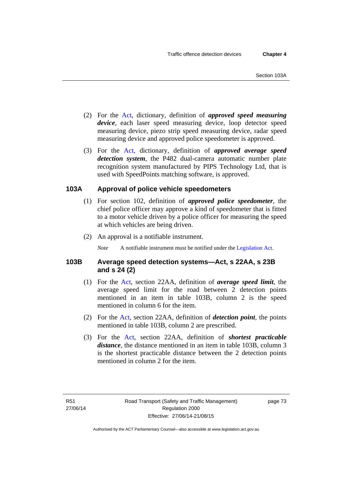- (2) For the [Act,](http://www.legislation.act.gov.au/a/1999-80/default.asp) dictionary, definition of *approved speed measuring device*, each laser speed measuring device, loop detector speed measuring device, piezo strip speed measuring device, radar speed measuring device and approved police speedometer is approved.
- (3) For the [Act](http://www.legislation.act.gov.au/a/1999-80/default.asp), dictionary, definition of *approved average speed detection system*, the P482 dual-camera automatic number plate recognition system manufactured by PIPS Technology Ltd, that is used with SpeedPoints matching software, is approved.

# **103A Approval of police vehicle speedometers**

- (1) For section 102, definition of *approved police speedometer*, the chief police officer may approve a kind of speedometer that is fitted to a motor vehicle driven by a police officer for measuring the speed at which vehicles are being driven.
- (2) An approval is a notifiable instrument.

*Note* A notifiable instrument must be notified under the [Legislation Act](http://www.legislation.act.gov.au/a/2001-14).

# **103B Average speed detection systems—Act, s 22AA, s 23B and s 24 (2)**

- (1) For the [Act,](http://www.legislation.act.gov.au/a/1999-80/default.asp) section 22AA, definition of *average speed limit*, the average speed limit for the road between 2 detection points mentioned in an item in table 103B, column 2 is the speed mentioned in column 6 for the item.
- (2) For the [Act](http://www.legislation.act.gov.au/a/1999-80/default.asp), section 22AA, definition of *detection point*, the points mentioned in table 103B, column 2 are prescribed.
- (3) For the [Act](http://www.legislation.act.gov.au/a/1999-80/default.asp), section 22AA, definition of *shortest practicable distance*, the distance mentioned in an item in table 103B, column 3 is the shortest practicable distance between the 2 detection points mentioned in column 2 for the item.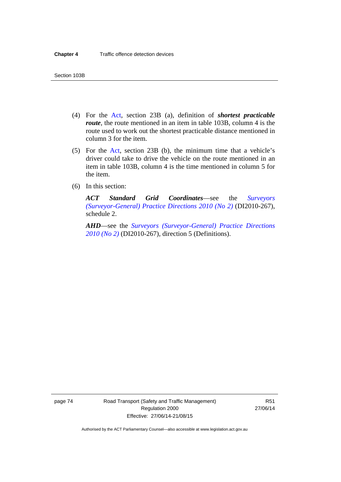- (4) For the [Act,](http://www.legislation.act.gov.au/a/1999-80/default.asp) section 23B (a), definition of *shortest practicable route*, the route mentioned in an item in table 103B, column 4 is the route used to work out the shortest practicable distance mentioned in column 3 for the item.
- (5) For the [Act](http://www.legislation.act.gov.au/a/1999-80/default.asp), section 23B (b), the minimum time that a vehicle's driver could take to drive the vehicle on the route mentioned in an item in table 103B, column 4 is the time mentioned in column 5 for the item.
- (6) In this section:

*ACT Standard Grid Coordinates*—see the *[Surveyors](http://www.legislation.act.gov.au/di/2010-267/default.asp)  [\(Surveyor-General\) Practice Directions 2010 \(No 2\)](http://www.legislation.act.gov.au/di/2010-267/default.asp)* (DI2010-267), schedule 2.

*AHD*—see the *[Surveyors \(Surveyor-General\) Practice Directions](http://www.legislation.act.gov.au/di/2010-267/default.asp)  [2010 \(No 2\)](http://www.legislation.act.gov.au/di/2010-267/default.asp)* (DI2010-267), direction 5 (Definitions).

page 74 Road Transport (Safety and Traffic Management) Regulation 2000 Effective: 27/06/14-21/08/15

R51 27/06/14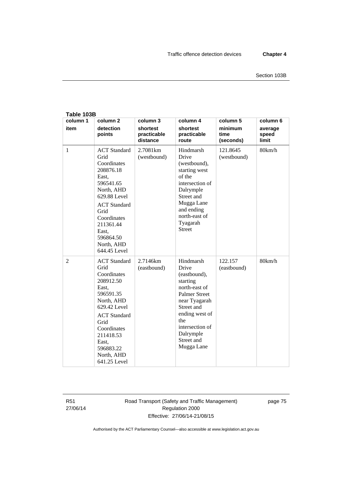| Table 103B       |                                                                                                                                                                                                                            |                                                 |                                                                                                                                                                                                             |                                          |                                       |  |  |  |  |
|------------------|----------------------------------------------------------------------------------------------------------------------------------------------------------------------------------------------------------------------------|-------------------------------------------------|-------------------------------------------------------------------------------------------------------------------------------------------------------------------------------------------------------------|------------------------------------------|---------------------------------------|--|--|--|--|
| column 1<br>item | column <sub>2</sub><br>detection<br>points                                                                                                                                                                                 | column 3<br>shortest<br>practicable<br>distance | column 4<br>shortest<br>practicable<br>route                                                                                                                                                                | column 5<br>minimum<br>time<br>(seconds) | column 6<br>average<br>speed<br>limit |  |  |  |  |
| $\mathbf{1}$     | <b>ACT</b> Standard<br>Grid<br>Coordinates<br>208876.18<br>East,<br>596541.65<br>North, AHD<br>629.88 Level<br><b>ACT</b> Standard<br>Grid<br>Coordinates<br>211361.44<br>East,<br>596864.50<br>North, AHD<br>644.45 Level | 2.7081km<br>(westbound)                         | Hindmarsh<br>Drive<br>(westbound),<br>starting west<br>of the<br>intersection of<br>Dalrymple<br>Street and<br>Mugga Lane<br>and ending<br>north-east of<br>Tyagarah<br><b>Street</b>                       | 121.8645<br>(westbound)                  | 80km/h                                |  |  |  |  |
| $\overline{2}$   | <b>ACT</b> Standard<br>Grid<br>Coordinates<br>208912.50<br>East,<br>596591.35<br>North, AHD<br>629.42 Level<br><b>ACT</b> Standard<br>Grid<br>Coordinates<br>211418.53<br>East,<br>596883.22<br>North, AHD<br>641.25 Level | 2.7146km<br>(eastbound)                         | Hindmarsh<br>Drive<br>(eastbound),<br>starting<br>north-east of<br><b>Palmer Street</b><br>near Tyagarah<br>Street and<br>ending west of<br>the<br>intersection of<br>Dalrymple<br>Street and<br>Mugga Lane | 122.157<br>(eastbound)                   | 80km/h                                |  |  |  |  |

R51 27/06/14 Road Transport (Safety and Traffic Management) Regulation 2000 Effective: 27/06/14-21/08/15

page 75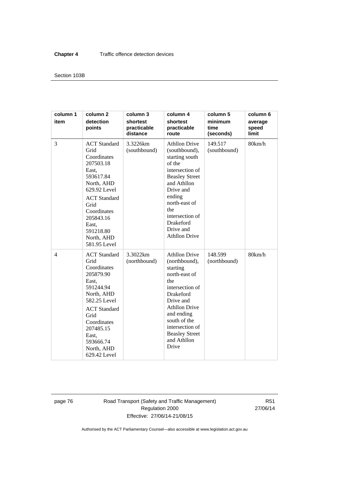#### Section 103B

| column 1<br>item | column <sub>2</sub><br>detection<br>points                                                                                                                                                                                 | column 3<br>shortest<br>practicable<br>distance | column 4<br>shortest<br>practicable<br>route                                                                                                                                                                                                     | column 5<br>minimum<br>time<br>(seconds) | column 6<br>average<br>speed<br>limit |
|------------------|----------------------------------------------------------------------------------------------------------------------------------------------------------------------------------------------------------------------------|-------------------------------------------------|--------------------------------------------------------------------------------------------------------------------------------------------------------------------------------------------------------------------------------------------------|------------------------------------------|---------------------------------------|
| 3                | <b>ACT</b> Standard<br>Grid<br>Coordinates<br>207503.18<br>East.<br>593617.84<br>North, AHD<br>629.92 Level<br><b>ACT</b> Standard<br>Grid<br>Coordinates<br>205843.16<br>East,<br>591218.80<br>North, AHD<br>581.95 Level | 3.3226km<br>(southbound)                        | <b>Athllon Drive</b><br>(southbound),<br>starting south<br>of the<br>intersection of<br><b>Beasley Street</b><br>and Athllon<br>Drive and<br>ending<br>north-east of<br>the<br>intersection of<br>Drakeford<br>Drive and<br><b>Athllon Drive</b> | 149.517<br>(southbound)                  | 80km/h                                |
| 4                | <b>ACT</b> Standard<br>Grid<br>Coordinates<br>205879.90<br>East.<br>591244.94<br>North, AHD<br>582.25 Level<br><b>ACT</b> Standard<br>Grid<br>Coordinates<br>207485.15<br>East,<br>593666.74<br>North, AHD<br>629.42 Level | 3.3022km<br>(northbound)                        | <b>Athllon Drive</b><br>(northbound),<br>starting<br>north-east of<br>the<br>intersection of<br>Drakeford<br>Drive and<br><b>Athllon Drive</b><br>and ending<br>south of the<br>intersection of<br><b>Beasley Street</b><br>and Athllon<br>Drive | 148.599<br>(northbound)                  | 80km/h                                |

page 76 Road Transport (Safety and Traffic Management) Regulation 2000 Effective: 27/06/14-21/08/15

R51 27/06/14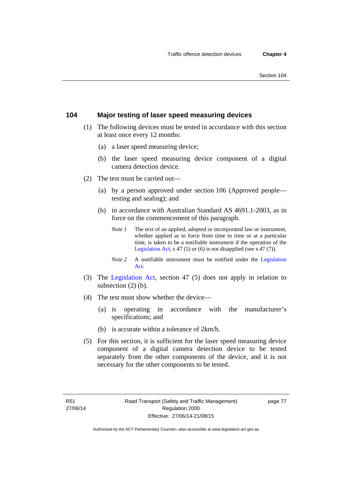# **104 Major testing of laser speed measuring devices**

- (1) The following devices must be tested in accordance with this section at least once every 12 months:
	- (a) a laser speed measuring device;
	- (b) the laser speed measuring device component of a digital camera detection device.
- (2) The test must be carried out—
	- (a) by a person approved under section 106 (Approved people testing and sealing); and
	- (b) in accordance with Australian Standard AS 4691.1-2003, as in force on the commencement of this paragraph.
		- *Note 1* The text of an applied, adopted or incorporated law or instrument, whether applied as in force from time to time or at a particular time, is taken to be a notifiable instrument if the operation of the [Legislation Act,](http://www.legislation.act.gov.au/a/2001-14) s 47 (5) or (6) is not disapplied (see s 47 (7)).
		- *Note 2* A notifiable instrument must be notified under the [Legislation](http://www.legislation.act.gov.au/a/2001-14)  [Act.](http://www.legislation.act.gov.au/a/2001-14)
- (3) The [Legislation Act,](http://www.legislation.act.gov.au/a/2001-14) section 47 (5) does not apply in relation to subsection (2) (b).
- (4) The test must show whether the device—
	- (a) is operating in accordance with the manufacturer's specifications; and
	- (b) is accurate within a tolerance of 2km/h.
- (5) For this section, it is sufficient for the laser speed measuring device component of a digital camera detection device to be tested separately from the other components of the device, and it is not necessary for the other components to be tested.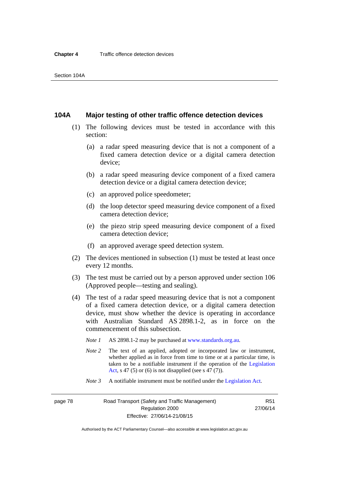#### **104A Major testing of other traffic offence detection devices**

- (1) The following devices must be tested in accordance with this section:
	- (a) a radar speed measuring device that is not a component of a fixed camera detection device or a digital camera detection device;
	- (b) a radar speed measuring device component of a fixed camera detection device or a digital camera detection device;
	- (c) an approved police speedometer;
	- (d) the loop detector speed measuring device component of a fixed camera detection device;
	- (e) the piezo strip speed measuring device component of a fixed camera detection device;
	- (f) an approved average speed detection system.
- (2) The devices mentioned in subsection (1) must be tested at least once every 12 months.
- (3) The test must be carried out by a person approved under section 106 (Approved people—testing and sealing).
- (4) The test of a radar speed measuring device that is not a component of a fixed camera detection device, or a digital camera detection device, must show whether the device is operating in accordance with Australian Standard AS 2898.1-2, as in force on the commencement of this subsection.
	- *Note 1* AS 2898.1-2 may be purchased at [www.standards.org.au](http://www.standards.org.au/Pages/default.aspx)*.*
	- *Note* 2 The text of an applied, adopted or incorporated law or instrument, whether applied as in force from time to time or at a particular time, is taken to be a notifiable instrument if the operation of the [Legislation](http://www.legislation.act.gov.au/a/2001-14)  [Act](http://www.legislation.act.gov.au/a/2001-14), s 47 (5) or (6) is not disapplied (see s 47 (7)).
	- *Note 3* A notifiable instrument must be notified under the [Legislation Act](http://www.legislation.act.gov.au/a/2001-14).

page 78 Road Transport (Safety and Traffic Management) Regulation 2000 Effective: 27/06/14-21/08/15

R51 27/06/14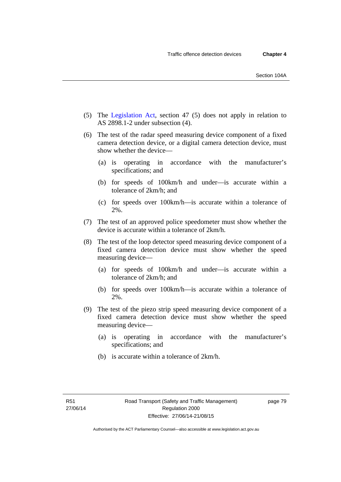- (5) The [Legislation Act,](http://www.legislation.act.gov.au/a/2001-14) section 47 (5) does not apply in relation to AS 2898.1-2 under subsection (4).
- (6) The test of the radar speed measuring device component of a fixed camera detection device, or a digital camera detection device, must show whether the device—
	- (a) is operating in accordance with the manufacturer's specifications; and
	- (b) for speeds of 100km/h and under—is accurate within a tolerance of 2km/h; and
	- (c) for speeds over 100km/h—is accurate within a tolerance of 2%.
- (7) The test of an approved police speedometer must show whether the device is accurate within a tolerance of 2km/h.
- (8) The test of the loop detector speed measuring device component of a fixed camera detection device must show whether the speed measuring device—
	- (a) for speeds of 100km/h and under—is accurate within a tolerance of 2km/h; and
	- (b) for speeds over 100km/h—is accurate within a tolerance of 2%.
- (9) The test of the piezo strip speed measuring device component of a fixed camera detection device must show whether the speed measuring device—
	- (a) is operating in accordance with the manufacturer's specifications; and
	- (b) is accurate within a tolerance of 2km/h.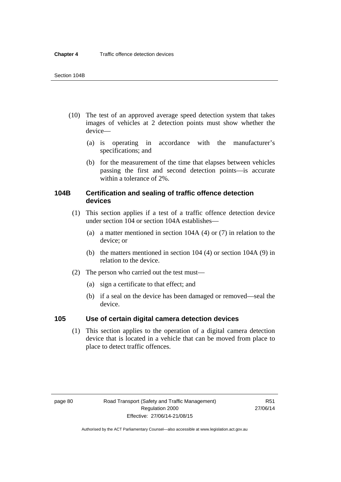- (10) The test of an approved average speed detection system that takes images of vehicles at 2 detection points must show whether the device—
	- (a) is operating in accordance with the manufacturer's specifications; and
	- (b) for the measurement of the time that elapses between vehicles passing the first and second detection points—is accurate within a tolerance of 2%.

# **104B Certification and sealing of traffic offence detection devices**

- (1) This section applies if a test of a traffic offence detection device under section 104 or section 104A establishes—
	- (a) a matter mentioned in section 104A (4) or (7) in relation to the device; or
	- (b) the matters mentioned in section 104 (4) or section 104A (9) in relation to the device.
- (2) The person who carried out the test must—
	- (a) sign a certificate to that effect; and
	- (b) if a seal on the device has been damaged or removed—seal the device.

#### **105 Use of certain digital camera detection devices**

(1) This section applies to the operation of a digital camera detection device that is located in a vehicle that can be moved from place to place to detect traffic offences.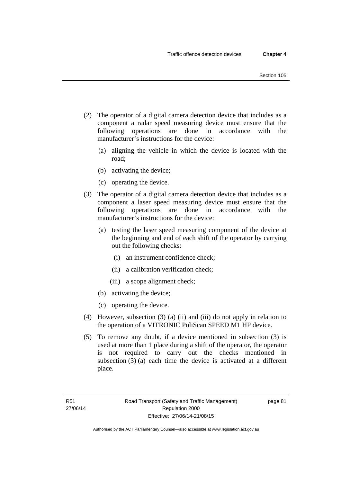- (2) The operator of a digital camera detection device that includes as a component a radar speed measuring device must ensure that the following operations are done in accordance with the manufacturer's instructions for the device:
	- (a) aligning the vehicle in which the device is located with the road;
	- (b) activating the device;
	- (c) operating the device.
- (3) The operator of a digital camera detection device that includes as a component a laser speed measuring device must ensure that the following operations are done in accordance with the manufacturer's instructions for the device:
	- (a) testing the laser speed measuring component of the device at the beginning and end of each shift of the operator by carrying out the following checks:
		- (i) an instrument confidence check;
		- (ii) a calibration verification check;
		- (iii) a scope alignment check;
	- (b) activating the device;
	- (c) operating the device.
- (4) However, subsection (3) (a) (ii) and (iii) do not apply in relation to the operation of a VITRONIC PoliScan SPEED M1 HP device.
- (5) To remove any doubt, if a device mentioned in subsection (3) is used at more than 1 place during a shift of the operator, the operator is not required to carry out the checks mentioned in subsection (3) (a) each time the device is activated at a different place.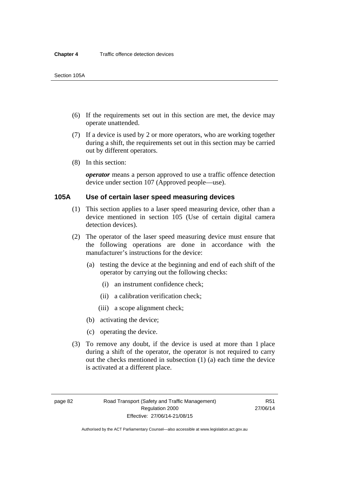- (6) If the requirements set out in this section are met, the device may operate unattended.
- (7) If a device is used by 2 or more operators, who are working together during a shift, the requirements set out in this section may be carried out by different operators.
- (8) In this section:

*operator* means a person approved to use a traffic offence detection device under section 107 (Approved people—use).

#### **105A Use of certain laser speed measuring devices**

- (1) This section applies to a laser speed measuring device, other than a device mentioned in section 105 (Use of certain digital camera detection devices).
- (2) The operator of the laser speed measuring device must ensure that the following operations are done in accordance with the manufacturer's instructions for the device:
	- (a) testing the device at the beginning and end of each shift of the operator by carrying out the following checks:
		- (i) an instrument confidence check;
		- (ii) a calibration verification check;
		- (iii) a scope alignment check;
	- (b) activating the device;
	- (c) operating the device.
- (3) To remove any doubt, if the device is used at more than 1 place during a shift of the operator, the operator is not required to carry out the checks mentioned in subsection (1) (a) each time the device is activated at a different place.

page 82 Road Transport (Safety and Traffic Management) Regulation 2000 Effective: 27/06/14-21/08/15

R51 27/06/14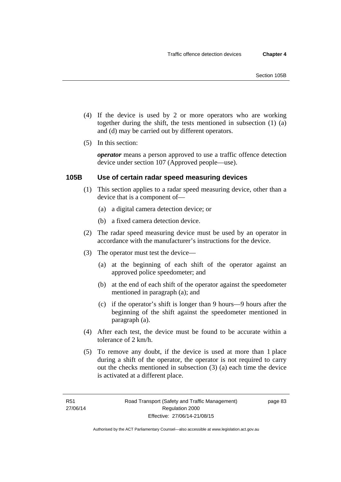- (4) If the device is used by 2 or more operators who are working together during the shift, the tests mentioned in subsection (1) (a) and (d) may be carried out by different operators.
- (5) In this section:

*operator* means a person approved to use a traffic offence detection device under section 107 (Approved people—use).

#### **105B Use of certain radar speed measuring devices**

- (1) This section applies to a radar speed measuring device, other than a device that is a component of—
	- (a) a digital camera detection device; or
	- (b) a fixed camera detection device.
- (2) The radar speed measuring device must be used by an operator in accordance with the manufacturer's instructions for the device.
- (3) The operator must test the device—
	- (a) at the beginning of each shift of the operator against an approved police speedometer; and
	- (b) at the end of each shift of the operator against the speedometer mentioned in paragraph (a); and
	- (c) if the operator's shift is longer than 9 hours—9 hours after the beginning of the shift against the speedometer mentioned in paragraph (a).
- (4) After each test, the device must be found to be accurate within a tolerance of 2 km/h.
- (5) To remove any doubt, if the device is used at more than 1 place during a shift of the operator, the operator is not required to carry out the checks mentioned in subsection (3) (a) each time the device is activated at a different place.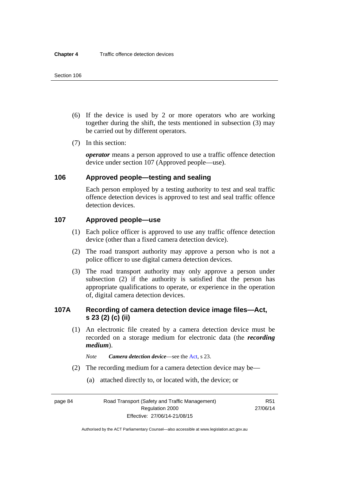- (6) If the device is used by 2 or more operators who are working together during the shift, the tests mentioned in subsection (3) may be carried out by different operators.
- (7) In this section:

*operator* means a person approved to use a traffic offence detection device under section 107 (Approved people—use).

#### **106 Approved people—testing and sealing**

Each person employed by a testing authority to test and seal traffic offence detection devices is approved to test and seal traffic offence detection devices.

# **107 Approved people—use**

- (1) Each police officer is approved to use any traffic offence detection device (other than a fixed camera detection device).
- (2) The road transport authority may approve a person who is not a police officer to use digital camera detection devices.
- (3) The road transport authority may only approve a person under subsection (2) if the authority is satisfied that the person has appropriate qualifications to operate, or experience in the operation of, digital camera detection devices.

# **107A Recording of camera detection device image files—Act, s 23 (2) (c) (ii)**

- (1) An electronic file created by a camera detection device must be recorded on a storage medium for electronic data (the *recording medium*).
	- *Note Camera detection device*—see the [Act,](http://www.legislation.act.gov.au/a/1999-80/default.asp) s 23.
- (2) The recording medium for a camera detection device may be—
	- (a) attached directly to, or located with, the device; or

page 84 Road Transport (Safety and Traffic Management) Regulation 2000 Effective: 27/06/14-21/08/15

R51 27/06/14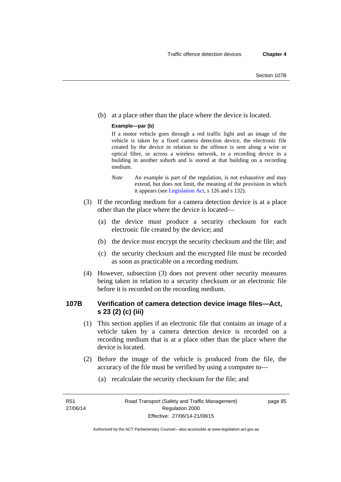(b) at a place other than the place where the device is located.

#### **Example—par (b)**

If a motor vehicle goes through a red traffic light and an image of the vehicle is taken by a fixed camera detection device, the electronic file created by the device in relation to the offence is sent along a wire or optical fibre, or across a wireless network, to a recording device in a building in another suburb and is stored at that building on a recording medium.

- *Note* An example is part of the regulation, is not exhaustive and may extend, but does not limit, the meaning of the provision in which it appears (see [Legislation Act,](http://www.legislation.act.gov.au/a/2001-14) s 126 and s 132).
- (3) If the recording medium for a camera detection device is at a place other than the place where the device is located—
	- (a) the device must produce a security checksum for each electronic file created by the device; and
	- (b) the device must encrypt the security checksum and the file; and
	- (c) the security checksum and the encrypted file must be recorded as soon as practicable on a recording medium.
- (4) However, subsection (3) does not prevent other security measures being taken in relation to a security checksum or an electronic file before it is recorded on the recording medium.

# **107B Verification of camera detection device image files—Act, s 23 (2) (c) (iii)**

- (1) This section applies if an electronic file that contains an image of a vehicle taken by a camera detection device is recorded on a recording medium that is at a place other than the place where the device is located.
- (2) Before the image of the vehicle is produced from the file, the accuracy of the file must be verified by using a computer to—
	- (a) recalculate the security checksum for the file; and

R51 27/06/14 page 85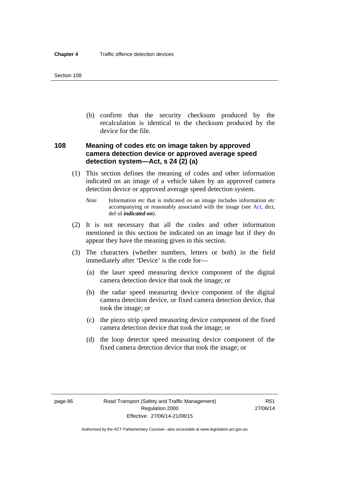(b) confirm that the security checksum produced by the recalculation is identical to the checksum produced by the device for the file.

# **108 Meaning of codes etc on image taken by approved camera detection device or approved average speed detection system—Act, s 24 (2) (a)**

- (1) This section defines the meaning of codes and other information indicated on an image of a vehicle taken by an approved camera detection device or approved average speed detection system.
	- *Note* Information etc that is indicated on an image includes information etc accompanying or reasonably associated with the image (see [Act](http://www.legislation.act.gov.au/a/1999-80/default.asp), dict, def of *indicated on*).
- (2) It is not necessary that all the codes and other information mentioned in this section be indicated on an image but if they do appear they have the meaning given in this section.
- (3) The characters (whether numbers, letters or both) in the field immediately after 'Device' is the code for—
	- (a) the laser speed measuring device component of the digital camera detection device that took the image; or
	- (b) the radar speed measuring device component of the digital camera detection device, or fixed camera detection device, that took the image; or
	- (c) the piezo strip speed measuring device component of the fixed camera detection device that took the image; or
	- (d) the loop detector speed measuring device component of the fixed camera detection device that took the image; or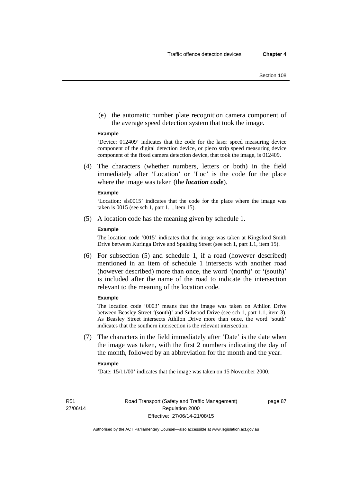(e) the automatic number plate recognition camera component of the average speed detection system that took the image.

#### **Example**

'Device: 012409' indicates that the code for the laser speed measuring device component of the digital detection device, or piezo strip speed measuring device component of the fixed camera detection device, that took the image, is 012409.

 (4) The characters (whether numbers, letters or both) in the field immediately after 'Location' or 'Loc' is the code for the place where the image was taken (the *location code*).

#### **Example**

'Location: sls0015' indicates that the code for the place where the image was taken is 0015 (see sch 1, part 1.1, item 15).

(5) A location code has the meaning given by schedule 1.

#### **Example**

The location code '0015' indicates that the image was taken at Kingsford Smith Drive between Kuringa Drive and Spalding Street (see sch 1, part 1.1, item 15).

 (6) For subsection (5) and schedule 1, if a road (however described) mentioned in an item of schedule 1 intersects with another road (however described) more than once, the word '(north)' or '(south)' is included after the name of the road to indicate the intersection relevant to the meaning of the location code.

#### **Example**

The location code '0003' means that the image was taken on Athllon Drive between Beasley Street '(south)' and Sulwood Drive (see sch 1, part 1.1, item 3). As Beasley Street intersects Athllon Drive more than once, the word 'south' indicates that the southern intersection is the relevant intersection.

 (7) The characters in the field immediately after 'Date' is the date when the image was taken, with the first 2 numbers indicating the day of the month, followed by an abbreviation for the month and the year.

#### **Example**

'Date: 15/11/00' indicates that the image was taken on 15 November 2000.

R51 27/06/14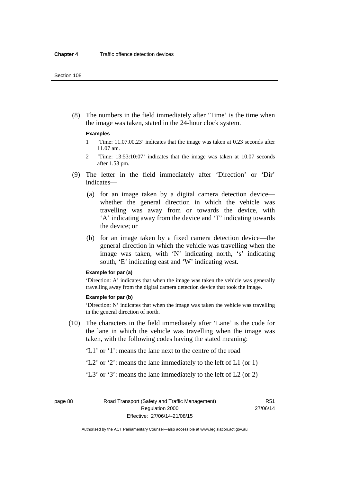(8) The numbers in the field immediately after 'Time' is the time when the image was taken, stated in the 24-hour clock system.

#### **Examples**

- 1 'Time: 11.07.00.23' indicates that the image was taken at 0.23 seconds after 11.07 am.
- 2 'Time: 13:53:10:07' indicates that the image was taken at 10.07 seconds after 1.53 pm.
- (9) The letter in the field immediately after 'Direction' or 'Dir' indicates—
	- (a) for an image taken by a digital camera detection device whether the general direction in which the vehicle was travelling was away from or towards the device, with 'A' indicating away from the device and 'T' indicating towards the device; or
	- (b) for an image taken by a fixed camera detection device—the general direction in which the vehicle was travelling when the image was taken, with 'N' indicating north, 's' indicating south, 'E' indicating east and 'W' indicating west.

#### **Example for par (a)**

'Direction: A' indicates that when the image was taken the vehicle was generally travelling away from the digital camera detection device that took the image.

#### **Example for par (b)**

'Direction: N' indicates that when the image was taken the vehicle was travelling in the general direction of north.

- (10) The characters in the field immediately after 'Lane' is the code for the lane in which the vehicle was travelling when the image was taken, with the following codes having the stated meaning:
	- 'L1' or '1': means the lane next to the centre of the road
	- 'L2' or '2': means the lane immediately to the left of L1 (or 1)
	- 'L3' or '3': means the lane immediately to the left of L2 (or 2)

page 88 Road Transport (Safety and Traffic Management) Regulation 2000 Effective: 27/06/14-21/08/15

R51 27/06/14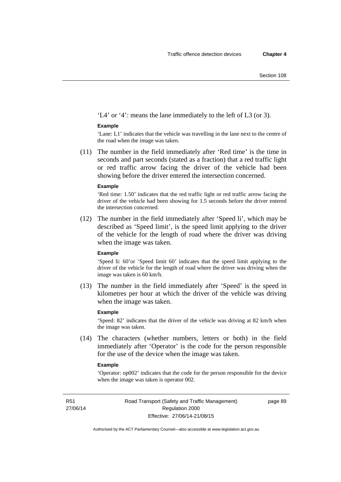'L4' or '4': means the lane immediately to the left of L3 (or 3).

#### **Example**

'Lane: L1' indicates that the vehicle was travelling in the lane next to the centre of the road when the image was taken.

 (11) The number in the field immediately after 'Red time' is the time in seconds and part seconds (stated as a fraction) that a red traffic light or red traffic arrow facing the driver of the vehicle had been showing before the driver entered the intersection concerned.

#### **Example**

'Red time: 1.50' indicates that the red traffic light or red traffic arrow facing the driver of the vehicle had been showing for 1.5 seconds before the driver entered the intersection concerned.

 (12) The number in the field immediately after 'Speed li', which may be described as 'Speed limit', is the speed limit applying to the driver of the vehicle for the length of road where the driver was driving when the image was taken.

#### **Example**

'Speed li: 60'or 'Speed limit 60' indicates that the speed limit applying to the driver of the vehicle for the length of road where the driver was driving when the image was taken is 60 km/h.

 (13) The number in the field immediately after 'Speed' is the speed in kilometres per hour at which the driver of the vehicle was driving when the image was taken.

#### **Example**

'Speed: 82' indicates that the driver of the vehicle was driving at 82 km/h when the image was taken.

 (14) The characters (whether numbers, letters or both) in the field immediately after 'Operator' is the code for the person responsible for the use of the device when the image was taken.

#### **Example**

'Operator: op002' indicates that the code for the person responsible for the device when the image was taken is operator 002.

R51 27/06/14 page 89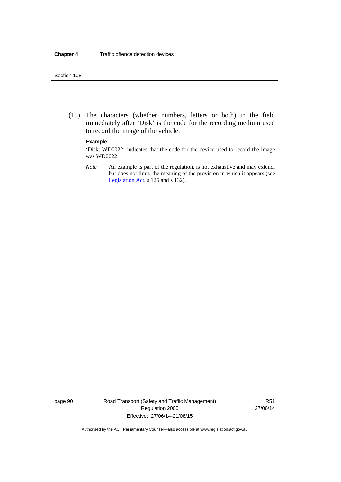(15) The characters (whether numbers, letters or both) in the field immediately after 'Disk' is the code for the recording medium used to record the image of the vehicle.

#### **Example**

'Disk: WD0022' indicates that the code for the device used to record the image was WD0022.

*Note* An example is part of the regulation, is not exhaustive and may extend, but does not limit, the meaning of the provision in which it appears (see [Legislation Act,](http://www.legislation.act.gov.au/a/2001-14) s 126 and s 132).

page 90 Road Transport (Safety and Traffic Management) Regulation 2000 Effective: 27/06/14-21/08/15

R51 27/06/14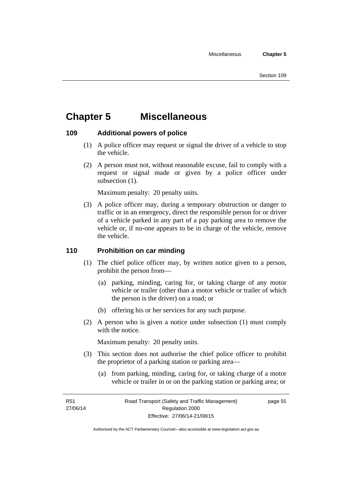# **Chapter 5 Miscellaneous**

# **109 Additional powers of police**

- (1) A police officer may request or signal the driver of a vehicle to stop the vehicle.
- (2) A person must not, without reasonable excuse, fail to comply with a request or signal made or given by a police officer under subsection  $(1)$ .

Maximum penalty: 20 penalty units.

 (3) A police officer may, during a temporary obstruction or danger to traffic or in an emergency, direct the responsible person for or driver of a vehicle parked in any part of a pay parking area to remove the vehicle or, if no-one appears to be in charge of the vehicle, remove the vehicle.

#### **110 Prohibition on car minding**

- (1) The chief police officer may, by written notice given to a person, prohibit the person from—
	- (a) parking, minding, caring for, or taking charge of any motor vehicle or trailer (other than a motor vehicle or trailer of which the person is the driver) on a road; or
	- (b) offering his or her services for any such purpose.
- (2) A person who is given a notice under subsection (1) must comply with the notice.

Maximum penalty: 20 penalty units.

- (3) This section does not authorise the chief police officer to prohibit the proprietor of a parking station or parking area—
	- (a) from parking, minding, caring for, or taking charge of a motor vehicle or trailer in or on the parking station or parking area; or

R51 27/06/14 page 91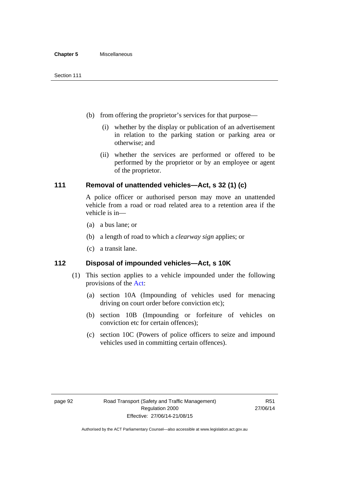- (b) from offering the proprietor's services for that purpose—
	- (i) whether by the display or publication of an advertisement in relation to the parking station or parking area or otherwise; and
	- (ii) whether the services are performed or offered to be performed by the proprietor or by an employee or agent of the proprietor.

# **111 Removal of unattended vehicles—Act, s 32 (1) (c)**

A police officer or authorised person may move an unattended vehicle from a road or road related area to a retention area if the vehicle is in—

- (a) a bus lane; or
- (b) a length of road to which a *clearway sign* applies; or
- (c) a transit lane.

# **112 Disposal of impounded vehicles—Act, s 10K**

- (1) This section applies to a vehicle impounded under the following provisions of the [Act:](http://www.legislation.act.gov.au/a/1999-80/default.asp)
	- (a) section 10A (Impounding of vehicles used for menacing driving on court order before conviction etc);
	- (b) section 10B (Impounding or forfeiture of vehicles on conviction etc for certain offences);
	- (c) section 10C (Powers of police officers to seize and impound vehicles used in committing certain offences).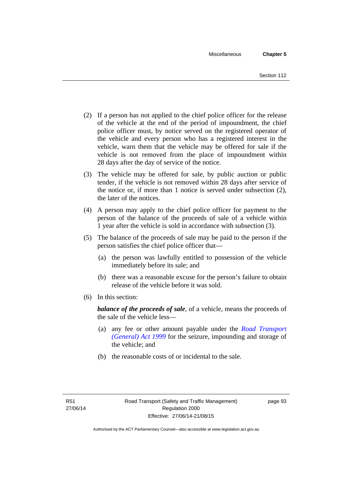- (2) If a person has not applied to the chief police officer for the release of the vehicle at the end of the period of impoundment, the chief police officer must, by notice served on the registered operator of the vehicle and every person who has a registered interest in the vehicle, warn them that the vehicle may be offered for sale if the vehicle is not removed from the place of impoundment within 28 days after the day of service of the notice.
- (3) The vehicle may be offered for sale, by public auction or public tender, if the vehicle is not removed within 28 days after service of the notice or, if more than 1 notice is served under subsection (2), the later of the notices.
- (4) A person may apply to the chief police officer for payment to the person of the balance of the proceeds of sale of a vehicle within 1 year after the vehicle is sold in accordance with subsection (3).
- (5) The balance of the proceeds of sale may be paid to the person if the person satisfies the chief police officer that—
	- (a) the person was lawfully entitled to possession of the vehicle immediately before its sale; and
	- (b) there was a reasonable excuse for the person's failure to obtain release of the vehicle before it was sold.
- (6) In this section:

*balance of the proceeds of sale*, of a vehicle, means the proceeds of the sale of the vehicle less—

- (a) any fee or other amount payable under the *[Road Transport](http://www.legislation.act.gov.au/a/1999-77)  [\(General\) Act 1999](http://www.legislation.act.gov.au/a/1999-77)* for the seizure, impounding and storage of the vehicle; and
- (b) the reasonable costs of or incidental to the sale.

page 93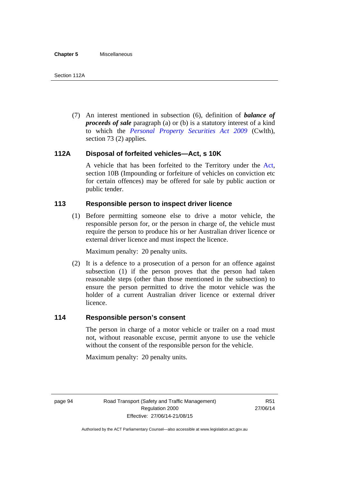(7) An interest mentioned in subsection (6), definition of *balance of proceeds of sale* paragraph (a) or (b) is a statutory interest of a kind to which the *[Personal Property Securities Act 2009](http://www.comlaw.gov.au/Series/C2009A00130)* (Cwlth), section 73 (2) applies.

# **112A Disposal of forfeited vehicles—Act, s 10K**

A vehicle that has been forfeited to the Territory under the [Act](http://www.legislation.act.gov.au/a/1999-80/default.asp), section 10B (Impounding or forfeiture of vehicles on conviction etc for certain offences) may be offered for sale by public auction or public tender.

# **113 Responsible person to inspect driver licence**

(1) Before permitting someone else to drive a motor vehicle, the responsible person for, or the person in charge of, the vehicle must require the person to produce his or her Australian driver licence or external driver licence and must inspect the licence.

Maximum penalty: 20 penalty units.

 (2) It is a defence to a prosecution of a person for an offence against subsection (1) if the person proves that the person had taken reasonable steps (other than those mentioned in the subsection) to ensure the person permitted to drive the motor vehicle was the holder of a current Australian driver licence or external driver licence.

# **114 Responsible person's consent**

The person in charge of a motor vehicle or trailer on a road must not, without reasonable excuse, permit anyone to use the vehicle without the consent of the responsible person for the vehicle.

Maximum penalty: 20 penalty units.

page 94 Road Transport (Safety and Traffic Management) Regulation 2000 Effective: 27/06/14-21/08/15

R51 27/06/14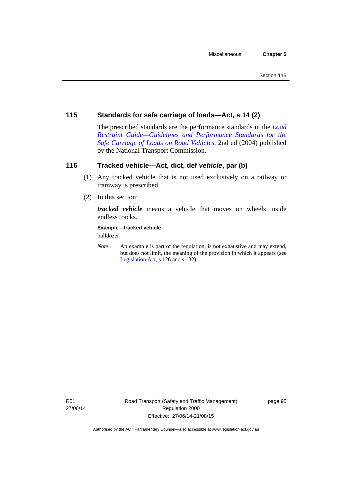# **115 Standards for safe carriage of loads—Act, s 14 (2)**

The prescribed standards are the performance standards in the *[Load](http://www.ntc.gov.au/viewpage.aspx?documentid=862)  [Restraint Guide—Guidelines and Performance Standards for the](http://www.ntc.gov.au/viewpage.aspx?documentid=862)  [Safe Carriage of Loads on Road Vehicles](http://www.ntc.gov.au/viewpage.aspx?documentid=862)*, 2nd ed (2004) published by the National Transport Commission.

# **116 Tracked vehicle—Act, dict, def** *vehicle***, par (b)**

- (1) Any tracked vehicle that is not used exclusively on a railway or tramway is prescribed.
- (2) In this section:

*tracked vehicle* means a vehicle that moves on wheels inside endless tracks.

**Example—tracked vehicle** 

bulldozer

*Note* An example is part of the regulation, is not exhaustive and may extend, but does not limit, the meaning of the provision in which it appears (see [Legislation Act,](http://www.legislation.act.gov.au/a/2001-14) s 126 and s 132).

R51 27/06/14 page 95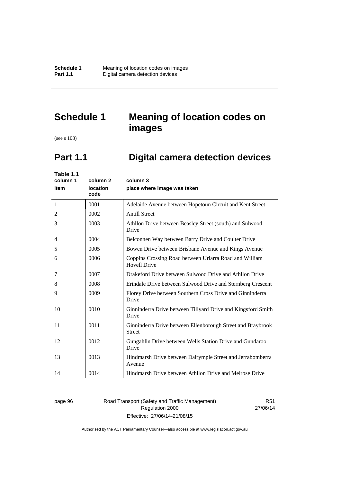**Schedule 1 Meaning of location codes on images**<br>**Part 1.1 Digital camera detection devices Pigital camera detection devices** 

# **Schedule 1 Meaning of location codes on images**

(see s 108)

l,

# **Part 1.1 Digital camera detection devices**

| Table 1.1<br>column 1<br>item | column 2<br>location<br>code | column 3<br>place where image was taken                                       |
|-------------------------------|------------------------------|-------------------------------------------------------------------------------|
| 1                             | 0001                         | Adelaide Avenue between Hopetoun Circuit and Kent Street                      |
| 2                             | 0002                         | <b>Antill Street</b>                                                          |
| 3                             | 0003                         | Athllon Drive between Beasley Street (south) and Sulwood<br>Drive             |
| 4                             | 0004                         | Belconnen Way between Barry Drive and Coulter Drive                           |
| 5                             | 0005                         | Bowen Drive between Brisbane Avenue and Kings Avenue                          |
| 6                             | 0006                         | Coppins Crossing Road between Uriarra Road and William<br><b>Hovell Drive</b> |
| 7                             | 0007                         | Drakeford Drive between Sulwood Drive and Athllon Drive                       |
| 8                             | 0008                         | Erindale Drive between Sulwood Drive and Sternberg Crescent                   |
| 9                             | 0009                         | Florey Drive between Southern Cross Drive and Ginninderra<br>Drive            |
| 10                            | 0010                         | Ginninderra Drive between Tillyard Drive and Kingsford Smith<br>Drive         |
| 11                            | 0011                         | Ginninderra Drive between Ellenborough Street and Braybrook<br><b>Street</b>  |
| 12                            | 0012                         | Gungahlin Drive between Wells Station Drive and Gundaroo<br>Drive             |
| 13                            | 0013                         | Hindmarsh Drive between Dalrymple Street and Jerrabomberra<br>Avenue          |
| 14                            | 0014                         | Hindmarsh Drive between Athllon Drive and Melrose Drive                       |

page 96 Road Transport (Safety and Traffic Management) Regulation 2000 Effective: 27/06/14-21/08/15

R51 27/06/14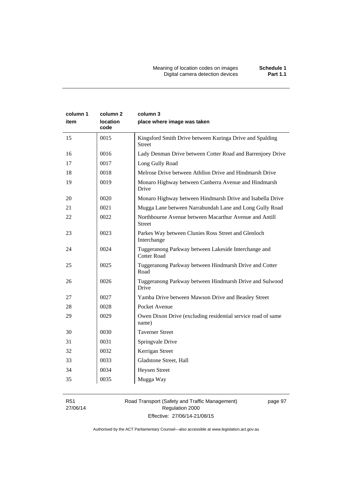| column 1<br>item | column 2<br><b>location</b><br>code | column 3<br>place where image was taken                                   |
|------------------|-------------------------------------|---------------------------------------------------------------------------|
| 15               | 0015                                | Kingsford Smith Drive between Kuringa Drive and Spalding<br><b>Street</b> |
| 16               | 0016                                | Lady Denman Drive between Cotter Road and Barrenjoey Drive                |
| 17               | 0017                                | Long Gully Road                                                           |
| 18               | 0018                                | Melrose Drive between Athllon Drive and Hindmarsh Drive                   |
| 19               | 0019                                | Monaro Highway between Canberra Avenue and Hindmarsh<br>Drive             |
| 20               | 0020                                | Monaro Highway between Hindmarsh Drive and Isabella Drive                 |
| 21               | 0021                                | Mugga Lane between Narrabundah Lane and Long Gully Road                   |
| 22               | 0022                                | Northbourne Avenue between Macarthur Avenue and Antill<br><b>Street</b>   |
| 23               | 0023                                | Parkes Way between Clunies Ross Street and Glenloch<br>Interchange        |
| 24               | 0024                                | Tuggeranong Parkway between Lakeside Interchange and<br>Cotter Road       |
| 25               | 0025                                | Tuggeranong Parkway between Hindmarsh Drive and Cotter<br>Road            |
| 26               | 0026                                | Tuggeranong Parkway between Hindmarsh Drive and Sulwood<br>Drive          |
| 27               | 0027                                | Yamba Drive between Mawson Drive and Beasley Street                       |
| 28               | 0028                                | Pocket Avenue                                                             |
| 29               | 0029                                | Owen Dixon Drive (excluding residential service road of same<br>name)     |
| 30               | 0030                                | <b>Taverner Street</b>                                                    |
| 31               | 0031                                | Springvale Drive                                                          |
| 32               | 0032                                | Kerrigan Street                                                           |
| 33               | 0033                                | Gladstone Street, Hall                                                    |
| 34               | 0034                                | <b>Heysen Street</b>                                                      |
| 35               | 0035                                | Mugga Way                                                                 |

R51 27/06/14 Road Transport (Safety and Traffic Management) Regulation 2000 Effective: 27/06/14-21/08/15

page 97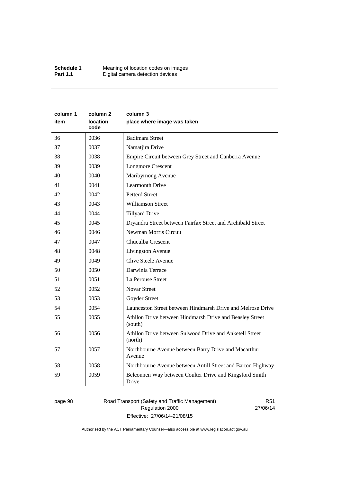| column 1 | column 2                | column 3                                                            |
|----------|-------------------------|---------------------------------------------------------------------|
| item     | <b>location</b><br>code | place where image was taken                                         |
| 36       | 0036                    | <b>Badimara Street</b>                                              |
| 37       | 0037                    | Namatjira Drive                                                     |
| 38       | 0038                    | Empire Circuit between Grey Street and Canberra Avenue              |
| 39       | 0039                    | <b>Longmore Crescent</b>                                            |
| 40       | 0040                    | Maribyrnong Avenue                                                  |
| 41       | 0041                    | <b>Learmonth Drive</b>                                              |
| 42       | 0042                    | <b>Petterd Street</b>                                               |
| 43       | 0043                    | <b>Williamson Street</b>                                            |
| 44       | 0044                    | <b>Tillyard Drive</b>                                               |
| 45       | 0045                    | Dryandra Street between Fairfax Street and Archibald Street         |
| 46       | 0046                    | Newman Morris Circuit                                               |
| 47       | 0047                    | Chuculba Crescent                                                   |
| 48       | 0048                    | Livingston Avenue                                                   |
| 49       | 0049                    | Clive Steele Avenue                                                 |
| 50       | 0050                    | Darwinia Terrace                                                    |
| 51       | 0051                    | La Perouse Street                                                   |
| 52       | 0052                    | <b>Novar Street</b>                                                 |
| 53       | 0053                    | Goyder Street                                                       |
| 54       | 0054                    | Launceston Street between Hindmarsh Drive and Melrose Drive         |
| 55       | 0055                    | Athllon Drive between Hindmarsh Drive and Beasley Street<br>(south) |
| 56       | 0056                    | Athllon Drive between Sulwood Drive and Anketell Street<br>(north)  |
| 57       | 0057                    | Northbourne Avenue between Barry Drive and Macarthur<br>Avenue      |
| 58       | 0058                    | Northbourne Avenue between Antill Street and Barton Highway         |
| 59       | 0059                    | Belconnen Way between Coulter Drive and Kingsford Smith<br>Drive    |

page 98 Road Transport (Safety and Traffic Management) Regulation 2000 Effective: 27/06/14-21/08/15

R51 27/06/14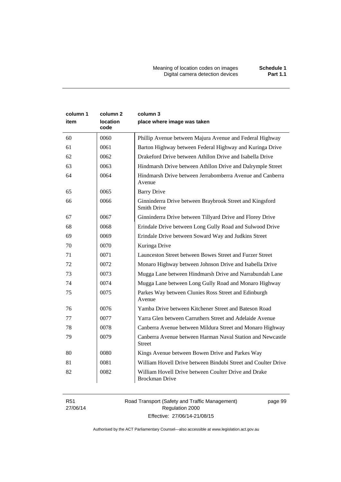Meaning of location codes on images **Schedule 1** Digital camera detection devices **Part 1.1** 

| column 1<br>item | column <sub>2</sub><br>location<br>code | column 3<br>place where image was taken                                        |
|------------------|-----------------------------------------|--------------------------------------------------------------------------------|
| 60               | 0060                                    | Phillip Avenue between Majura Avenue and Federal Highway                       |
| 61               | 0061                                    | Barton Highway between Federal Highway and Kuringa Drive                       |
| 62               | 0062                                    | Drakeford Drive between Athllon Drive and Isabella Drive                       |
| 63               | 0063                                    | Hindmarsh Drive between Athllon Drive and Dalrymple Street                     |
| 64               | 0064                                    | Hindmarsh Drive between Jerrabomberra Avenue and Canberra<br>Avenue            |
| 65               | 0065                                    | <b>Barry Drive</b>                                                             |
| 66               | 0066                                    | Ginninderra Drive between Braybrook Street and Kingsford<br><b>Smith Drive</b> |
| 67               | 0067                                    | Ginninderra Drive between Tillyard Drive and Florey Drive                      |
| 68               | 0068                                    | Erindale Drive between Long Gully Road and Sulwood Drive                       |
| 69               | 0069                                    | Erindale Drive between Soward Way and Judkins Street                           |
| 70               | 0070                                    | Kuringa Drive                                                                  |
| 71               | 0071                                    | Launceston Street between Bowes Street and Furzer Street                       |
| 72               | 0072                                    | Monaro Highway between Johnson Drive and Isabella Drive                        |
| 73               | 0073                                    | Mugga Lane between Hindmarsh Drive and Narrabundah Lane                        |
| 74               | 0074                                    | Mugga Lane between Long Gully Road and Monaro Highway                          |
| 75               | 0075                                    | Parkes Way between Clunies Ross Street and Edinburgh<br>Avenue                 |
| 76               | 0076                                    | Yamba Drive between Kitchener Street and Bateson Road                          |
| 77               | 0077                                    | Yarra Glen between Carruthers Street and Adelaide Avenue                       |
| 78               | 0078                                    | Canberra Avenue between Mildura Street and Monaro Highway                      |
| 79               | 0079                                    | Canberra Avenue between Harman Naval Station and Newcastle<br><b>Street</b>    |
| 80               | 0080                                    | Kings Avenue between Bowen Drive and Parkes Way                                |
| 81               | 0081                                    | William Hovell Drive between Bindubi Street and Coulter Drive                  |
| 82               | 0082                                    | William Hovell Drive between Coulter Drive and Drake<br><b>Brockman Drive</b>  |

R51 27/06/14 Road Transport (Safety and Traffic Management) Regulation 2000 Effective: 27/06/14-21/08/15

page 99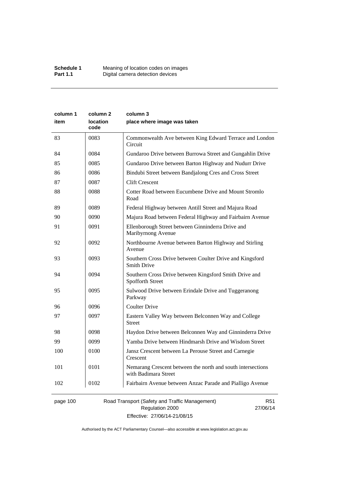| column 1 | column 2                | column 3                                                                            |
|----------|-------------------------|-------------------------------------------------------------------------------------|
| item     | <b>location</b><br>code | place where image was taken                                                         |
| 83       | 0083                    | Commonwealth Ave between King Edward Terrace and London<br>Circuit                  |
| 84       | 0084                    | Gundaroo Drive between Burrowa Street and Gungahlin Drive                           |
| 85       | 0085                    | Gundaroo Drive between Barton Highway and Nudurr Drive                              |
| 86       | 0086                    | Bindubi Street between Bandjalong Cres and Cross Street                             |
| 87       | 0087                    | <b>Clift Crescent</b>                                                               |
| 88       | 0088                    | Cotter Road between Eucumbene Drive and Mount Stromlo<br>Road                       |
| 89       | 0089                    | Federal Highway between Antill Street and Majura Road                               |
| 90       | 0090                    | Majura Road between Federal Highway and Fairbairn Avenue                            |
| 91       | 0091                    | Ellenborough Street between Ginninderra Drive and<br>Maribyrnong Avenue             |
| 92       | 0092                    | Northbourne Avenue between Barton Highway and Stirling<br>Avenue                    |
| 93       | 0093                    | Southern Cross Drive between Coulter Drive and Kingsford<br><b>Smith Drive</b>      |
| 94       | 0094                    | Southern Cross Drive between Kingsford Smith Drive and<br>Spofforth Street          |
| 95       | 0095                    | Sulwood Drive between Erindale Drive and Tuggeranong<br>Parkway                     |
| 96       | 0096                    | <b>Coulter Drive</b>                                                                |
| 97       | 0097                    | Eastern Valley Way between Belconnen Way and College<br><b>Street</b>               |
| 98       | 0098                    | Haydon Drive between Belconnen Way and Ginninderra Drive                            |
| 99       | 0099                    | Yamba Drive between Hindmarsh Drive and Wisdom Street                               |
| 100      | 0100                    | Jansz Crescent between La Perouse Street and Carnegie<br>Crescent                   |
| 101      | 0101                    | Nemarang Crescent between the north and south intersections<br>with Badimara Street |
| 102      | 0102                    | Fairbairn Avenue between Anzac Parade and Pialligo Avenue                           |
|          |                         |                                                                                     |

page 100 Road Transport (Safety and Traffic Management) Regulation 2000 Effective: 27/06/14-21/08/15

R51 27/06/14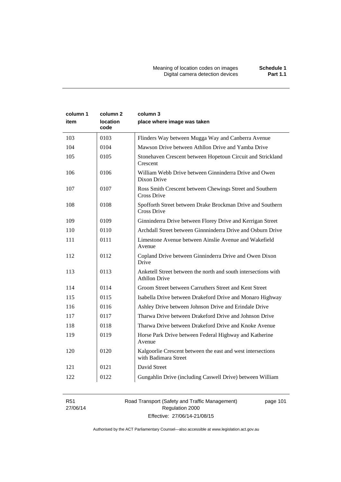| column 1<br>item | column 2<br>location<br>code | column 3<br>place where image was taken                                                |
|------------------|------------------------------|----------------------------------------------------------------------------------------|
| 103              | 0103                         | Flinders Way between Mugga Way and Canberra Avenue                                     |
| 104              | 0104                         | Mawson Drive between Athllon Drive and Yamba Drive                                     |
| 105              | 0105                         | Stonehaven Crescent between Hopetoun Circuit and Strickland<br>Crescent                |
| 106              | 0106                         | William Webb Drive between Ginninderra Drive and Owen<br>Dixon Drive                   |
| 107              | 0107                         | Ross Smith Crescent between Chewings Street and Southern<br>Cross Drive                |
| 108              | 0108                         | Spofforth Street between Drake Brockman Drive and Southern<br>Cross Drive              |
| 109              | 0109                         | Ginninderra Drive between Florey Drive and Kerrigan Street                             |
| 110              | 0110                         | Archdall Street between Ginnninderra Drive and Osburn Drive                            |
| 111              | 0111                         | Limestone Avenue between Ainslie Avenue and Wakefield<br>Avenue                        |
| 112              | 0112                         | Copland Drive between Ginninderra Drive and Owen Dixon<br>Drive                        |
| 113              | 0113                         | Anketell Street between the north and south intersections with<br><b>Athllon Drive</b> |
| 114              | 0114                         | Groom Street between Carruthers Street and Kent Street                                 |
| 115              | 0115                         | Isabella Drive between Drakeford Drive and Monaro Highway                              |
| 116              | 0116                         | Ashley Drive between Johnson Drive and Erindale Drive                                  |
| 117              | 0117                         | Tharwa Drive between Drakeford Drive and Johnson Drive                                 |
| 118              | 0118                         | Tharwa Drive between Drakeford Drive and Knoke Avenue                                  |
| 119              | 0119                         | Horse Park Drive between Federal Highway and Katherine<br>Avenue                       |
| 120              | 0120                         | Kalgoorlie Crescent between the east and west intersections<br>with Badimara Street    |
| 121              | 0121                         | David Street                                                                           |
| 122              | 0122                         | Gungahlin Drive (including Caswell Drive) between William                              |

R51 27/06/14 Road Transport (Safety and Traffic Management) Regulation 2000 Effective: 27/06/14-21/08/15

page 101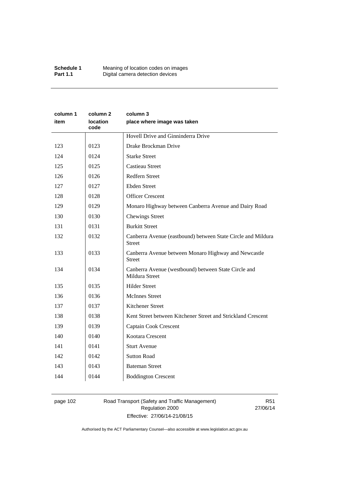| column 1<br>item | column 2<br>location<br>code | column 3<br>place where image was taken                                       |
|------------------|------------------------------|-------------------------------------------------------------------------------|
|                  |                              | Hovell Drive and Ginninderra Drive                                            |
| 123              | 0123                         | Drake Brockman Drive                                                          |
| 124              | 0124                         | <b>Starke Street</b>                                                          |
| 125              | 0125                         | <b>Castieau Street</b>                                                        |
| 126              | 0126                         | Redfern Street                                                                |
| 127              | 0127                         | <b>Ebden Street</b>                                                           |
| 128              | 0128                         | <b>Officer Crescent</b>                                                       |
| 129              | 0129                         | Monaro Highway between Canberra Avenue and Dairy Road                         |
| 130              | 0130                         | <b>Chewings Street</b>                                                        |
| 131              | 0131                         | <b>Burkitt Street</b>                                                         |
| 132              | 0132                         | Canberra Avenue (eastbound) between State Circle and Mildura<br><b>Street</b> |
| 133              | 0133                         | Canberra Avenue between Monaro Highway and Newcastle<br><b>Street</b>         |
| 134              | 0134                         | Canberra Avenue (westbound) between State Circle and<br>Mildura Street        |
| 135              | 0135                         | <b>Hilder Street</b>                                                          |
| 136              | 0136                         | <b>McInnes Street</b>                                                         |
| 137              | 0137                         | Kitchener Street                                                              |
| 138              | 0138                         | Kent Street between Kitchener Street and Strickland Crescent                  |
| 139              | 0139                         | Captain Cook Crescent                                                         |
| 140              | 0140                         | Kootara Crescent                                                              |
| 141              | 0141                         | <b>Sturt Avenue</b>                                                           |
| 142              | 0142                         | <b>Sutton Road</b>                                                            |
| 143              | 0143                         | <b>Bateman Street</b>                                                         |
| 144              | 0144                         | <b>Boddington Crescent</b>                                                    |

# page 102 Road Transport (Safety and Traffic Management) Regulation 2000 Effective: 27/06/14-21/08/15

R51 27/06/14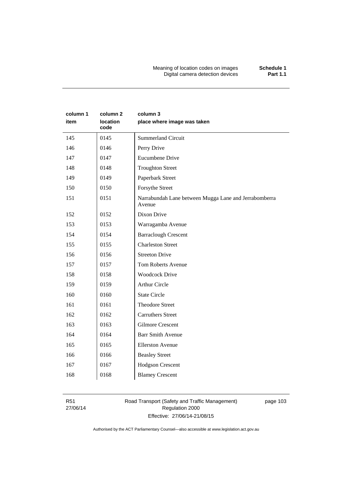Meaning of location codes on images **Schedule 1** Digital camera detection devices **Part 1.1** 

| column 1<br>item | column 2<br>location<br>code | column 3<br>place where image was taken                         |
|------------------|------------------------------|-----------------------------------------------------------------|
| 145              | 0145                         | <b>Summerland Circuit</b>                                       |
| 146              | 0146                         | Perry Drive                                                     |
| 147              | 0147                         | Eucumbene Drive                                                 |
| 148              | 0148                         | <b>Troughton Street</b>                                         |
| 149              | 0149                         | Paperbark Street                                                |
| 150              | 0150                         | Forsythe Street                                                 |
| 151              | 0151                         | Narrabundah Lane between Mugga Lane and Jerrabomberra<br>Avenue |
| 152              | 0152                         | Dixon Drive                                                     |
| 153              | 0153                         | Warragamba Avenue                                               |
| 154              | 0154                         | <b>Barraclough Crescent</b>                                     |
| 155              | 0155                         | <b>Charleston Street</b>                                        |
| 156              | 0156                         | <b>Streeton Drive</b>                                           |
| 157              | 0157                         | <b>Tom Roberts Avenue</b>                                       |
| 158              | 0158                         | <b>Woodcock Drive</b>                                           |
| 159              | 0159                         | <b>Arthur Circle</b>                                            |
| 160              | 0160                         | <b>State Circle</b>                                             |
| 161              | 0161                         | <b>Theodore Street</b>                                          |
| 162              | 0162                         | <b>Carruthers Street</b>                                        |
| 163              | 0163                         | <b>Gilmore Crescent</b>                                         |
| 164              | 0164                         | <b>Barr Smith Avenue</b>                                        |
| 165              | 0165                         | <b>Ellerston Avenue</b>                                         |
| 166              | 0166                         | <b>Beasley Street</b>                                           |
| 167              | 0167                         | <b>Hodgson Crescent</b>                                         |
| 168              | 0168                         | <b>Blamey Crescent</b>                                          |

R51 27/06/14 Road Transport (Safety and Traffic Management) Regulation 2000 Effective: 27/06/14-21/08/15

page 103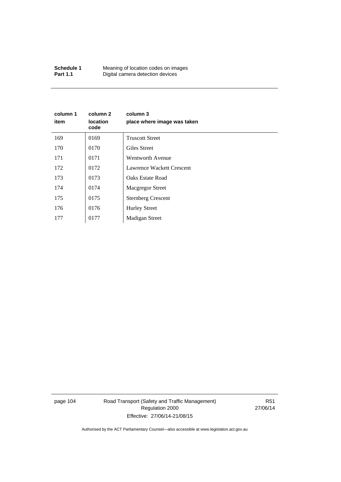| Schedule 1      | Meaning of location codes on images |
|-----------------|-------------------------------------|
| <b>Part 1.1</b> | Digital camera detection devices    |

| column 1<br>item | column 2<br><b>location</b><br>code | column 3<br>place where image was taken |
|------------------|-------------------------------------|-----------------------------------------|
| 169              | 0169                                | <b>Truscott Street</b>                  |
| 170              | 0170                                | Giles Street                            |
| 171              | 0171                                | Wentworth Avenue                        |
| 172              | 0172                                | Lawrence Wackett Crescent               |
| 173              | 0173                                | Oaks Estate Road                        |
| 174              | 0174                                | <b>Macgregor Street</b>                 |
| 175              | 0175                                | <b>Sternberg Crescent</b>               |
| 176              | 0176                                | <b>Hurley Street</b>                    |
| 177              | 0177                                | <b>Madigan Street</b>                   |

page 104 Road Transport (Safety and Traffic Management) Regulation 2000 Effective: 27/06/14-21/08/15

R51 27/06/14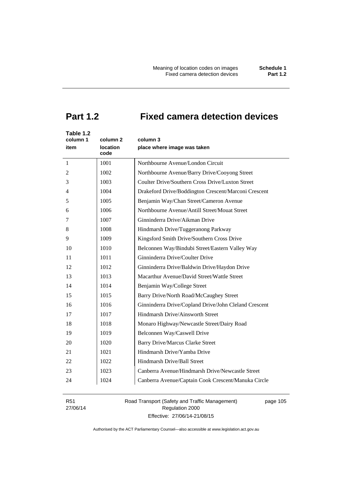# **Part 1.2 Fixed camera detection devices**

| Table 1.2<br>column 1<br>item | column 2<br><b>location</b><br>code | column 3<br>place where image was taken               |
|-------------------------------|-------------------------------------|-------------------------------------------------------|
| 1                             | 1001                                | Northbourne Avenue/London Circuit                     |
| 2                             | 1002                                | Northbourne Avenue/Barry Drive/Cooyong Street         |
| 3                             | 1003                                | Coulter Drive/Southern Cross Drive/Luxton Street      |
| 4                             | 1004                                | Drakeford Drive/Boddington Crescent/Marconi Crescent  |
| 5                             | 1005                                | Benjamin Way/Chan Street/Cameron Avenue               |
| 6                             | 1006                                | Northbourne Avenue/Antill Street/Mouat Street         |
| 7                             | 1007                                | Ginninderra Drive/Aikman Drive                        |
| 8                             | 1008                                | Hindmarsh Drive/Tuggeranong Parkway                   |
| 9                             | 1009                                | Kingsford Smith Drive/Southern Cross Drive            |
| 10                            | 1010                                | Belconnen Way/Bindubi Street/Eastern Valley Way       |
| 11                            | 1011                                | Ginninderra Drive/Coulter Drive                       |
| 12                            | 1012                                | Ginninderra Drive/Baldwin Drive/Haydon Drive          |
| 13                            | 1013                                | Macarthur Avenue/David Street/Wattle Street           |
| 14                            | 1014                                | Benjamin Way/College Street                           |
| 15                            | 1015                                | Barry Drive/North Road/McCaughey Street               |
| 16                            | 1016                                | Ginninderra Drive/Copland Drive/John Cleland Crescent |
| 17                            | 1017                                | Hindmarsh Drive/Ainsworth Street                      |
| 18                            | 1018                                | Monaro Highway/Newcastle Street/Dairy Road            |
| 19                            | 1019                                | Belconnen Way/Caswell Drive                           |
| 20                            | 1020                                | <b>Barry Drive/Marcus Clarke Street</b>               |
| 21                            | 1021                                | Hindmarsh Drive/Yamba Drive                           |
| 22                            | 1022                                | Hindmarsh Drive/Ball Street                           |
| 23                            | 1023                                | Canberra Avenue/Hindmarsh Drive/Newcastle Street      |
| 24                            | 1024                                | Canberra Avenue/Captain Cook Crescent/Manuka Circle   |

R51 27/06/14 Road Transport (Safety and Traffic Management) Regulation 2000 Effective: 27/06/14-21/08/15

page 105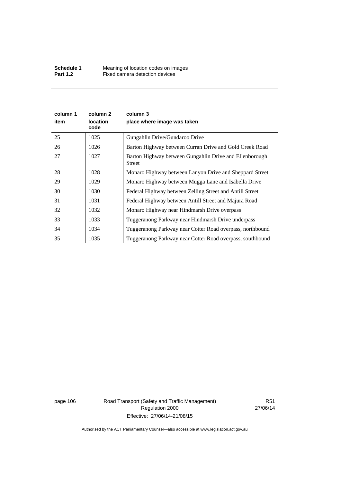| column 1<br>item | column 2<br><b>location</b><br>code | column 3<br>place where image was taken                           |
|------------------|-------------------------------------|-------------------------------------------------------------------|
| 25               | 1025                                | Gungahlin Drive/Gundaroo Drive                                    |
| 26               | 1026                                | Barton Highway between Curran Drive and Gold Creek Road           |
| 27               | 1027                                | Barton Highway between Gungahlin Drive and Ellenborough<br>Street |
| 28               | 1028                                | Monaro Highway between Lanyon Drive and Sheppard Street           |
| 29               | 1029                                | Monaro Highway between Mugga Lane and Isabella Drive              |
| 30               | 1030                                | Federal Highway between Zelling Street and Antill Street          |
| 31               | 1031                                | Federal Highway between Antill Street and Majura Road             |
| 32               | 1032                                | Monaro Highway near Hindmarsh Drive overpass                      |
| 33               | 1033                                | Tuggeranong Parkway near Hindmarsh Drive underpass                |
| 34               | 1034                                | Tuggeranong Parkway near Cotter Road overpass, northbound         |
| 35               | 1035                                | Tuggeranong Parkway near Cotter Road overpass, southbound         |

page 106 Road Transport (Safety and Traffic Management) Regulation 2000 Effective: 27/06/14-21/08/15

R51 27/06/14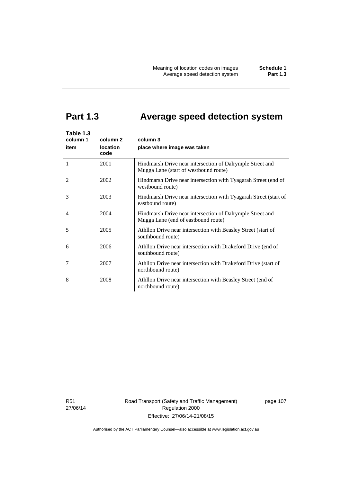# **Part 1.3 Average speed detection system**

| Table 1.3<br>column 1<br>item | column 2<br>location<br>code | column 3<br>place where image was taken                                                            |
|-------------------------------|------------------------------|----------------------------------------------------------------------------------------------------|
| 1                             | 2001                         | Hindmarsh Drive near intersection of Dalrymple Street and<br>Mugga Lane (start of westbound route) |
| $\mathcal{L}$                 | 2002                         | Hindmarsh Drive near intersection with Tyagarah Street (end of<br>westbound route)                 |
| 3                             | 2003                         | Hindmarsh Drive near intersection with Tyagarah Street (start of<br>eastbound route)               |
| $\overline{4}$                | 2004                         | Hindmarsh Drive near intersection of Dalrymple Street and<br>Mugga Lane (end of eastbound route)   |
| 5                             | 2005                         | Athllon Drive near intersection with Beasley Street (start of<br>southbound route)                 |
| 6                             | 2006                         | Athllon Drive near intersection with Drakeford Drive (end of<br>southbound route)                  |
| 7                             | 2007                         | Athllon Drive near intersection with Drakeford Drive (start of<br>northbound route)                |
| 8                             | 2008                         | Athllon Drive near intersection with Beasley Street (end of<br>northbound route)                   |

R51 27/06/14 Road Transport (Safety and Traffic Management) Regulation 2000 Effective: 27/06/14-21/08/15

page 107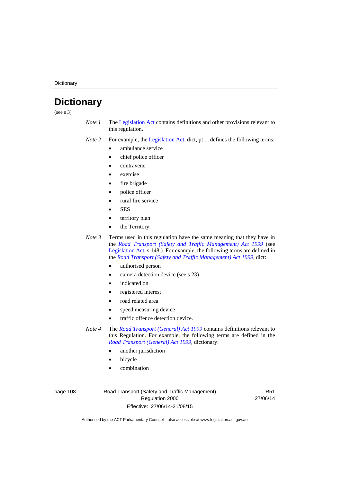**Dictionary** 

# **Dictionary**

(see s 3)

- *Note 1* The [Legislation Act](http://www.legislation.act.gov.au/a/2001-14) contains definitions and other provisions relevant to this regulation.
- *Note 2* For example, the [Legislation Act,](http://www.legislation.act.gov.au/a/2001-14) dict, pt 1, defines the following terms:
	- ambulance service
	- chief police officer
	- contravene
	- exercise
	- fire brigade
	- police officer
	- rural fire service
	- **SES**
	- territory plan
	- the Territory.

*Note 3* Terms used in this regulation have the same meaning that they have in the *[Road Transport \(Safety and Traffic Management\) Act 1999](http://www.legislation.act.gov.au/a/1999-80)* (see [Legislation Act,](http://www.legislation.act.gov.au/a/2001-14) s 148.) For example, the following terms are defined in the *[Road Transport \(Safety and Traffic Management\) Act 1999](http://www.legislation.act.gov.au/a/1999-80)*, dict:

- authorised person
- camera detection device (see s 23)
- indicated on
- registered interest
- road related area
- speed measuring device
- traffic offence detection device.

*Note 4* The *[Road Transport \(General\) Act 1999](http://www.legislation.act.gov.au/a/1999-77)* contains definitions relevant to this Regulation. For example, the following terms are defined in the *[Road Transport \(General\) Act 1999](http://www.legislation.act.gov.au/a/1999-77)*, dictionary:

- another jurisdiction
- bicycle
- combination

page 108 Road Transport (Safety and Traffic Management) Regulation 2000 Effective: 27/06/14-21/08/15

R51 27/06/14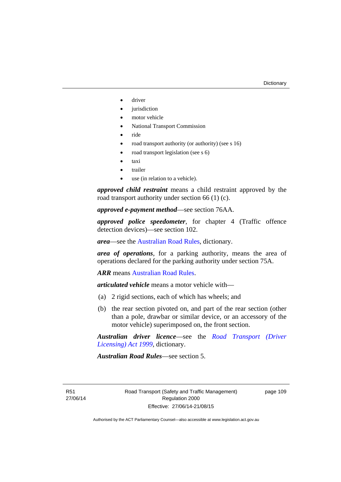- driver
- jurisdiction
- motor vehicle
- National Transport Commission
- ride
- road transport authority (or authority) (see s 16)
- road transport legislation (see s 6)
- taxi
- trailer
- use (in relation to a vehicle).

*approved child restraint* means a child restraint approved by the road transport authority under section 66 (1) (c).

*approved e-payment method*—see section 76AA.

*approved police speedometer*, for chapter 4 (Traffic offence detection devices)—see section 102.

*area*—see the [Australian Road Rules,](http://www.legislation.act.gov.au//ni/db_37271/default.asp) dictionary.

*area of operations*, for a parking authority, means the area of operations declared for the parking authority under section 75A.

*ARR* means [Australian Road Rules](http://www.legislation.act.gov.au//ni/db_37271/default.asp).

*articulated vehicle* means a motor vehicle with—

- (a) 2 rigid sections, each of which has wheels; and
- (b) the rear section pivoted on, and part of the rear section (other than a pole, drawbar or similar device, or an accessory of the motor vehicle) superimposed on, the front section.

*Australian driver licence*—see the *[Road Transport \(Driver](http://www.legislation.act.gov.au/a/1999-78)  [Licensing\) Act 1999](http://www.legislation.act.gov.au/a/1999-78)*, dictionary.

*Australian Road Rules*—see section 5.

R51 27/06/14 page 109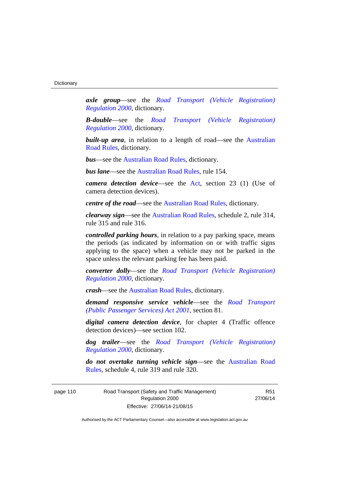*axle group*—see the *[Road Transport \(Vehicle Registration\)](http://www.legislation.act.gov.au/sl/2000-12)  [Regulation 2000](http://www.legislation.act.gov.au/sl/2000-12)*, dictionary.

*B-double*—see the *[Road Transport \(Vehicle Registration\)](http://www.legislation.act.gov.au/sl/2000-12)  [Regulation 2000](http://www.legislation.act.gov.au/sl/2000-12)*, dictionary.

**built-up area**, in relation to a length of road—see the Australian [Road Rules,](http://www.legislation.act.gov.au//ni/db_37271/default.asp) dictionary.

*bus*—see the [Australian Road Rules,](http://www.legislation.act.gov.au//ni/db_37271/default.asp) dictionary.

*bus lane*—see the [Australian Road Rules](http://www.legislation.act.gov.au//ni/db_37271/default.asp), rule 154.

*camera detection device*—see the [Act](http://www.legislation.act.gov.au/a/1999-80/default.asp), section 23 (1) (Use of camera detection devices).

*centre of the road*—see the [Australian Road Rules](http://www.legislation.act.gov.au//ni/db_37271/default.asp), dictionary.

*clearway sign*—see the [Australian Road Rules,](http://www.legislation.act.gov.au//ni/db_37271/default.asp) schedule 2, rule 314, rule 315 and rule 316.

*controlled parking hours*, in relation to a pay parking space, means the periods (as indicated by information on or with traffic signs applying to the space) when a vehicle may not be parked in the space unless the relevant parking fee has been paid.

*converter dolly*—see the *[Road Transport \(Vehicle Registration\)](http://www.legislation.act.gov.au/sl/2000-12)  [Regulation 2000](http://www.legislation.act.gov.au/sl/2000-12)*, dictionary.

*crash*—see the [Australian Road Rules](http://www.legislation.act.gov.au//ni/db_37271/default.asp), dictionary.

*demand responsive service vehicle*—see the *[Road Transport](http://www.legislation.act.gov.au/a/2001-62)  [\(Public Passenger Services\) Act 2001](http://www.legislation.act.gov.au/a/2001-62)*, section 81.

*digital camera detection device*, for chapter 4 (Traffic offence detection devices)—see section 102.

*dog trailer*—see the *[Road Transport \(Vehicle Registration\)](http://www.legislation.act.gov.au/sl/2000-12)  [Regulation 2000](http://www.legislation.act.gov.au/sl/2000-12)*, dictionary.

*do not overtake turning vehicle sign*—see the [Australian Road](http://www.legislation.act.gov.au//ni/db_37271/default.asp)  [Rules](http://www.legislation.act.gov.au//ni/db_37271/default.asp), schedule 4, rule 319 and rule 320.

page 110 Road Transport (Safety and Traffic Management) Regulation 2000 Effective: 27/06/14-21/08/15

R51 27/06/14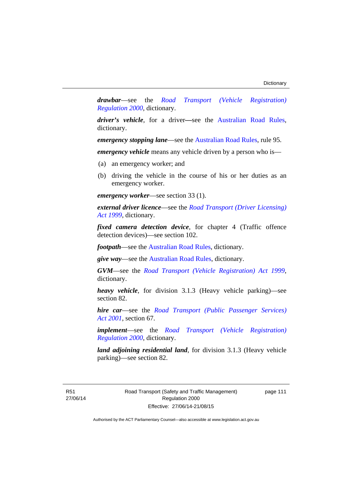*drawbar*—see the *[Road Transport \(Vehicle Registration\)](http://www.legislation.act.gov.au/sl/2000-12)  [Regulation 2000](http://www.legislation.act.gov.au/sl/2000-12)*, dictionary.

*driver's vehicle*, for a driver*—*see the [Australian Road Rules](http://www.legislation.act.gov.au//ni/db_37271/default.asp), dictionary.

*emergency stopping lane—see the [Australian Road Rules](http://www.legislation.act.gov.au//ni/db_37271/default.asp), rule 95.* 

*emergency vehicle* means any vehicle driven by a person who is—

- (a) an emergency worker; and
- (b) driving the vehicle in the course of his or her duties as an emergency worker.

*emergency worker*—see section 33 (1).

*external driver licence*—see the *[Road Transport \(Driver Licensing\)](http://www.legislation.act.gov.au/a/1999-78)  [Act 1999](http://www.legislation.act.gov.au/a/1999-78)*, dictionary.

*fixed camera detection device*, for chapter 4 (Traffic offence detection devices)—see section 102.

*footpath*—see the [Australian Road Rules](http://www.legislation.act.gov.au//ni/db_37271/default.asp), dictionary.

*give way*—see the [Australian Road Rules](http://www.legislation.act.gov.au//ni/db_37271/default.asp), dictionary.

*GVM*—see the *[Road Transport \(Vehicle Registration\) Act 1999](http://www.legislation.act.gov.au/a/1999-81)*, dictionary.

*heavy vehicle*, for division 3.1.3 (Heavy vehicle parking)—see section 82.

*hire car*—see the *[Road Transport \(Public Passenger Services\)](http://www.legislation.act.gov.au/a/2001-62)  [Act 2001](http://www.legislation.act.gov.au/a/2001-62)*, section 67.

*implement*—see the *[Road Transport \(Vehicle Registration\)](http://www.legislation.act.gov.au/sl/2000-12)  [Regulation 2000](http://www.legislation.act.gov.au/sl/2000-12)*, dictionary.

*land adjoining residential land*, for division 3.1.3 (Heavy vehicle parking)—see section 82.

R51 27/06/14 page 111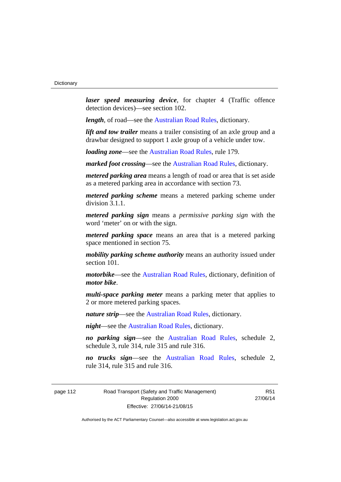*laser speed measuring device*, for chapter 4 (Traffic offence detection devices)—see section 102.

*length*, of road—see the [Australian Road Rules](http://www.legislation.act.gov.au//ni/db_37271/default.asp), dictionary.

*lift and tow trailer* means a trailer consisting of an axle group and a drawbar designed to support 1 axle group of a vehicle under tow.

*loading zone*—see the [Australian Road Rules,](http://www.legislation.act.gov.au//ni/db_37271/default.asp) rule 179.

*marked foot crossing*—see the [Australian Road Rules,](http://www.legislation.act.gov.au//ni/db_37271/default.asp) dictionary.

*metered parking area* means a length of road or area that is set aside as a metered parking area in accordance with section 73.

*metered parking scheme* means a metered parking scheme under division 3.1.1.

*metered parking sign* means a *permissive parking sign* with the word 'meter' on or with the sign.

*metered parking space* means an area that is a metered parking space mentioned in section 75.

*mobility parking scheme authority* means an authority issued under section 101.

*motorbike*—see the [Australian Road Rules,](http://www.legislation.act.gov.au//ni/db_37271/default.asp) dictionary, definition of *motor bike*.

*multi-space parking meter* means a parking meter that applies to 2 or more metered parking spaces.

*nature strip*—see the [Australian Road Rules](http://www.legislation.act.gov.au//ni/db_37271/default.asp), dictionary.

*night*—see the [Australian Road Rules,](http://www.legislation.act.gov.au//ni/db_37271/default.asp) dictionary.

*no parking sign*—see the [Australian Road Rules](http://www.legislation.act.gov.au//ni/db_37271/default.asp), schedule 2, schedule 3, rule 314, rule 315 and rule 316.

*no trucks sign*—see the [Australian Road Rules,](http://www.legislation.act.gov.au//ni/db_37271/default.asp) schedule 2, rule 314, rule 315 and rule 316.

page 112 Road Transport (Safety and Traffic Management) Regulation 2000 Effective: 27/06/14-21/08/15

R51 27/06/14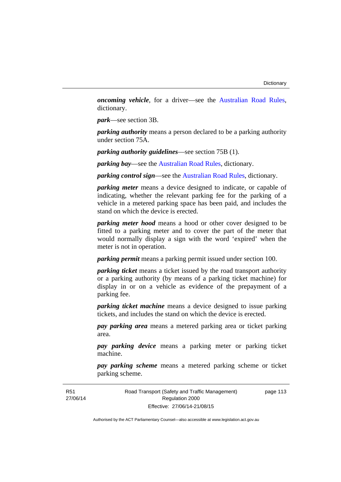*oncoming vehicle*, for a driver—see the [Australian Road Rules](http://www.legislation.act.gov.au//ni/db_37271/default.asp), dictionary.

*park*—see section 3B.

*parking authority* means a person declared to be a parking authority under section 75A.

*parking authority guidelines*—see section 75B (1).

*parking bay*—see the [Australian Road Rules,](http://www.legislation.act.gov.au//ni/db_37271/default.asp) dictionary.

*parking control sign*—see the [Australian Road Rules](http://www.legislation.act.gov.au//ni/db_37271/default.asp), dictionary.

*parking meter* means a device designed to indicate, or capable of indicating, whether the relevant parking fee for the parking of a vehicle in a metered parking space has been paid, and includes the stand on which the device is erected.

*parking meter hood* means a hood or other cover designed to be fitted to a parking meter and to cover the part of the meter that would normally display a sign with the word 'expired' when the meter is not in operation.

*parking permit* means a parking permit issued under section 100.

*parking ticket* means a ticket issued by the road transport authority or a parking authority (by means of a parking ticket machine) for display in or on a vehicle as evidence of the prepayment of a parking fee.

*parking ticket machine* means a device designed to issue parking tickets, and includes the stand on which the device is erected.

*pay parking area* means a metered parking area or ticket parking area.

*pay parking device* means a parking meter or parking ticket machine.

*pay parking scheme* means a metered parking scheme or ticket parking scheme.

Road Transport (Safety and Traffic Management) Regulation 2000 Effective: 27/06/14-21/08/15

page 113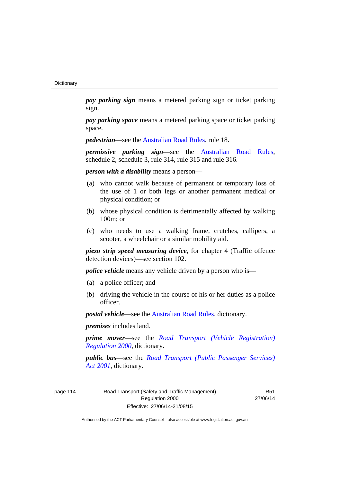*pay parking sign* means a metered parking sign or ticket parking sign.

*pay parking space* means a metered parking space or ticket parking space.

*pedestrian***—see the [Australian Road Rules](http://www.legislation.act.gov.au//ni/db_37271/default.asp)**, rule 18.

*permissive parking sign*—see the [Australian Road Rules](http://www.legislation.act.gov.au//ni/db_37271/default.asp), schedule 2, schedule 3, rule 314, rule 315 and rule 316.

*person with a disability* means a person—

- (a) who cannot walk because of permanent or temporary loss of the use of 1 or both legs or another permanent medical or physical condition; or
- (b) whose physical condition is detrimentally affected by walking 100m; or
- (c) who needs to use a walking frame, crutches, callipers, a scooter, a wheelchair or a similar mobility aid.

*piezo strip speed measuring device*, for chapter 4 (Traffic offence detection devices)—see section 102.

*police vehicle* means any vehicle driven by a person who is—

- (a) a police officer; and
- (b) driving the vehicle in the course of his or her duties as a police officer.

*postal vehicle*—see the [Australian Road Rules,](http://www.legislation.act.gov.au//ni/db_37271/default.asp) dictionary.

*premises* includes land.

*prime mover*—see the *[Road Transport \(Vehicle Registration\)](http://www.legislation.act.gov.au/sl/2000-12)  [Regulation 2000](http://www.legislation.act.gov.au/sl/2000-12)*, dictionary.

*public bus*—see the *[Road Transport \(Public Passenger Services\)](http://www.legislation.act.gov.au/a/2001-62)  [Act 2001](http://www.legislation.act.gov.au/a/2001-62)*, dictionary.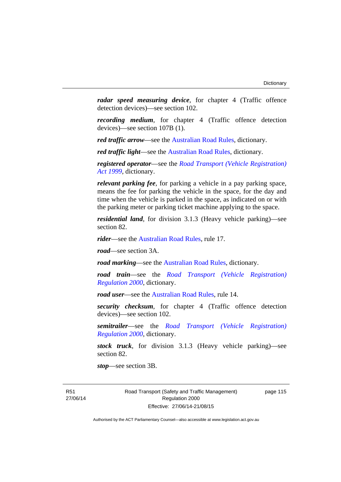*radar speed measuring device*, for chapter 4 (Traffic offence detection devices)—see section 102.

*recording medium*, for chapter 4 (Traffic offence detection devices)—see section 107B (1).

*red traffic arrow*—see the [Australian Road Rules,](http://www.legislation.act.gov.au//ni/db_37271/default.asp) dictionary.

*red traffic light*—see the [Australian Road Rules](http://www.legislation.act.gov.au//ni/db_37271/default.asp), dictionary.

*registered operator*—see the *[Road Transport \(Vehicle Registration\)](http://www.legislation.act.gov.au/a/1999-81)  [Act 1999](http://www.legislation.act.gov.au/a/1999-81)*, dictionary.

*relevant parking fee*, for parking a vehicle in a pay parking space, means the fee for parking the vehicle in the space, for the day and time when the vehicle is parked in the space, as indicated on or with the parking meter or parking ticket machine applying to the space.

*residential land*, for division 3.1.3 (Heavy vehicle parking)—see section 82.

*rider*—see the [Australian Road Rules,](http://www.legislation.act.gov.au//ni/db_37271/default.asp) rule 17.

*road*—see section 3A.

*road marking*—see the [Australian Road Rules](http://www.legislation.act.gov.au//ni/db_37271/default.asp), dictionary.

*road train*—see the *[Road Transport \(Vehicle Registration\)](http://www.legislation.act.gov.au/sl/2000-12)  [Regulation 2000](http://www.legislation.act.gov.au/sl/2000-12)*, dictionary.

*road user***—see the Australian Road Rules**, rule 14.

*security checksum*, for chapter 4 (Traffic offence detection devices)—see section 102.

*semitrailer*—see the *[Road Transport \(Vehicle Registration\)](http://www.legislation.act.gov.au/sl/2000-12)  [Regulation 2000](http://www.legislation.act.gov.au/sl/2000-12)*, dictionary.

*stock truck*, for division 3.1.3 (Heavy vehicle parking)—see section 82.

*stop*—see section 3B.

R51 27/06/14 Road Transport (Safety and Traffic Management) Regulation 2000 Effective: 27/06/14-21/08/15

page 115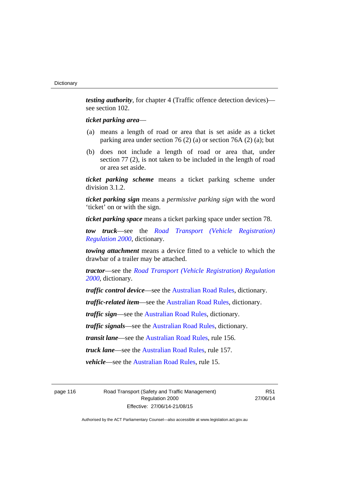*testing authority*, for chapter 4 (Traffic offence detection devices) see section 102.

## *ticket parking area*—

- (a) means a length of road or area that is set aside as a ticket parking area under section 76 (2) (a) or section 76A (2) (a); but
- (b) does not include a length of road or area that, under section 77 (2), is not taken to be included in the length of road or area set aside.

*ticket parking scheme* means a ticket parking scheme under division 3.1.2.

*ticket parking sign* means a *permissive parking sign* with the word 'ticket' on or with the sign.

*ticket parking space* means a ticket parking space under section 78.

*tow truck*—see the *[Road Transport \(Vehicle Registration\)](http://www.legislation.act.gov.au/sl/2000-12)  [Regulation 2000](http://www.legislation.act.gov.au/sl/2000-12)*, dictionary.

*towing attachment* means a device fitted to a vehicle to which the drawbar of a trailer may be attached.

*tractor*—see the *[Road Transport \(Vehicle Registration\) Regulation](http://www.legislation.act.gov.au/sl/2000-12)  [2000](http://www.legislation.act.gov.au/sl/2000-12)*, dictionary.

*traffic control device*—see the [Australian Road Rules](http://www.legislation.act.gov.au//ni/db_37271/default.asp), dictionary.

*traffic-related item*—see the [Australian Road Rules,](http://www.legislation.act.gov.au//ni/db_37271/default.asp) dictionary.

*traffic sign*—see the [Australian Road Rules](http://www.legislation.act.gov.au//ni/db_37271/default.asp), dictionary.

*traffic signals*—see the [Australian Road Rules](http://www.legislation.act.gov.au//ni/db_37271/default.asp), dictionary.

*transit lane*—see the [Australian Road Rules,](http://www.legislation.act.gov.au//ni/db_37271/default.asp) rule 156.

*truck lane*—see the [Australian Road Rules,](http://www.legislation.act.gov.au//ni/db_37271/default.asp) rule 157.

*vehicle*—see the [Australian Road Rules](http://www.legislation.act.gov.au//ni/db_37271/default.asp), rule 15.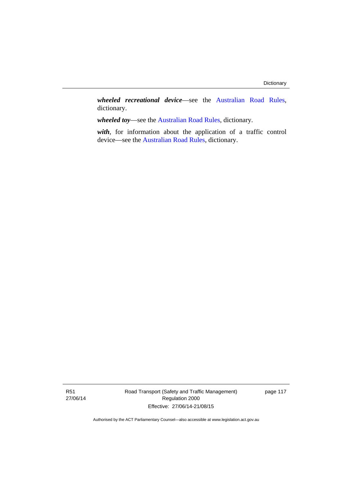*wheeled recreational device*—see the [Australian Road Rules](http://www.legislation.act.gov.au//ni/db_37271/default.asp), dictionary.

*wheeled toy*—see the [Australian Road Rules](http://www.legislation.act.gov.au//ni/db_37271/default.asp), dictionary.

*with*, for information about the application of a traffic control device—see the [Australian Road Rules](http://www.legislation.act.gov.au//ni/db_37271/default.asp), dictionary.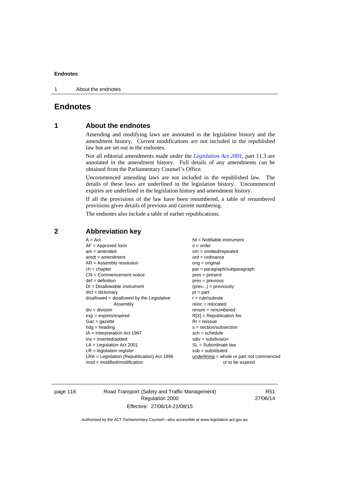1 About the endnotes

# **Endnotes**

# **1 About the endnotes**

Amending and modifying laws are annotated in the legislation history and the amendment history. Current modifications are not included in the republished law but are set out in the endnotes.

Not all editorial amendments made under the *[Legislation Act 2001](http://www.legislation.act.gov.au/a/2001-14)*, part 11.3 are annotated in the amendment history. Full details of any amendments can be obtained from the Parliamentary Counsel's Office.

Uncommenced amending laws are not included in the republished law. The details of these laws are underlined in the legislation history. Uncommenced expiries are underlined in the legislation history and amendment history.

If all the provisions of the law have been renumbered, a table of renumbered provisions gives details of previous and current numbering.

The endnotes also include a table of earlier republications.

# **2 Abbreviation key**

page 118 Road Transport (Safety and Traffic Management) Regulation 2000 Effective: 27/06/14-21/08/15

R51 27/06/14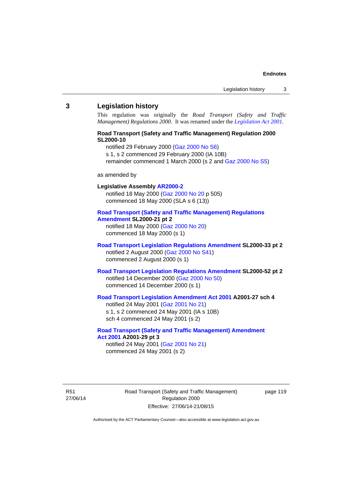#### **3 Legislation history**

This regulation was originally the *Road Transport (Safety and Traffic Management) Regulations 2000*. It was renamed under the *[Legislation Act 2001](http://www.legislation.act.gov.au/a/2001-14)*.

# **Road Transport (Safety and Traffic Management) Regulation 2000 SL2000-10**

notified 29 February 2000 [\(Gaz 2000 No S6](http://www.legislation.act.gov.au/gaz/2000-S6/default.asp))

s 1, s 2 commenced 29 February 2000 (IA 10B)

remainder commenced 1 March 2000 (s 2 and [Gaz 2000 No S5\)](http://www.legislation.act.gov.au/gaz/2000-S5/default.asp)

#### as amended by

# **Legislative Assembly [AR2000-2](http://www.legislation.act.gov.au/ar/2000-2/default.asp)**

notified 18 May 2000 ([Gaz 2000 No 20 p](http://www.legislation.act.gov.au/gaz/2000-20/default.asp) 505) commenced 18 May 2000 (SLA s 6 (13))

#### **[Road Transport \(Safety and Traffic Management\) Regulations](http://www.legislation.act.gov.au/sl/2000-21/default.asp)  [Amendment](http://www.legislation.act.gov.au/sl/2000-21/default.asp) SL2000-21 pt 2**

notified 18 May 2000 ([Gaz 2000 No 20\)](http://www.legislation.act.gov.au/gaz/2000-20/default.asp) commenced 18 May 2000 (s 1)

### **[Road Transport Legislation Regulations Amendment](http://www.legislation.act.gov.au/sl/2000-33/default.asp) SL2000-33 pt 2**  notified 2 August 2000 ([Gaz 2000 No S41](http://www.legislation.act.gov.au/gaz/2000-S41/default.asp)) commenced 2 August 2000 (s 1)

# **[Road Transport Legislation Regulations Amendment](http://www.legislation.act.gov.au/sl/2000-52/default.asp) SL2000-52 pt 2**  notified 14 December 2000 [\(Gaz 2000 No 50](http://www.legislation.act.gov.au/gaz/2000-50/default.asp)) commenced 14 December 2000 (s 1)

# **[Road Transport Legislation Amendment Act 2001](http://www.legislation.act.gov.au/a/2001-27) A2001-27 sch 4**

notified 24 May 2001 ([Gaz 2001 No 21\)](http://www.legislation.act.gov.au/gaz/2001-21/default.asp) s 1, s 2 commenced 24 May 2001 (IA s 10B) sch 4 commenced 24 May 2001 (s 2)

#### **[Road Transport \(Safety and Traffic Management\) Amendment](http://www.legislation.act.gov.au/a/2001-29)  [Act 2001](http://www.legislation.act.gov.au/a/2001-29) A2001-29 pt 3**  notified 24 May 2001 ([Gaz 2001 No 21\)](http://www.legislation.act.gov.au/gaz/2001-21/default.asp)

commenced 24 May 2001 (s 2)

R51 27/06/14 Road Transport (Safety and Traffic Management) Regulation 2000 Effective: 27/06/14-21/08/15

page 119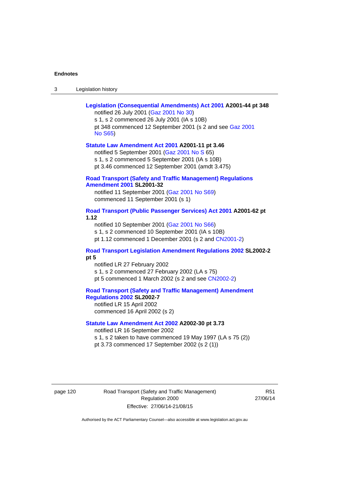| Legislation history<br>-3 |
|---------------------------|
|---------------------------|

| Legislation (Consequential Amendments) Act 2001 A2001-44 pt 348<br>notified 26 July 2001 (Gaz 2001 No 30)<br>s 1, s 2 commenced 26 July 2001 (IA s 10B)                                                                            |
|------------------------------------------------------------------------------------------------------------------------------------------------------------------------------------------------------------------------------------|
| pt 348 commenced 12 September 2001 (s 2 and see Gaz 2001<br><b>No S65)</b>                                                                                                                                                         |
| Statute Law Amendment Act 2001 A2001-11 pt 3.46<br>notified 5 September 2001 (Gaz 2001 No S 65)<br>s 1, s 2 commenced 5 September 2001 (IA s 10B)<br>pt 3.46 commenced 12 September 2001 (amdt 3.475)                              |
| <b>Road Transport (Safety and Traffic Management) Regulations</b><br><b>Amendment 2001 SL2001-32</b><br>notified 11 September 2001 (Gaz 2001 No S69)<br>commenced 11 September 2001 (s 1)                                          |
| Road Transport (Public Passenger Services) Act 2001 A2001-62 pt<br>1.12<br>notified 10 September 2001 (Gaz 2001 No S66)<br>s 1, s 2 commenced 10 September 2001 (IA s 10B)<br>pt 1.12 commenced 1 December 2001 (s 2 and CN2001-2) |
| <b>Road Transport Legislation Amendment Regulations 2002 SL2002-2</b><br>pt 5<br>notified LR 27 February 2002<br>s 1, s 2 commenced 27 February 2002 (LA s 75)<br>pt 5 commenced 1 March 2002 (s 2 and see CN2002-2)               |
| <b>Road Transport (Safety and Traffic Management) Amendment</b><br>Regulations 2002 SL2002-7<br>notified LR 15 April 2002<br>commenced 16 April 2002 (s 2)                                                                         |
| Statute Law Amendment Act 2002 A2002-30 pt 3.73<br>notified LR 16 September 2002<br>s 1, s 2 taken to have commenced 19 May 1997 (LA s 75 (2))<br>pt 3.73 commenced 17 September 2002 (s 2 (1))                                    |

page 120 Road Transport (Safety and Traffic Management) Regulation 2000 Effective: 27/06/14-21/08/15

R51 27/06/14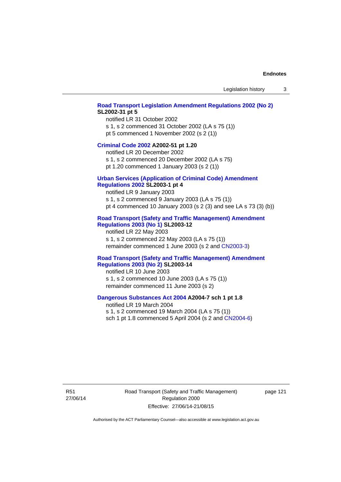#### **[Road Transport Legislation Amendment Regulations 2002 \(No 2\)](http://www.legislation.act.gov.au/sl/2002-31) SL2002-31 pt 5**

notified LR 31 October 2002 s 1, s 2 commenced 31 October 2002 (LA s 75 (1)) pt 5 commenced 1 November 2002 (s 2 (1))

#### **[Criminal Code 2002](http://www.legislation.act.gov.au/a/2002-51) A2002-51 pt 1.20**

notified LR 20 December 2002 s 1, s 2 commenced 20 December 2002 (LA s 75)

pt 1.20 commenced 1 January 2003 (s 2 (1))

# **[Urban Services \(Application of Criminal Code\) Amendment](http://www.legislation.act.gov.au/sl/2003-1)**

# **[Regulations 2002](http://www.legislation.act.gov.au/sl/2003-1) SL2003-1 pt 4**

notified LR 9 January 2003 s 1, s 2 commenced 9 January 2003 (LA s 75 (1)) pt 4 commenced 10 January 2003 (s 2 (3) and see LA s 73 (3) (b))

# **[Road Transport \(Safety and Traffic Management\) Amendment](http://www.legislation.act.gov.au/sl/2003-12)  [Regulations 2003 \(No 1\)](http://www.legislation.act.gov.au/sl/2003-12) SL2003-12**

notified LR 22 May 2003 s 1, s 2 commenced 22 May 2003 (LA s 75 (1)) remainder commenced 1 June 2003 (s 2 and [CN2003-3](http://www.legislation.act.gov.au/cn/2003-3/default.asp))

### **[Road Transport \(Safety and Traffic Management\) Amendment](http://www.legislation.act.gov.au/sl/2003-14)  [Regulations 2003 \(No 2\)](http://www.legislation.act.gov.au/sl/2003-14) SL2003-14**

notified LR 10 June 2003 s 1, s 2 commenced 10 June 2003 (LA s 75 (1)) remainder commenced 11 June 2003 (s 2)

#### **[Dangerous Substances Act 2004](http://www.legislation.act.gov.au/a/2004-7) A2004-7 sch 1 pt 1.8**

notified LR 19 March 2004 s 1, s 2 commenced 19 March 2004 (LA s 75 (1)) sch 1 pt 1.8 commenced 5 April 2004 (s 2 and [CN2004-6](http://www.legislation.act.gov.au/cn/2004-6/default.asp))

R51 27/06/14 Road Transport (Safety and Traffic Management) Regulation 2000 Effective: 27/06/14-21/08/15

page 121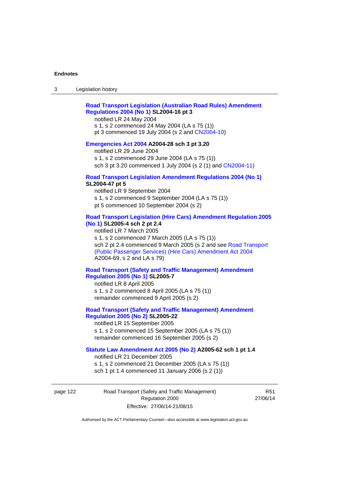# **[Road Transport Legislation \(Australian Road Rules\) Amendment](http://www.legislation.act.gov.au/sl/2004-16)  [Regulations 2004 \(No 1\)](http://www.legislation.act.gov.au/sl/2004-16) SL2004-16 pt 3**

notified LR 24 May 2004

s 1, s 2 commenced 24 May 2004 (LA s 75 (1)) pt 3 commenced 19 July 2004 (s 2 and [CN2004-10](http://www.legislation.act.gov.au/cn/2004-10/default.asp))

# **[Emergencies Act 2004](http://www.legislation.act.gov.au/a/2004-28) A2004-28 sch 3 pt 3.20**

notified LR 29 June 2004 s 1, s 2 commenced 29 June 2004 (LA s 75 (1)) sch 3 pt 3.20 commenced 1 July 2004 (s 2 (1) and [CN2004-11](http://www.legislation.act.gov.au/cn/2004-11/default.asp))

#### **[Road Transport Legislation Amendment Regulations 2004 \(No 1\)](http://www.legislation.act.gov.au/sl/2004-47) SL2004-47 pt 5**

notified LR 9 September 2004 s 1, s 2 commenced 9 September 2004 (LA s 75 (1)) pt 5 commenced 10 September 2004 (s 2)

# **[Road Transport Legislation \(Hire Cars\) Amendment Regulation 2005](http://www.legislation.act.gov.au/sl/2005-4)  [\(No 1\)](http://www.legislation.act.gov.au/sl/2005-4) SL2005-4 sch 2 pt 2.4**

notified LR 7 March 2005 s 1, s 2 commenced 7 March 2005 (LA s 75 (1)) sch 2 pt 2.4 commenced 9 March 2005 (s 2 and see [Road Transport](http://www.legislation.act.gov.au/a/2004-69)  [\(Public Passenger Services\) \(Hire Cars\) Amendment Act 2004](http://www.legislation.act.gov.au/a/2004-69) A2004-69, s 2 and LA s 79)

# **[Road Transport \(Safety and Traffic Management\) Amendment](http://www.legislation.act.gov.au/sl/2005-7)  [Regulation 2005 \(No 1\)](http://www.legislation.act.gov.au/sl/2005-7) SL2005-7**

notified LR 8 April 2005 s 1, s 2 commenced 8 April 2005 (LA s 75 (1)) remainder commenced 9 April 2005 (s 2)

# **[Road Transport \(Safety and Traffic Management\) Amendment](http://www.legislation.act.gov.au/sl/2005-22)  [Regulation 2005 \(No 2\)](http://www.legislation.act.gov.au/sl/2005-22) SL2005-22**

notified LR 15 September 2005 s 1, s 2 commenced 15 September 2005 (LA s 75 (1)) remainder commenced 16 September 2005 (s 2)

# **[Statute Law Amendment Act 2005 \(No 2\)](http://www.legislation.act.gov.au/a/2005-62) A2005-62 sch 1 pt 1.4**

notified LR 21 December 2005 s 1, s 2 commenced 21 December 2005 (LA s 75 (1)) sch 1 pt 1.4 commenced 11 January 2006 (s 2 (1))

page 122 Road Transport (Safety and Traffic Management) Regulation 2000 Effective: 27/06/14-21/08/15

R51 27/06/14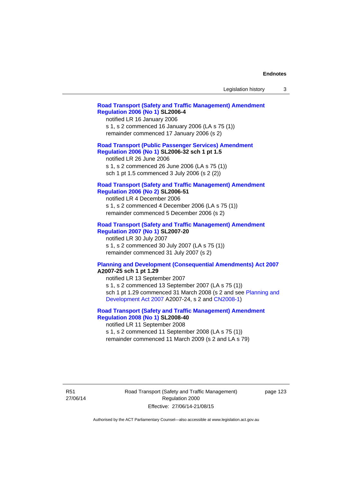| Legislation history |  |
|---------------------|--|
|---------------------|--|

### **[Road Transport \(Safety and Traffic Management\) Amendment](http://www.legislation.act.gov.au/sl/2006-4)  [Regulation 2006 \(No 1\)](http://www.legislation.act.gov.au/sl/2006-4) SL2006-4**

notified LR 16 January 2006 s 1, s 2 commenced 16 January 2006 (LA s 75 (1)) remainder commenced 17 January 2006 (s 2)

## **[Road Transport \(Public Passenger Services\) Amendment](http://www.legislation.act.gov.au/sl/2006-32)  [Regulation 2006 \(No 1\)](http://www.legislation.act.gov.au/sl/2006-32) SL2006-32 sch 1 pt 1.5**

notified LR 26 June 2006 s 1, s 2 commenced 26 June 2006 (LA s 75 (1)) sch 1 pt 1.5 commenced 3 July 2006 (s 2 (2))

#### **[Road Transport \(Safety and Traffic Management\) Amendment](http://www.legislation.act.gov.au/sl/2006-51)  [Regulation 2006 \(No 2\)](http://www.legislation.act.gov.au/sl/2006-51) SL2006-51**

notified LR 4 December 2006 s 1, s 2 commenced 4 December 2006 (LA s 75 (1)) remainder commenced 5 December 2006 (s 2)

### **[Road Transport \(Safety and Traffic Management\) Amendment](http://www.legislation.act.gov.au/sl/2007-20)**

**[Regulation 2007 \(No 1\)](http://www.legislation.act.gov.au/sl/2007-20) SL2007-20**  notified LR 30 July 2007 s 1, s 2 commenced 30 July 2007 (LA s 75 (1)) remainder commenced 31 July 2007 (s 2)

#### **[Planning and Development \(Consequential Amendments\) Act 2007](http://www.legislation.act.gov.au/a/2007-25) A2007-25 sch 1 pt 1.29**

notified LR 13 September 2007 s 1, s 2 commenced 13 September 2007 (LA s 75 (1)) sch 1 pt 1.29 commenced 31 March 2008 (s 2 and see [Planning and](http://www.legislation.act.gov.au/a/2007-24)  [Development Act 2007](http://www.legislation.act.gov.au/a/2007-24) A2007-24, s 2 and [CN2008-1](http://www.legislation.act.gov.au/cn/2008-1/default.asp))

# **[Road Transport \(Safety and Traffic Management\) Amendment](http://www.legislation.act.gov.au/sl/2008-40)  [Regulation 2008 \(No 1\)](http://www.legislation.act.gov.au/sl/2008-40) SL2008-40**

notified LR 11 September 2008 s 1, s 2 commenced 11 September 2008 (LA s 75 (1)) remainder commenced 11 March 2009 (s 2 and LA s 79)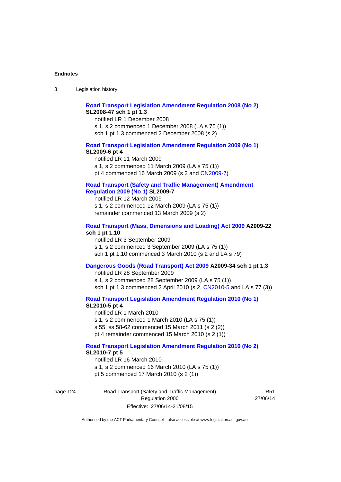# **[Road Transport Legislation Amendment Regulation 2008 \(No 2\)](http://www.legislation.act.gov.au/sl/2008-47) SL2008-47 sch 1 pt 1.3**

notified LR 1 December 2008 s 1, s 2 commenced 1 December 2008 (LA s 75 (1)) sch 1 pt 1.3 commenced 2 December 2008 (s 2)

#### **[Road Transport Legislation Amendment Regulation 2009 \(No 1\)](http://www.legislation.act.gov.au/sl/2009-6) SL2009-6 pt 4**

notified LR 11 March 2009 s 1, s 2 commenced 11 March 2009 (LA s 75 (1)) pt 4 commenced 16 March 2009 (s 2 and [CN2009-7\)](http://www.legislation.act.gov.au/cn/2009-7/default.asp)

# **[Road Transport \(Safety and Traffic Management\) Amendment](http://www.legislation.act.gov.au/sl/2009-7)  [Regulation 2009 \(No 1\)](http://www.legislation.act.gov.au/sl/2009-7) SL2009-7**

notified LR 12 March 2009 s 1, s 2 commenced 12 March 2009 (LA s 75 (1)) remainder commenced 13 March 2009 (s 2)

#### **[Road Transport \(Mass, Dimensions and Loading\) Act 2009](http://www.legislation.act.gov.au/a/2009-22/default.asp) A2009-22 sch 1 pt 1.10**

notified LR 3 September 2009 s 1, s 2 commenced 3 September 2009 (LA s 75 (1)) sch 1 pt 1.10 commenced 3 March 2010 (s 2 and LA s 79)

# **[Dangerous Goods \(Road Transport\) Act 2009](http://www.legislation.act.gov.au/a/2009-34) A2009-34 sch 1 pt 1.3**

notified LR 28 September 2009 s 1, s 2 commenced 28 September 2009 (LA s 75 (1)) sch 1 pt 1.3 commenced 2 April 2010 (s 2, [CN2010-5 a](http://www.legislation.act.gov.au/cn/2010-5/default.asp)nd LA s 77 (3))

**[Road Transport Legislation Amendment Regulation 2010 \(No 1\)](http://www.legislation.act.gov.au/sl/2010-5)**

#### **SL2010-5 pt 4**

notified LR 1 March 2010 s 1, s 2 commenced 1 March 2010 (LA s 75 (1)) s 55, ss 58-62 commenced 15 March 2011 (s 2 (2)) pt 4 remainder commenced 15 March 2010 (s 2 (1))

#### **[Road Transport Legislation Amendment Regulation 2010 \(No 2\)](http://www.legislation.act.gov.au/sl/2010-7) SL2010-7 pt 5**  notified LR 16 March 2010

s 1, s 2 commenced 16 March 2010 (LA s 75 (1)) pt 5 commenced 17 March 2010 (s 2 (1))

page 124 Road Transport (Safety and Traffic Management) Regulation 2000 Effective: 27/06/14-21/08/15

R51 27/06/14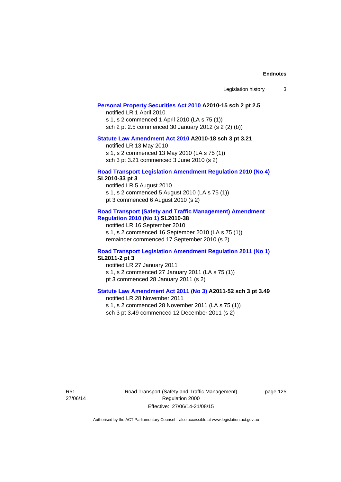| Legislation history |  |  |
|---------------------|--|--|
|---------------------|--|--|

### **[Personal Property Securities Act 2010](http://www.legislation.act.gov.au/a/2010-15) A2010-15 sch 2 pt 2.5**

notified LR 1 April 2010 s 1, s 2 commenced 1 April 2010 (LA s 75 (1)) sch 2 pt 2.5 commenced 30 January 2012 (s 2 (2) (b))

# **[Statute Law Amendment Act 2010](http://www.legislation.act.gov.au/a/2010-18) A2010-18 sch 3 pt 3.21**

notified LR 13 May 2010 s 1, s 2 commenced 13 May 2010 (LA s 75 (1)) sch 3 pt 3.21 commenced 3 June 2010 (s 2)

#### **[Road Transport Legislation Amendment Regulation 2010 \(No 4\)](http://www.legislation.act.gov.au/sl/2010-33) SL2010-33 pt 3**

notified LR 5 August 2010 s 1, s 2 commenced 5 August 2010 (LA s 75 (1)) pt 3 commenced 6 August 2010 (s 2)

#### **[Road Transport \(Safety and Traffic Management\) Amendment](http://www.legislation.act.gov.au/sl/2010-38)  [Regulation 2010 \(No 1\)](http://www.legislation.act.gov.au/sl/2010-38) SL2010-38**

notified LR 16 September 2010 s 1, s 2 commenced 16 September 2010 (LA s 75 (1)) remainder commenced 17 September 2010 (s 2)

#### **[Road Transport Legislation Amendment Regulation 2011 \(No 1\)](http://www.legislation.act.gov.au/sl/2011-2) SL2011-2 pt 3**

notified LR 27 January 2011 s 1, s 2 commenced 27 January 2011 (LA s 75 (1)) pt 3 commenced 28 January 2011 (s 2)

# **[Statute Law Amendment Act 2011 \(No 3\)](http://www.legislation.act.gov.au/a/2011-52) A2011-52 sch 3 pt 3.49**

notified LR 28 November 2011 s 1, s 2 commenced 28 November 2011 (LA s 75 (1)) sch 3 pt 3.49 commenced 12 December 2011 (s 2)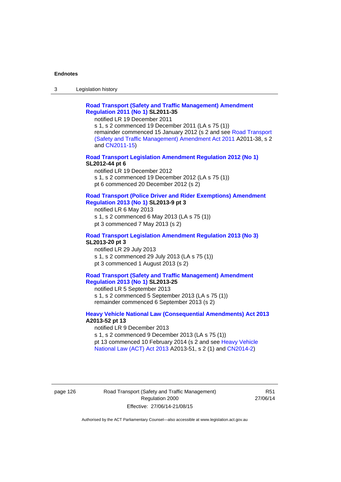3 Legislation history

# **[Road Transport \(Safety and Traffic Management\) Amendment](http://www.legislation.act.gov.au/sl/2011-35)  [Regulation 2011 \(No 1\)](http://www.legislation.act.gov.au/sl/2011-35) SL2011-35**

notified LR 19 December 2011

s 1, s 2 commenced 19 December 2011 (LA s 75 (1)) remainder commenced 15 January 2012 (s 2 and see [Road Transport](http://www.legislation.act.gov.au/a/2011-38)  [\(Safety and Traffic Management\) Amendment Act 2011](http://www.legislation.act.gov.au/a/2011-38) A2011-38, s 2 and [CN2011-15\)](http://www.legislation.act.gov.au/cn/2011-15/default.asp)

## **[Road Transport Legislation Amendment Regulation 2012 \(No 1\)](http://www.legislation.act.gov.au/sl/2012-44/default.asp) SL2012-44 pt 6**

notified LR 19 December 2012 s 1, s 2 commenced 19 December 2012 (LA s 75 (1)) pt 6 commenced 20 December 2012 (s 2)

#### **[Road Transport \(Police Driver and Rider Exemptions\) Amendment](http://www.legislation.act.gov.au/sl/2013-9/default.asp)  [Regulation 2013 \(No 1\)](http://www.legislation.act.gov.au/sl/2013-9/default.asp) SL2013-9 pt 3**

notified LR 6 May 2013 s 1, s 2 commenced 6 May 2013 (LA s 75 (1)) pt 3 commenced 7 May 2013 (s 2)

#### **[Road Transport Legislation Amendment Regulation 2013 \(No 3\)](http://www.legislation.act.gov.au/sl/2013-20) SL2013-20 pt 3**  notified LR 29 July 2013

s 1, s 2 commenced 29 July 2013 (LA s 75 (1)) pt 3 commenced 1 August 2013 (s 2)

# **[Road Transport \(Safety and Traffic Management\) Amendment](http://www.legislation.act.gov.au/sl/2013-25)  [Regulation 2013 \(No 1\)](http://www.legislation.act.gov.au/sl/2013-25) SL2013-25**

notified LR 5 September 2013 s 1, s 2 commenced 5 September 2013 (LA s 75 (1)) remainder commenced 6 September 2013 (s 2)

#### **[Heavy Vehicle National Law \(Consequential Amendments\) Act 2013](http://www.legislation.act.gov.au/a/2013-52) A2013-52 pt 13**  notified LR 9 December 2013

s 1, s 2 commenced 9 December 2013 (LA s 75 (1)) pt 13 commenced 10 February 2014 (s 2 and see [Heavy Vehicle](http://www.legislation.act.gov.au/a/2013-51/default.asp)  [National Law \(ACT\) Act 2013](http://www.legislation.act.gov.au/a/2013-51/default.asp) A2013-51, s 2 (1) and [CN2014-2](http://www.legislation.act.gov.au/cn/2014-2/default.asp))

## page 126 Road Transport (Safety and Traffic Management) Regulation 2000 Effective: 27/06/14-21/08/15

R51 27/06/14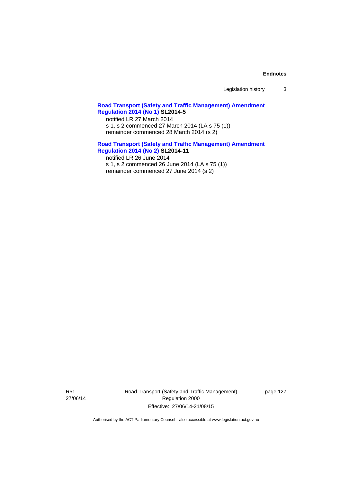Legislation history 3

# **[Road Transport \(Safety and Traffic Management\) Amendment](http://www.legislation.act.gov.au/sl/2014-5)  [Regulation 2014 \(No 1\)](http://www.legislation.act.gov.au/sl/2014-5) SL2014-5**

notified LR 27 March 2014 s 1, s 2 commenced 27 March 2014 (LA s 75 (1)) remainder commenced 28 March 2014 (s 2)

# **[Road Transport \(Safety and Traffic Management\) Amendment](http://www.legislation.act.gov.au/sl/2014-11)**

**[Regulation 2014 \(No 2\)](http://www.legislation.act.gov.au/sl/2014-11) SL2014-11**  notified LR 26 June 2014 s 1, s 2 commenced 26 June 2014 (LA s 75 (1)) remainder commenced 27 June 2014 (s 2)

R51 27/06/14 Road Transport (Safety and Traffic Management) Regulation 2000 Effective: 27/06/14-21/08/15

page 127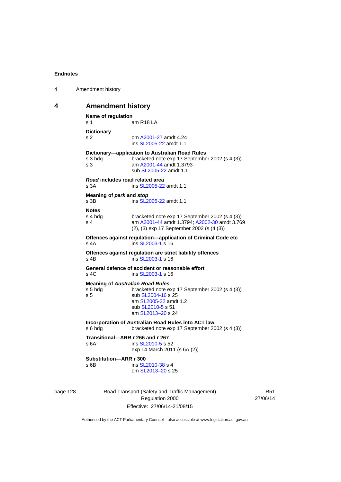| 4 | Amendment history |
|---|-------------------|
|---|-------------------|

# **4 Amendment history**

```
Name of regulation 
s 1 am R18 LA
Dictionary 
s 2 om A2001-27 amdt 4.24
                ins SL2005-22 amdt 1.1 
Dictionary—application to Australian Road Rules 
s 3 hdg bracketed note exp 17 September 2002 (s 4 (3))
s 3 am A2001-44 amdt 1.3793 
                sub SL2005-22 amdt 1.1 
Road includes road related area 
s 3A ins SL2005-22 amdt 1.1
Meaning of park and stop
SL2005-22 amdt 1.1
Notes 
s 4 hdg bracketed note exp 17 September 2002 (s 4 (3))<br>s 4 am A2001-44 amdt 1.3794: A2002-30 amdt 3.76
                A2001-44 A2002-30 amdt 3.769
                (2), (3) exp 17 September 2002 (s (4 (3)) 
Offences against regulation—application of Criminal Code etc 
SL2003-1 s 16
Offences against regulation are strict liability offences 
SL2003-1 s 16
General defence of accident or reasonable effort 
SL2003-1 s 16
Meaning of Australian Road Rules
s 5 hdg bracketed note exp 17 September 2002 (s 4 (3)) 
SL2004-16 s 25
                 am SL2005-22 amdt 1.2 
                sub SL2010-5 s 51 
                 am SL2013–20 s 24 
Incorporation of Australian Road Rules into ACT law 
s 6 hdg bracketed note exp 17 September 2002 (s 4 (3)) 
Transitional—ARR r 266 and r 267 
SL2010-5 s 52
                exp 14 March 2011 (s 6A (2)) 
Substitution—ARR r 300 
SL2010-38 s 4
                 om SL2013–20 s 25
```
page 128 Road Transport (Safety and Traffic Management) Regulation 2000 Effective: 27/06/14-21/08/15

R51 27/06/14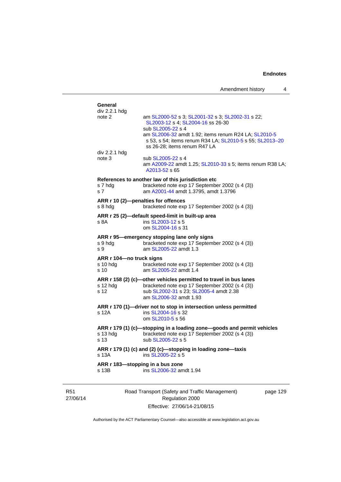| div 2.2.1 hdg<br>note 2              | am SL2000-52 s 3; SL2001-32 s 3; SL2002-31 s 22;                                         |
|--------------------------------------|------------------------------------------------------------------------------------------|
|                                      | SL2003-12 s 4; SL2004-16 ss 26-30                                                        |
|                                      | sub SL2005-22 s 4<br>am SL2006-32 amdt 1.92; items renum R24 LA; SL2010-5                |
|                                      | s 53, s 54; items renum R34 LA; SL2010-5 s 55; SL2013-20                                 |
|                                      | ss 26-28; items renum R47 LA                                                             |
| div 2.2.1 hdg<br>note 3              | sub SL2005-22 s 4                                                                        |
|                                      | am A2009-22 amdt 1.25; SL2010-33 s 5; items renum R38 LA;                                |
|                                      | A2013-52 s 65                                                                            |
|                                      | References to another law of this jurisdiction etc                                       |
| s 7 hdg<br>s <sub>7</sub>            | bracketed note exp 17 September 2002 (s 4 (3))<br>am A2001-44 amdt 1.3795, amdt 1.3796   |
|                                      |                                                                                          |
| s 8 hdg                              | ARR r 10 (2)-penalties for offences<br>bracketed note exp 17 September 2002 (s 4 (3))    |
|                                      | ARR r 25 (2)-default speed-limit in built-up area                                        |
| s 8A                                 | ins SL2003-12 s 5                                                                        |
|                                      | om SL2004-16 s 31                                                                        |
|                                      | ARR r 95-emergency stopping lane only signs                                              |
| s 9 hdg<br>s 9                       | bracketed note exp 17 September 2002 (s 4 (3))<br>am SL2005-22 amdt 1.3                  |
|                                      |                                                                                          |
| ARR r 104—no truck signs<br>s 10 hdg | bracketed note exp 17 September 2002 (s 4 (3))                                           |
| s 10                                 | am SL2005-22 amdt 1.4                                                                    |
|                                      | ARR r 158 (2) (c)-other vehicles permitted to travel in bus lanes                        |
| s 12 hdg<br>s 12                     | bracketed note exp 17 September 2002 (s 4 (3))<br>sub SL2002-31 s 23; SL2005-4 amdt 2.38 |
|                                      | am SL2006-32 amdt 1.93                                                                   |
|                                      | ARR r 170 (1)-driver not to stop in intersection unless permitted                        |
| s 12A                                | ins SL2004-16 s 32                                                                       |
|                                      | om SL2010-5 s 56                                                                         |
|                                      | ARR r 179 (1) (c)-stopping in a loading zone-goods and permit vehicles                   |
| s 13 hdg<br>s 13                     | bracketed note exp 17 September 2002 (s 4 (3))<br>sub SL2005-22 s 5                      |
|                                      | ARR r 179 (1) (c) and (2) (c)-stopping in loading zone-taxis                             |
| s 13A                                | ins SL2005-22 s 5                                                                        |
|                                      | ARR r 183-stopping in a bus zone                                                         |
| s 13B                                | ins SL2006-32 amdt 1.94                                                                  |

R51 27/06/14

Road Transport (Safety and Traffic Management) Regulation 2000 Effective: 27/06/14-21/08/15

page 129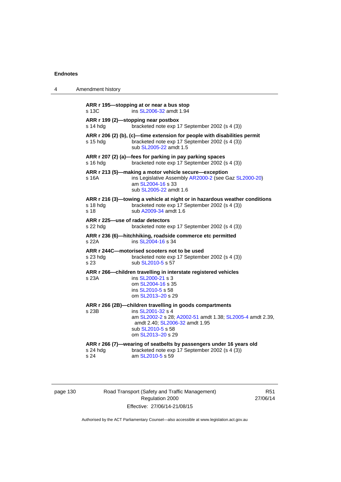| 4 | Amendment history                                                                                                                                                                                                               |
|---|---------------------------------------------------------------------------------------------------------------------------------------------------------------------------------------------------------------------------------|
|   | ARR r 195-stopping at or near a bus stop<br>s 13C<br>ins SL2006-32 amdt 1.94                                                                                                                                                    |
|   | ARR r 199 (2)-stopping near postbox<br>s 14 hdg<br>bracketed note exp 17 September 2002 (s 4 (3))                                                                                                                               |
|   | ARR r 206 (2) (b), (c)—time extension for people with disabilities permit<br>bracketed note exp 17 September 2002 (s 4 (3))<br>s 15 hdq<br>sub SL2005-22 amdt 1.5                                                               |
|   | ARR r 207 (2) (a)—fees for parking in pay parking spaces<br>s 16 hdg<br>bracketed note exp 17 September 2002 (s 4 (3))                                                                                                          |
|   | ARR r 213 (5)—making a motor vehicle secure—exception<br>ins Legislative Assembly AR2000-2 (see Gaz SL2000-20)<br>s 16A<br>am SL2004-16 s 33<br>sub SL2005-22 amdt 1.6                                                          |
|   | ARR r 216 (3)—towing a vehicle at night or in hazardous weather conditions<br>s 18 hdg<br>bracketed note exp 17 September 2002 (s 4 (3))<br>s 18<br>sub A2009-34 amdt 1.6                                                       |
|   | ARR r 225-use of radar detectors<br>s 22 hdg<br>bracketed note exp 17 September 2002 (s 4 (3))                                                                                                                                  |
|   | ARR r 236 (6)-hitchhiking, roadside commerce etc permitted<br>s 22A<br>ins SL2004-16 s 34                                                                                                                                       |
|   | ARR r 244C-motorised scooters not to be used<br>s 23 hdg<br>bracketed note exp 17 September 2002 (s 4 (3))<br>s 23<br>sub SL2010-5 s 57                                                                                         |
|   | ARR r 266-children travelling in interstate registered vehicles<br>ins SL2000-21 s 3<br>s 23A<br>om SL2004-16 s 35<br>ins SL2010-5 s 58<br>om SL2013-20 s 29                                                                    |
|   | ARR r 266 (2B)-children travelling in goods compartments<br>s 23B<br>ins SL2001-32 s 4<br>am SL2002-2 s 28; A2002-51 amdt 1.38; SL2005-4 amdt 2.39,<br>amdt 2.40; SL2006-32 amdt 1.95<br>sub SL2010-5 s 58<br>om SL2013-20 s 29 |
|   | ARR r 266 (7)-wearing of seatbelts by passengers under 16 years old<br>s 24 hdg<br>bracketed note exp 17 September 2002 (s 4 (3))<br>s 24<br>am SL2010-5 s 59                                                                   |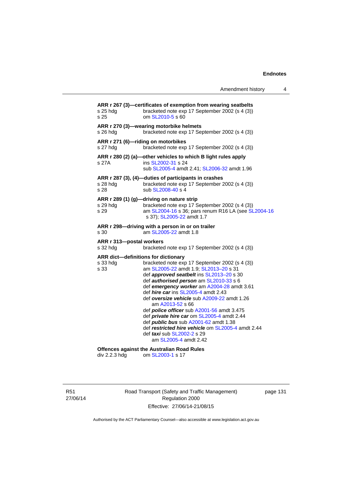|                                                                                        | Amendment history                                                                                                                                                                                                                                                                                                                                                                                                                                                                                                                                                                                                  | 4 |
|----------------------------------------------------------------------------------------|--------------------------------------------------------------------------------------------------------------------------------------------------------------------------------------------------------------------------------------------------------------------------------------------------------------------------------------------------------------------------------------------------------------------------------------------------------------------------------------------------------------------------------------------------------------------------------------------------------------------|---|
| s 25 hdg<br>s 25                                                                       | ARR r 267 (3)-certificates of exemption from wearing seatbelts<br>bracketed note exp 17 September 2002 (s 4 (3))<br>om SL2010-5 s 60                                                                                                                                                                                                                                                                                                                                                                                                                                                                               |   |
| s 26 hda                                                                               | ARR r 270 (3)—wearing motorbike helmets<br>bracketed note exp 17 September 2002 (s 4 (3))                                                                                                                                                                                                                                                                                                                                                                                                                                                                                                                          |   |
| ARR r 271 (6)-riding on motorbikes<br>s 27 hdg                                         | bracketed note exp 17 September 2002 (s 4 (3))                                                                                                                                                                                                                                                                                                                                                                                                                                                                                                                                                                     |   |
| s 27A                                                                                  | ARR r 280 (2) (a)—other vehicles to which B light rules apply<br>ins SL2002-31 s 24<br>sub SL2005-4 amdt 2.41; SL2006-32 amdt 1.96                                                                                                                                                                                                                                                                                                                                                                                                                                                                                 |   |
| s 28 hda<br>s 28                                                                       | ARR r 287 (3), (4)-duties of participants in crashes<br>bracketed note exp 17 September 2002 (s 4 (3))<br>sub SL2008-40 s 4                                                                                                                                                                                                                                                                                                                                                                                                                                                                                        |   |
| s 29 hdg<br>s 29                                                                       | ARR r 289 (1) (g)-driving on nature strip<br>bracketed note exp 17 September 2002 (s 4 (3))<br>am SL2004-16 s 36; pars renum R16 LA (see SL2004-16<br>s 37); SL2005-22 amdt 1.7                                                                                                                                                                                                                                                                                                                                                                                                                                    |   |
| s 30                                                                                   | ARR r 298-driving with a person in or on trailer<br>am SL2005-22 amdt 1.8                                                                                                                                                                                                                                                                                                                                                                                                                                                                                                                                          |   |
| ARR r 313-postal workers<br>s 32 hdg                                                   | bracketed note exp 17 September 2002 (s 4 (3))                                                                                                                                                                                                                                                                                                                                                                                                                                                                                                                                                                     |   |
| ARR dict-definitions for dictionary<br>s 33 hdg<br>s 33                                | bracketed note exp 17 September 2002 (s 4 (3))<br>am SL2005-22 amdt 1.9; SL2013-20 s 31<br>def approved seatbelt ins SL2013-20 s 30<br>def authorised person am SL2010-33 s 6<br>def emergency worker am A2004-28 amdt 3.61<br>def <i>hire car</i> ins SL2005-4 amdt 2.43<br>def oversize vehicle sub A2009-22 amdt 1.26<br>am A2013-52 s 66<br>def <i>police officer</i> sub A2001-56 amdt 3.475<br>def private hire car om SL2005-4 amdt 2.44<br>def <i>public bus</i> sub A2001-62 amdt 1.38<br>def restricted hire vehicle om SL2005-4 amdt 2.44<br>def <i>taxi</i> sub SL2002-2 s 29<br>am SL2005-4 amdt 2.42 |   |
| <b>Offences against the Australian Road Rules</b><br>div 2.2.3 hdg<br>om SL2003-1 s 17 |                                                                                                                                                                                                                                                                                                                                                                                                                                                                                                                                                                                                                    |   |

R51 27/06/14 Road Transport (Safety and Traffic Management) Regulation 2000 Effective: 27/06/14-21/08/15

page 131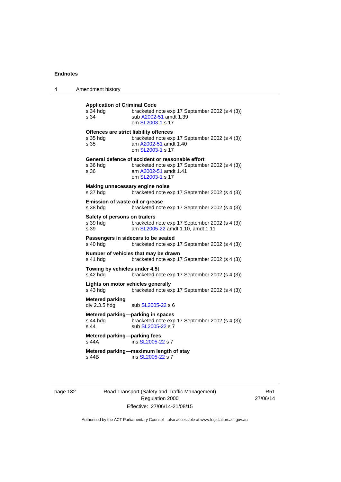| Amendment history                                          |                                                                                                                                                 |
|------------------------------------------------------------|-------------------------------------------------------------------------------------------------------------------------------------------------|
| <b>Application of Criminal Code</b><br>s 34 hdg<br>s 34    | bracketed note exp 17 September 2002 (s 4 (3))<br>sub A2002-51 amdt 1.39<br>om SL2003-1 s 17                                                    |
| Offences are strict liability offences<br>s 35 hda<br>s 35 | bracketed note exp 17 September 2002 (s 4 (3))<br>am A2002-51 amdt 1.40<br>om SL2003-1 s 17                                                     |
| s 36 hdg<br>s 36                                           | General defence of accident or reasonable effort<br>bracketed note exp 17 September 2002 (s 4 (3))<br>am A2002-51 amdt 1.41<br>om SL2003-1 s 17 |
| Making unnecessary engine noise<br>s 37 hdg                | bracketed note exp 17 September 2002 (s 4 (3))                                                                                                  |
| Emission of waste oil or grease<br>s 38 hda                | bracketed note exp 17 September 2002 (s 4 (3))                                                                                                  |
| Safety of persons on trailers<br>s 39 hdg<br>s 39          | bracketed note exp 17 September 2002 (s 4 (3))<br>am SL2005-22 amdt 1.10, amdt 1.11                                                             |
| Passengers in sidecars to be seated<br>s 40 hdg            | bracketed note exp 17 September 2002 (s 4 (3))                                                                                                  |
| s 41 hdg                                                   | Number of vehicles that may be drawn<br>bracketed note exp 17 September 2002 (s 4 (3))                                                          |
| Towing by vehicles under 4.5t<br>s 42 hdg                  | bracketed note exp 17 September 2002 (s 4 (3))                                                                                                  |
| Lights on motor vehicles generally<br>s 43 hda             | bracketed note exp 17 September 2002 (s 4 (3))                                                                                                  |
| <b>Metered parking</b><br>div 2.3.5 hdg                    | sub SL2005-22 s 6                                                                                                                               |
| Metered parking-parking in spaces<br>s 44 hdg<br>s 44      | bracketed note exp 17 September 2002 (s 4 (3))<br>sub SL2005-22 s 7                                                                             |
| Metered parking-parking fees<br>s 44A                      | ins SL2005-22 s 7                                                                                                                               |
| s 44B                                                      | Metered parking-maximum length of stay<br>ins SL2005-22 s 7                                                                                     |
|                                                            |                                                                                                                                                 |

page 132 Road Transport (Safety and Traffic Management) Regulation 2000 Effective: 27/06/14-21/08/15

R51 27/06/14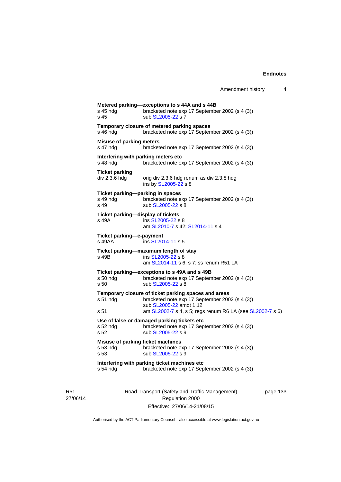| s 45 hdg<br>s 45                                                 | bracketed note exp 17 September 2002 (s 4 (3))<br>sub SL2005-22 s 7                                                               |
|------------------------------------------------------------------|-----------------------------------------------------------------------------------------------------------------------------------|
| s 46 hda                                                         | Temporary closure of metered parking spaces<br>bracketed note exp 17 September 2002 (s 4 (3))                                     |
| Misuse of parking meters<br>s 47 hdg                             | bracketed note exp 17 September 2002 (s 4 (3))                                                                                    |
| Interfering with parking meters etc<br>s 48 hdg                  | bracketed note exp 17 September 2002 (s 4 (3))                                                                                    |
| <b>Ticket parking</b><br>div 2.3.6 hdg                           | orig div 2.3.6 hdg renum as div 2.3.8 hdg<br>ins by SL2005-22 s 8                                                                 |
| Ticket parking-parking in spaces<br>s 49 hda<br>s 49             | bracketed note exp 17 September 2002 (s 4 (3))<br>sub SL2005-22 s 8                                                               |
| Ticket parking—display of tickets<br>s 49A                       | ins SL2005-22 s 8<br>am SL2010-7 s 42; SL2014-11 s 4                                                                              |
| Ticket parking-e-payment<br>s 49AA                               | ins SL2014-11 s 5                                                                                                                 |
| s 49B                                                            | Ticket parking-maximum length of stay<br>ins SL2005-22 s 8<br>am SL2014-11 s 6, s 7; ss renum R51 LA                              |
| s 50 hda<br>s <sub>50</sub>                                      | Ticket parking-exceptions to s 49A and s 49B<br>bracketed note exp 17 September 2002 (s 4 (3))<br>sub SL2005-22 s 8               |
| $s51$ hdg                                                        | Temporary closure of ticket parking spaces and areas<br>bracketed note exp 17 September 2002 (s 4 (3))<br>sub SL2005-22 amdt 1.12 |
| s 51                                                             | am SL2002-7 s 4, s 5; regs renum R6 LA (see SL2002-7 s 6)                                                                         |
| s 52 hda<br>s 52                                                 | Use of false or damaged parking tickets etc<br>bracketed note exp 17 September 2002 (s 4 (3))<br>sub SL2005-22 s 9                |
| Misuse of parking ticket machines<br>s 53 hdg<br>s <sub>53</sub> | bracketed note exp 17 September 2002 (s 4 (3))<br>sub SL2005-22 s 9                                                               |
| s 54 hdg                                                         | Interfering with parking ticket machines etc<br>bracketed note exp 17 September 2002 (s 4 (3))                                    |

R51 27/06/14 Road Transport (Safety and Traffic Management) Regulation 2000 Effective: 27/06/14-21/08/15

page 133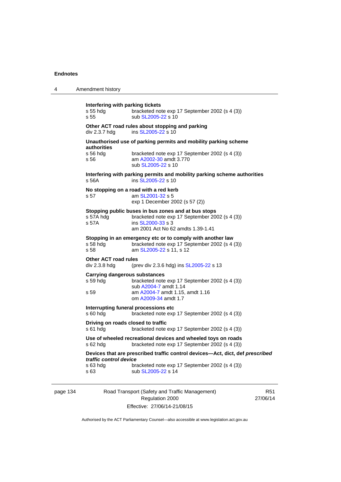| 4 | Amendment history                                    |                                                                                                                                                                 |
|---|------------------------------------------------------|-----------------------------------------------------------------------------------------------------------------------------------------------------------------|
|   | Interfering with parking tickets<br>s 55 hdg<br>s 55 | bracketed note exp 17 September 2002 (s 4 (3))<br>sub SL2005-22 s 10                                                                                            |
|   | div 2.3.7 hdg                                        | Other ACT road rules about stopping and parking<br>ins SL2005-22 s 10                                                                                           |
|   |                                                      | Unauthorised use of parking permits and mobility parking scheme                                                                                                 |
|   | authorities<br>$s$ 56 hdg<br>s 56                    | bracketed note exp 17 September 2002 (s 4 (3))<br>am A2002-30 amdt 3.770<br>sub SL2005-22 s 10                                                                  |
|   | s 56A                                                | Interfering with parking permits and mobility parking scheme authorities<br>ins SL2005-22 s 10                                                                  |
|   | No stopping on a road with a red kerb<br>s 57        | am SL2001-32 s 5<br>exp 1 December 2002 (s 57 (2))                                                                                                              |
|   | s 57A hdg<br>s 57A                                   | Stopping public buses in bus zones and at bus stops<br>bracketed note exp 17 September 2002 (s 4 (3))<br>ins SL2000-33 s 3<br>am 2001 Act No 62 amdts 1.39-1.41 |
|   | s 58 hdg<br>s 58                                     | Stopping in an emergency etc or to comply with another law<br>bracketed note exp 17 September 2002 (s 4 (3))<br>am SL2005-22 s 11, s 12                         |
|   | <b>Other ACT road rules</b><br>div 2.3.8 hdg         | (prev div 2.3.6 hdg) ins SL2005-22 s 13                                                                                                                         |
|   | <b>Carrying dangerous substances</b><br>s 59 hdg     | bracketed note exp 17 September 2002 (s 4 (3))                                                                                                                  |
|   | s 59                                                 | sub A2004-7 amdt 1.14<br>am A2004-7 amdt 1.15, amdt 1.16<br>om A2009-34 amdt 1.7                                                                                |
|   | Interrupting funeral processions etc<br>$s60h$ dg    | bracketed note exp 17 September 2002 (s 4 (3))                                                                                                                  |
|   | Driving on roads closed to traffic<br>$s61$ hdg      | bracketed note exp 17 September 2002 (s 4 (3))                                                                                                                  |
|   | $s$ 62 hdg                                           | Use of wheeled recreational devices and wheeled toys on roads<br>bracketed note exp 17 September 2002 (s 4 (3))                                                 |
|   | traffic control device                               | Devices that are prescribed traffic control devices-Act, dict, def prescribed                                                                                   |
|   | s 63 hdg<br>s 63                                     | bracketed note exp 17 September 2002 (s 4 (3))<br>sub SL2005-22 s 14                                                                                            |
|   |                                                      |                                                                                                                                                                 |

page 134 Road Transport (Safety and Traffic Management) Regulation 2000 Effective: 27/06/14-21/08/15

R51 27/06/14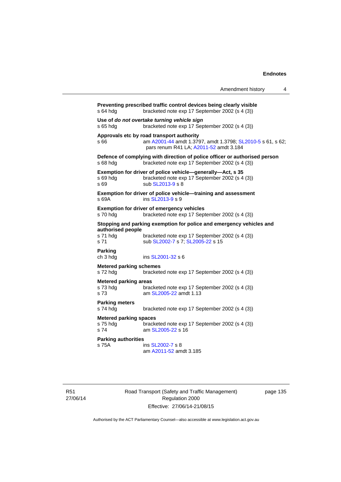|                                                   |                                                                                                                                                   | Amendment history | 4 |
|---------------------------------------------------|---------------------------------------------------------------------------------------------------------------------------------------------------|-------------------|---|
| s 64 hdg                                          | Preventing prescribed traffic control devices being clearly visible<br>bracketed note exp 17 September 2002 (s 4 (3))                             |                   |   |
| s 65 hda                                          | Use of do not overtake turning vehicle sign<br>bracketed note exp 17 September 2002 (s 4 (3))                                                     |                   |   |
| s 66                                              | Approvals etc by road transport authority<br>am A2001-44 amdt 1.3797, amdt 1.3798; SL2010-5 s 61, s 62;<br>pars renum R41 LA; A2011-52 amdt 3.184 |                   |   |
| s 68 hdg                                          | Defence of complying with direction of police officer or authorised person<br>bracketed note exp 17 September 2002 (s 4 (3))                      |                   |   |
| s 69 hda<br>s 69                                  | Exemption for driver of police vehicle-generally-Act, s 35<br>bracketed note exp 17 September 2002 (s 4 (3))<br>sub SL2013-9 s 8                  |                   |   |
| s69A                                              | Exemption for driver of police vehicle-training and assessment<br>ins SL2013-9 s 9                                                                |                   |   |
| s 70 hdg                                          | <b>Exemption for driver of emergency vehicles</b><br>bracketed note exp 17 September 2002 (s 4 (3))                                               |                   |   |
| authorised people                                 | Stopping and parking exemption for police and emergency vehicles and                                                                              |                   |   |
| s 71 hdg<br>s 71                                  | bracketed note exp 17 September 2002 (s 4 (3))<br>sub SL2002-7 s 7; SL2005-22 s 15                                                                |                   |   |
| <b>Parking</b><br>ch 3 hdg                        | ins SL2001-32 s 6                                                                                                                                 |                   |   |
| <b>Metered parking schemes</b><br>s 72 hdg        | bracketed note exp 17 September 2002 (s 4 (3))                                                                                                    |                   |   |
| <b>Metered parking areas</b><br>s 73 hdg<br>s 73  | bracketed note exp 17 September 2002 (s 4 (3))<br>am SL2005-22 amdt 1.13                                                                          |                   |   |
| <b>Parking meters</b><br>s 74 hdg                 | bracketed note exp 17 September 2002 (s 4 (3))                                                                                                    |                   |   |
| <b>Metered parking spaces</b><br>s 75 hda<br>s 74 | bracketed note exp 17 September 2002 (s 4 (3))<br>am SL2005-22 s 16                                                                               |                   |   |
| <b>Parking authorities</b><br>s 75A               | ins SL2002-7 s 8<br>am A2011-52 amdt 3.185                                                                                                        |                   |   |

R51 27/06/14 Road Transport (Safety and Traffic Management) Regulation 2000 Effective: 27/06/14-21/08/15

page 135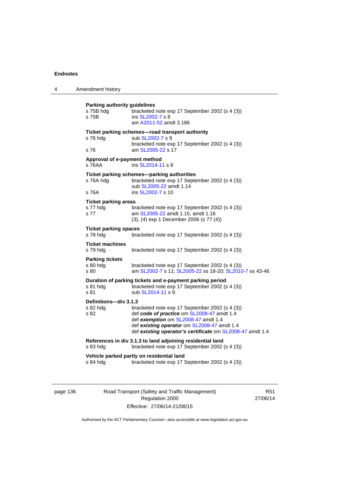| 4 | Amendment history                                         |                                                                                                                                                                                                                                                 |
|---|-----------------------------------------------------------|-------------------------------------------------------------------------------------------------------------------------------------------------------------------------------------------------------------------------------------------------|
|   | <b>Parking authority guidelines</b><br>s 75B hdg<br>s 75B | bracketed note exp 17 September 2002 (s 4 (3))<br>ins SL2002-7 s 8<br>am A2011-52 amdt 3.186                                                                                                                                                    |
|   | s 76 hdg<br>s 76                                          | Ticket parking schemes-road transport authority<br>sub SL2002-7 s 9<br>bracketed note exp 17 September 2002 (s 4 (3))<br>am SL2005-22 s 17                                                                                                      |
|   | Approval of e-payment method<br>s 76AA                    | ins SL2014-11 s 8                                                                                                                                                                                                                               |
|   | s 76A hdg<br>s 76A                                        | Ticket parking schemes-parking authorities<br>bracketed note exp 17 September 2002 (s 4 (3))<br>sub SL2005-22 amdt 1.14<br>ins SL2002-7 s 10                                                                                                    |
|   | <b>Ticket parking areas</b><br>s 77 hdg<br>s 77           | bracketed note exp 17 September 2002 (s 4 (3))<br>am SL2005-22 amdt 1.15, amdt 1.16<br>(3), (4) exp 1 December 2006 (s 77 (4))                                                                                                                  |
|   | <b>Ticket parking spaces</b><br>s 78 hdg                  | bracketed note exp 17 September 2002 (s 4 (3))                                                                                                                                                                                                  |
|   | <b>Ticket machines</b><br>s 79 hdg                        | bracketed note exp 17 September 2002 (s 4 (3))                                                                                                                                                                                                  |
|   | <b>Parking tickets</b><br>s 80 hdg<br>s 80                | bracketed note exp 17 September 2002 (s 4 (3))<br>am SL2002-7 s 11; SL2005-22 ss 18-20; SL2010-7 ss 43-46                                                                                                                                       |
|   | s 81 hdg<br>s 81                                          | Duration of parking tickets and e-payment parking period<br>bracketed note exp 17 September 2002 (s 4 (3))<br>sub SL2014-11 s 9                                                                                                                 |
|   | Definitions-div 3.1.3<br>s 82 hdg<br>s 82                 | bracketed note exp 17 September 2002 (s 4 (3))<br>def code of practice om SL2008-47 amdt 1.4<br>def exemption om SL2008-47 amdt 1.4<br>def existing operator om SL2008-47 amdt 1.4<br>def existing operator's certificate om SL2008-47 amdt 1.4 |
|   | s 83 hdg                                                  | References in div 3.1.3 to land adjoining residential land<br>bracketed note exp 17 September 2002 (s 4 (3))                                                                                                                                    |
|   | s 84 hdg                                                  | Vehicle parked partly on residential land<br>bracketed note exp 17 September 2002 (s 4 (3))                                                                                                                                                     |

page 136 Road Transport (Safety and Traffic Management) Regulation 2000 Effective: 27/06/14-21/08/15

R51 27/06/14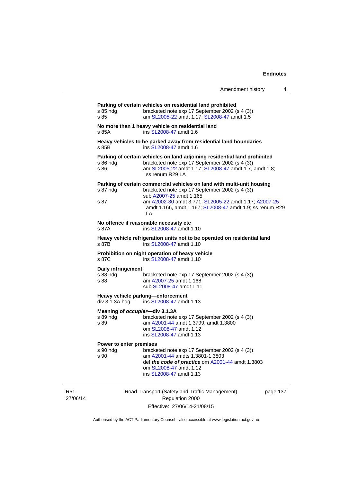| Amendment history |  |
|-------------------|--|
|-------------------|--|

| s 85                                   | am SL2005-22 amdt 1.17; SL2008-47 amdt 1.5                                                                                                                                                              |  |
|----------------------------------------|---------------------------------------------------------------------------------------------------------------------------------------------------------------------------------------------------------|--|
| s 85A                                  | No more than 1 heavy vehicle on residential land<br>ins SL2008-47 amdt 1.6                                                                                                                              |  |
| s 85B                                  | Heavy vehicles to be parked away from residential land boundaries<br>ins SL2008-47 amdt 1.6                                                                                                             |  |
| s 86 hdg<br>s 86                       | Parking of certain vehicles on land adjoining residential land prohibited<br>bracketed note exp 17 September 2002 (s 4 (3))<br>am SL2005-22 amdt 1.17; SL2008-47 amdt 1.7, amdt 1.8;<br>ss renum R29 LA |  |
| s 87 hdg                               | Parking of certain commercial vehicles on land with multi-unit housing<br>bracketed note exp 17 September 2002 (s 4 (3))<br>sub A2007-25 amdt 1.165                                                     |  |
| s 87                                   | am A2002-30 amdt 3.771; SL2005-22 amdt 1.17; A2007-25<br>amdt 1.166, amdt 1.167; SL2008-47 amdt 1.9; ss renum R29<br>LA                                                                                 |  |
| s 87A                                  | No offence if reasonable necessity etc<br>ins SL2008-47 amdt 1.10                                                                                                                                       |  |
| s 87B                                  | Heavy vehicle refrigeration units not to be operated on residential land<br>ins SL2008-47 amdt 1.10                                                                                                     |  |
| s 87C                                  | Prohibition on night operation of heavy vehicle<br>ins SL2008-47 amdt 1.10                                                                                                                              |  |
| Daily infringement<br>s 88 hda<br>s 88 | bracketed note exp 17 September 2002 (s 4 (3))<br>am A2007-25 amdt 1.168<br>sub SL2008-47 amdt 1.11                                                                                                     |  |
| div 3.1.3A hdg                         | Heavy vehicle parking-enforcement<br>ins SL2008-47 amdt 1.13                                                                                                                                            |  |
| s 89 hda<br>s 89                       | Meaning of occupier-div 3.1.3A<br>bracketed note exp 17 September 2002 (s 4 (3))<br>am A2001-44 amdt 1.3799, amdt 1.3800<br>om SL2008-47 amdt 1.12<br>ins SL2008-47 amdt 1.13                           |  |
| Power to enter premises                |                                                                                                                                                                                                         |  |
| s 90 hdg<br>s 90                       | bracketed note exp 17 September 2002 (s 4 (3))<br>am A2001-44 amdts 1.3801-1.3803<br>def the code of practice om A2001-44 amdt 1.3803<br>om SL2008-47 amdt 1.12<br>ins SL2008-47 amdt 1.13              |  |

R51 27/06/14

Road Transport (Safety and Traffic Management) Regulation 2000 Effective: 27/06/14-21/08/15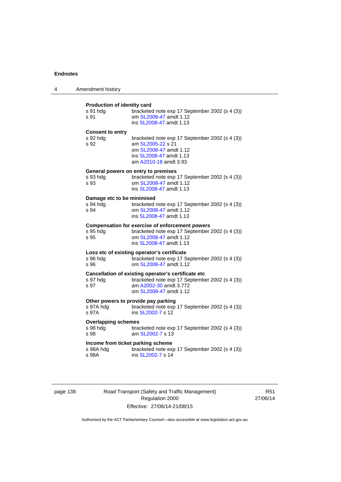| 4 | Amendment history                                         |                                                                                                                                                               |
|---|-----------------------------------------------------------|---------------------------------------------------------------------------------------------------------------------------------------------------------------|
|   | Production of identity card<br>s 91 hda<br>s 91           | bracketed note exp 17 September 2002 (s 4 (3))<br>om SL2008-47 amdt 1.12<br>ins SL2008-47 amdt 1.13                                                           |
|   | <b>Consent to entry</b><br>s 92 hdg<br>s 92               | bracketed note exp 17 September 2002 (s 4 (3))<br>am SL2005-22 s 21<br>om SL2008-47 amdt 1.12<br>ins SL2008-47 amdt 1.13<br>am A2010-18 amdt 3.93             |
|   | s 93 hdg<br>s 93                                          | General powers on entry to premises<br>bracketed note exp 17 September 2002 (s 4 (3))<br>om SL2008-47 amdt 1.12<br>ins SL2008-47 amdt 1.13                    |
|   | Damage etc to be minimised<br>s 94 hda<br>s 94            | bracketed note exp 17 September 2002 (s 4 (3))<br>om SL2008-47 amdt 1.12<br>ins SL2008-47 amdt 1.13                                                           |
|   | s 95 hdg<br>s 95                                          | <b>Compensation for exercise of enforcement powers</b><br>bracketed note exp 17 September 2002 (s 4 (3))<br>om SL2008-47 amdt 1.12<br>ins SL2008-47 amdt 1.13 |
|   | s 96 hda<br>s 96                                          | Loss etc of existing operator's certificate<br>bracketed note exp 17 September 2002 (s 4 (3))<br>om SL2008-47 amdt 1.12                                       |
|   | s 97 hdg<br>s 97                                          | Cancellation of existing operator's certificate etc<br>bracketed note exp 17 September 2002 (s 4 (3))<br>am A2002-30 amdt 3.772<br>om SL2008-47 amdt 1.12     |
|   | Other powers to provide pay parking<br>s 97A hdg<br>s 97A | bracketed note exp 17 September 2002 (s 4 (3))<br>ins SL2002-7 s 12                                                                                           |
|   | <b>Overlapping schemes</b><br>s 98 hdg<br>s 98            | bracketed note exp 17 September 2002 (s 4 (3))<br>am SL2002-7 s 13                                                                                            |
|   | Income from ticket parking scheme<br>s 98A hdg<br>s 98A   | bracketed note exp 17 September 2002 (s 4 (3))<br>ins SL2002-7 s 14                                                                                           |

page 138 Road Transport (Safety and Traffic Management) Regulation 2000 Effective: 27/06/14-21/08/15

R51 27/06/14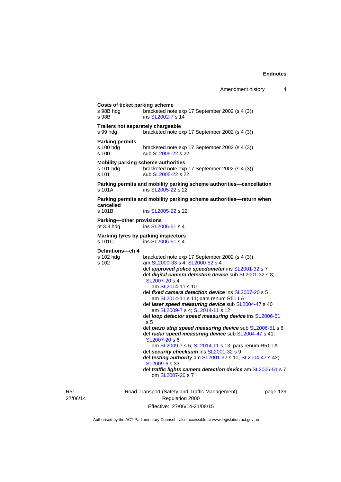|                                                                    | Costs of ticket parking scheme<br>s 98B hdg<br>s 98B | bracketed note exp 17 September 2002 (s 4 (3))<br>ins SL2002-7 s 14                                                          |
|--------------------------------------------------------------------|------------------------------------------------------|------------------------------------------------------------------------------------------------------------------------------|
|                                                                    | Trailers not separately chargeable<br>s 99 hdg       | bracketed note exp 17 September 2002 (s 4 (3))                                                                               |
|                                                                    | <b>Parking permits</b><br>s 100 hdg<br>s 100         | bracketed note exp 17 September 2002 (s 4 (3))<br>sub SL2005-22 s 22                                                         |
|                                                                    | s 101 hdg<br>$s$ 101                                 | Mobility parking scheme authorities<br>bracketed note exp 17 September 2002 (s 4 (3))<br>sub SL2005-22 s 22                  |
|                                                                    | s 101A                                               | Parking permits and mobility parking scheme authorities-cancellation<br>ins SL2005-22 s 22                                   |
|                                                                    | cancelled<br>s 101B                                  | Parking permits and mobility parking scheme authorities—return when<br>ins SL2005-22 s 22                                    |
|                                                                    | Parking-other provisions<br>pt $3.3$ hdg             | ins SL2006-51 s 4                                                                                                            |
| Marking tyres by parking inspectors<br>ins SL2006-51 s 4<br>s 101C |                                                      |                                                                                                                              |
|                                                                    | Definitions-ch 4                                     |                                                                                                                              |
|                                                                    | s 102 hdg<br>s 102                                   | bracketed note exp 17 September 2002 (s 4 (3))<br>am SL2000-33 s 4; SL2000-52 s 4                                            |
|                                                                    |                                                      | def approved police speedometer ins SL2001-32 s 7<br>def digital camera detection device sub SL2001-32 s 8;<br>SL2007-20 s 4 |
|                                                                    |                                                      | am SL2014-11 s 10<br>def fixed camera detection device ins SL2007-20 s 5<br>am SL2014-11 s 11; pars renum R51 LA             |
|                                                                    |                                                      | def laser speed measuring device sub SL2004-47 s 40<br>am SL2009-7 s 4; SL2014-11 s 12                                       |
|                                                                    |                                                      | def loop detector speed measuring device ins SL2006-51<br>s <sub>5</sub>                                                     |
|                                                                    |                                                      | def piezo strip speed measuring device sub SL2006-51 s 6                                                                     |
|                                                                    |                                                      | def radar speed measuring device sub SL2004-47 s 41;<br>SL2007-20 s 6                                                        |
|                                                                    |                                                      | am SL2009-7 s 5; SL2014-11 s 13; pars renum R51 LA<br>def security checksum ins SL2001-32 s 9                                |
|                                                                    |                                                      | def testing authority am SL2001-32 s 10; SL2004-47 s 42;                                                                     |
|                                                                    |                                                      | SL2009-6 s 33<br>def traffic lights camera detection device am SL2006-51 s 7<br>om SL 2007-20 s 7                            |
|                                                                    |                                                      |                                                                                                                              |

R51 27/06/14

Road Transport (Safety and Traffic Management) Regulation 2000 Effective: 27/06/14-21/08/15

page 139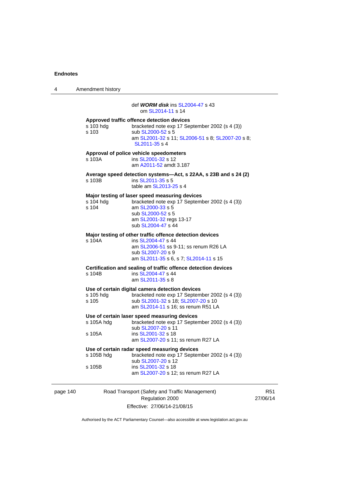4 Amendment history page 140 Road Transport (Safety and Traffic Management) Regulation 2000 R51 27/06/14 def **WORM disk** ins [SL2004-47](http://www.legislation.act.gov.au/sl/2004-47) s 43 om [SL2014-11](http://www.legislation.act.gov.au/sl/2014-11) s 14 **Approved traffic offence detection devices**  s 103 hdg bracketed note exp 17 September 2002 (s 4 (3))<br>s 103 sub SL2000-52 s 5 sub [SL2000-52](http://www.legislation.act.gov.au/sl/2000-52) s 5 am [SL2001-32](http://www.legislation.act.gov.au/sl/2001-32) s 11; [SL2006-51](http://www.legislation.act.gov.au/sl/2006-51) s 8; [SL2007-20](http://www.legislation.act.gov.au/sl/2007-20) s 8; [SL2011-35](http://www.legislation.act.gov.au/sl/2011-35) s 4 **Approval of police vehicle speedometers**  s 103A ins [SL2001-32](http://www.legislation.act.gov.au/sl/2001-32) s 12 am [A2011-52](http://www.legislation.act.gov.au/a/2011-52) amdt 3.187 **Average speed detection systems—Act, s 22AA, s 23B and s 24 (2)**  ins [SL2011-35](http://www.legislation.act.gov.au/sl/2011-35) s 5 table am [SL2013-25](http://www.legislation.act.gov.au/sl/2013-25) s 4 **Major testing of laser speed measuring devices**  s 104 hdg bracketed note exp 17 September 2002 (s 4 (3))<br>s 104 am SL2000-33 s 5 am [SL2000-33](http://www.legislation.act.gov.au/sl/2000-33) s 5 sub [SL2000-52](http://www.legislation.act.gov.au/sl/2000-52) s 5 am [SL2001-32](http://www.legislation.act.gov.au/sl/2001-32) regs 13-17 sub [SL2004-47](http://www.legislation.act.gov.au/sl/2004-47) s 44 **Major testing of other traffic offence detection devices**  s 104A **ins SL2004-47** s 44 am [SL2006-51](http://www.legislation.act.gov.au/sl/2006-51) ss 9-11; ss renum R26 LA sub [SL2007-20](http://www.legislation.act.gov.au/sl/2007-20) s 9 am [SL2011-35](http://www.legislation.act.gov.au/sl/2011-35) s 6, s 7; [SL2014-11](http://www.legislation.act.gov.au/sl/2014-11) s 15 **Certification and sealing of traffic offence detection devices**  ins [SL2004-47](http://www.legislation.act.gov.au/sl/2004-47) s 44 am [SL2011-35](http://www.legislation.act.gov.au/sl/2011-35) s 8 **Use of certain digital camera detection devices**  bracketed note exp 17 September 2002 (s 4 (3)) s 105 sub [SL2001-32](http://www.legislation.act.gov.au/sl/2001-32) s 18; [SL2007-20](http://www.legislation.act.gov.au/sl/2007-20) s 10 am [SL2014-11](http://www.legislation.act.gov.au/sl/2014-11) s 16; ss renum R51 LA **Use of certain laser speed measuring devices**  s 105A hdg bracketed note exp 17 September 2002 (s 4 (3)) sub [SL2007-20](http://www.legislation.act.gov.au/sl/2007-20) s 11 s 105A ins [SL2001-32](http://www.legislation.act.gov.au/sl/2001-32) s 18 am [SL2007-20](http://www.legislation.act.gov.au/sl/2007-20) s 11; ss renum R27 LA **Use of certain radar speed measuring devices**  s 105B hdg bracketed note exp 17 September 2002 (s 4 (3)) sub [SL2007-20](http://www.legislation.act.gov.au/sl/2007-20) s 12<br>s 105B ins SL2001-32 s 18 ins [SL2001-32](http://www.legislation.act.gov.au/sl/2001-32) s 18 am [SL2007-20](http://www.legislation.act.gov.au/sl/2007-20) s 12; ss renum R27 LA

Effective: 27/06/14-21/08/15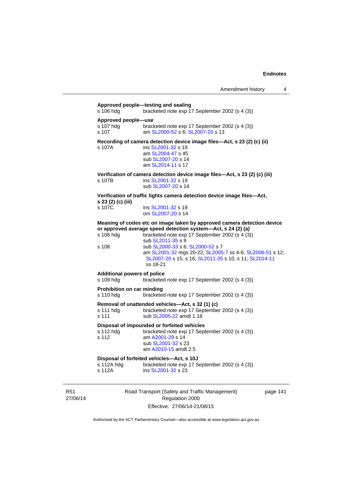| s 106 hdg                                       | Approved people-testing and sealing<br>bracketed note exp 17 September 2002 (s 4 (3))                                                                                                                          |
|-------------------------------------------------|----------------------------------------------------------------------------------------------------------------------------------------------------------------------------------------------------------------|
| Approved people-use<br>s 107 hdg<br>s 107       | bracketed note exp 17 September 2002 (s 4 (3))<br>am SL2000-52 s 6; SL2007-20 s 13                                                                                                                             |
| s 107A                                          | Recording of camera detection device image files-Act, s 23 (2) (c) (ii)<br>ins SL2001-32 s 19<br>am SL2004-47 s 45<br>sub SL2007-20 s 14<br>am SL2014-11 s 17                                                  |
| s 107B                                          | Verification of camera detection device image files-Act, s 23 (2) (c) (iii)<br>ins SL2001-32 s 19<br>sub SL2007-20 s 14                                                                                        |
| s 23 (2) (c) (iii)                              | Verification of traffic lights camera detection device image files—Act,                                                                                                                                        |
| s 107C                                          | ins SL2001-32 s 19<br>om SL2007-20 s 14                                                                                                                                                                        |
| s 108 hdg                                       | Meaning of codes etc on image taken by approved camera detection device<br>or approved average speed detection system-Act, s 24 (2) (a)<br>bracketed note exp 17 September 2002 (s 4 (3))<br>sub SL2011-35 s 9 |
| s 108                                           | sub SL2000-33 s 6; SL2000-52 s 7<br>am SL2001-32 regs 20-22; SL2005-7 ss 4-6; SL2006-51 s 12;<br>SL2007-20 s 15, s 16; SL2011-35 s 10, s 11; SL2014-11<br>ss 18-21                                             |
| <b>Additional powers of police</b><br>s 109 hdg | bracketed note exp 17 September 2002 (s 4 (3))                                                                                                                                                                 |
| Prohibition on car minding<br>s 110 hdg         | bracketed note exp 17 September 2002 (s 4 (3))                                                                                                                                                                 |
| s 111 hdg<br>s 111                              | Removal of unattended vehicles—Act, s 32 (1) (c)<br>bracketed note exp 17 September 2002 (s 4 (3))<br>sub SL2005-22 amdt 1.18                                                                                  |
| s 112 hdg<br>s 112                              | Disposal of impounded or forfeited vehicles<br>bracketed note exp 17 September 2002 (s 4 (3))<br>am A2001-29 s 14<br>sub SL2001-32 s 23<br>am A2010-15 amdt 2.5                                                |
| s 112A hdg                                      | Disposal of forfeited vehicles-Act, s 10J<br>bracketed note exp 17 September 2002 (s 4 (3))                                                                                                                    |

R51 27/06/14

Road Transport (Safety and Traffic Management) Regulation 2000 Effective: 27/06/14-21/08/15

page 141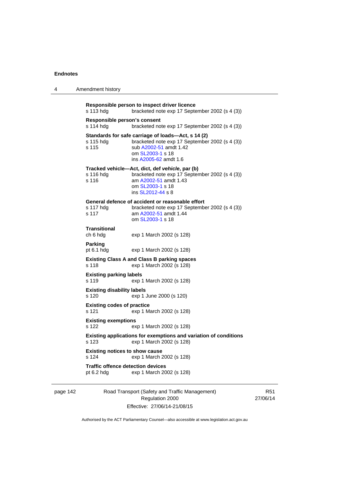4 Amendment history

| Responsible person to inspect driver licence<br>s 113 hdg<br>bracketed note exp 17 September 2002 (s 4 (3))                                                                                                                                            |                                                                                                                                                                             |  |                                                          |                          |
|--------------------------------------------------------------------------------------------------------------------------------------------------------------------------------------------------------------------------------------------------------|-----------------------------------------------------------------------------------------------------------------------------------------------------------------------------|--|----------------------------------------------------------|--------------------------|
| Responsible person's consent<br>s 114 hdg                                                                                                                                                                                                              | bracketed note exp 17 September 2002 (s 4 (3))                                                                                                                              |  |                                                          |                          |
| s 115 hdg<br>s 115                                                                                                                                                                                                                                     | Standards for safe carriage of loads-Act, s 14 (2)<br>bracketed note exp 17 September 2002 (s 4 (3))<br>sub A2002-51 amdt 1.42<br>om SL2003-1 s 18<br>ins A2005-62 amdt 1.6 |  |                                                          |                          |
| s 116 hdg<br>s 116                                                                                                                                                                                                                                     | Tracked vehicle-Act, dict, def vehicle, par (b)<br>bracketed note exp 17 September 2002 (s 4 (3))<br>am A2002-51 amdt 1.43<br>om SL2003-1 s 18<br>ins SL2012-44 s 8         |  |                                                          |                          |
| s 117 hdg<br>s 117                                                                                                                                                                                                                                     | General defence of accident or reasonable effort<br>bracketed note exp 17 September 2002 (s 4 (3))<br>am A2002-51 amdt 1.44<br>om SL2003-1 s 18                             |  |                                                          |                          |
| Transitional<br>ch 6 hdg                                                                                                                                                                                                                               | exp 1 March 2002 (s 128)                                                                                                                                                    |  |                                                          |                          |
| <b>Parking</b><br>pt 6.1 hdg                                                                                                                                                                                                                           | exp 1 March 2002 (s 128)                                                                                                                                                    |  |                                                          |                          |
| <b>Existing Class A and Class B parking spaces</b><br>exp 1 March 2002 (s 128)<br>s 118                                                                                                                                                                |                                                                                                                                                                             |  |                                                          |                          |
| <b>Existing parking labels</b><br>s 119<br>exp 1 March 2002 (s 128)<br><b>Existing disability labels</b><br>s 120<br>exp 1 June 2000 (s 120)                                                                                                           |                                                                                                                                                                             |  |                                                          |                          |
|                                                                                                                                                                                                                                                        |                                                                                                                                                                             |  | <b>Existing codes of practice</b><br>s 121               | exp 1 March 2002 (s 128) |
| <b>Existing exemptions</b><br>s 122<br>exp 1 March 2002 (s 128)<br>Existing applications for exemptions and variation of conditions<br>s 123<br>exp 1 March 2002 (s 128)<br><b>Existing notices to show cause</b><br>s 124<br>exp 1 March 2002 (s 128) |                                                                                                                                                                             |  |                                                          |                          |
|                                                                                                                                                                                                                                                        |                                                                                                                                                                             |  | <b>Traffic offence detection devices</b><br>pt $6.2$ hdg | exp 1 March 2002 (s 128) |
|                                                                                                                                                                                                                                                        |                                                                                                                                                                             |  |                                                          |                          |

page 142 Road Transport (Safety and Traffic Management) Regulation 2000 Effective: 27/06/14-21/08/15

R51 27/06/14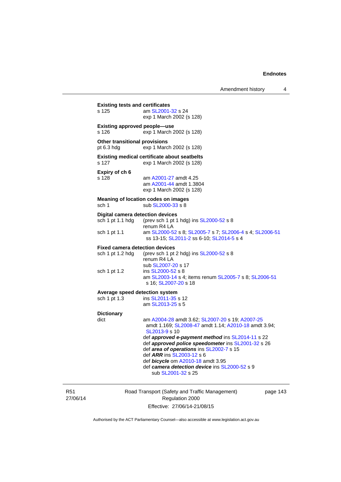| s 125                                                       | am SL2001-32 s 24<br>exp 1 March 2002 (s 128)                                                                                                                                                                                                                                                                                                                                                                                   |
|-------------------------------------------------------------|---------------------------------------------------------------------------------------------------------------------------------------------------------------------------------------------------------------------------------------------------------------------------------------------------------------------------------------------------------------------------------------------------------------------------------|
| <b>Existing approved people-use</b><br>s 126                | exp 1 March 2002 (s 128)                                                                                                                                                                                                                                                                                                                                                                                                        |
| Other transitional provisions<br>pt 6.3 hdg                 | exp 1 March 2002 (s 128)                                                                                                                                                                                                                                                                                                                                                                                                        |
| s 127                                                       | <b>Existing medical certificate about seatbelts</b><br>exp 1 March 2002 (s 128)                                                                                                                                                                                                                                                                                                                                                 |
| Expiry of ch 6<br>s 128                                     | am A2001-27 amdt 4.25<br>am A2001-44 amdt 1.3804<br>exp 1 March 2002 (s 128)                                                                                                                                                                                                                                                                                                                                                    |
| sch 1                                                       | Meaning of location codes on images<br>sub SL2000-33 s 8                                                                                                                                                                                                                                                                                                                                                                        |
| <b>Digital camera detection devices</b><br>sch 1 pt 1.1 hdg | (prev sch 1 pt 1 hdg) ins SL2000-52 s 8<br>renum R4 LA                                                                                                                                                                                                                                                                                                                                                                          |
| sch 1 pt 1.1                                                | am SL2000-52 s 8; SL2005-7 s 7; SL2006-4 s 4; SL2006-51<br>ss 13-15; SL2011-2 ss 6-10; SL2014-5 s 4                                                                                                                                                                                                                                                                                                                             |
| <b>Fixed camera detection devices</b>                       |                                                                                                                                                                                                                                                                                                                                                                                                                                 |
| sch 1 pt 1.2 hdg                                            | (prev sch 1 pt 2 hdg) ins SL2000-52 s 8<br>renum R4 LA<br>sub SL2007-20 s 17                                                                                                                                                                                                                                                                                                                                                    |
| sch 1 pt 1.2                                                | ins SL2000-52 s 8<br>am SL2003-14 s 4; items renum SL2005-7 s 8; SL2006-51<br>s 16; SL2007-20 s 18                                                                                                                                                                                                                                                                                                                              |
| Average speed detection system                              |                                                                                                                                                                                                                                                                                                                                                                                                                                 |
| sch 1 pt 1.3                                                | ins SL2011-35 s 12<br>am SL2013-25 s 5                                                                                                                                                                                                                                                                                                                                                                                          |
| <b>Dictionary</b><br>dict                                   | am A2004-28 amdt 3.62; SL2007-20 s 19; A2007-25<br>amdt 1.169; SL2008-47 amdt 1.14; A2010-18 amdt 3.94;<br>SI 2013-9 s 10<br>def approved e-payment method ins SL2014-11 s 22<br>def approved police speedometer ins SL2001-32 s 26<br>def area of operations ins SL2002-7 s 15<br>def ARR ins SL2003-12 s 6<br>def <b>bicycle</b> om A2010-18 amdt 3.95<br>def camera detection device ins SL2000-52 s 9<br>sub SL2001-32 s 25 |

R51 27/06/14

Road Transport (Safety and Traffic Management) Regulation 2000 Effective: 27/06/14-21/08/15

page 143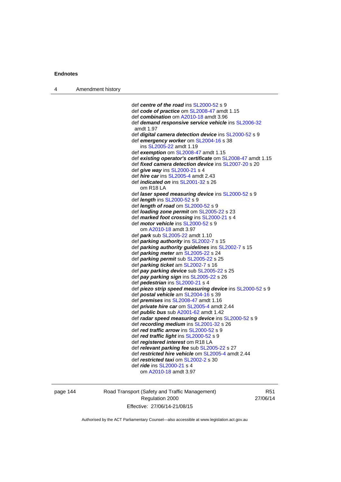| Amendment history |  |
|-------------------|--|
|-------------------|--|

 def *centre of the road* ins [SL2000-52](http://www.legislation.act.gov.au/sl/2000-52) s 9 def *code of practice* om [SL2008-47](http://www.legislation.act.gov.au/sl/2008-47) amdt 1.15 def *combination* om [A2010-18](http://www.legislation.act.gov.au/a/2010-18) amdt 3.96 def *demand responsive service vehicle* ins [SL2006-32](http://www.legislation.act.gov.au/sl/2006-32) amdt 1.97 def *digital camera detection device* ins [SL2000-52](http://www.legislation.act.gov.au/sl/2000-52) s 9 def *emergency worker* om [SL2004-16](http://www.legislation.act.gov.au/sl/2004-16) s 38 ins [SL2005-22](http://www.legislation.act.gov.au/sl/2005-22) amdt 1.19 def *exemption* om [SL2008-47](http://www.legislation.act.gov.au/sl/2008-47) amdt 1.15 def *existing operator's certificate* om [SL2008-47](http://www.legislation.act.gov.au/sl/2008-47) amdt 1.15 def *fixed camera detection device* ins [SL2007-20](http://www.legislation.act.gov.au/sl/2007-20) s 20 def *give way* ins [SL2000-21](http://www.legislation.act.gov.au/sl/2000-21) s 4 def *hire car* ins [SL2005-4](http://www.legislation.act.gov.au/sl/2005-4) amdt 2.43 def *indicated on* ins [SL2001-32](http://www.legislation.act.gov.au/sl/2001-32) s 26 om R18 LA def *laser speed measuring device* ins [SL2000-52](http://www.legislation.act.gov.au/sl/2000-52) s 9 def *length* ins [SL2000-52](http://www.legislation.act.gov.au/sl/2000-52) s 9 def *length of road* om [SL2000-52](http://www.legislation.act.gov.au/sl/2000-52) s 9 def *loading zone permit* om [SL2005-22](http://www.legislation.act.gov.au/sl/2005-22) s 23 def *marked foot crossing* ins [SL2000-21](http://www.legislation.act.gov.au/sl/2000-21) s 4 def *motor vehicle* ins [SL2000-52](http://www.legislation.act.gov.au/sl/2000-52) s 9 om [A2010-18](http://www.legislation.act.gov.au/a/2010-18) amdt 3.97 def *park* sub [SL2005-22](http://www.legislation.act.gov.au/sl/2005-22) amdt 1.10 def *parking authority* ins [SL2002-7](http://www.legislation.act.gov.au/sl/2002-7) s 15 def *parking authority guidelines* ins [SL2002-7](http://www.legislation.act.gov.au/sl/2002-7) s 15 def *parking meter* am [SL2005-22](http://www.legislation.act.gov.au/sl/2005-22) s 24 def *parking permit* sub [SL2005-22](http://www.legislation.act.gov.au/sl/2005-22) s 25 def *parking ticket* am [SL2002-7](http://www.legislation.act.gov.au/sl/2002-7) s 16 def *pay parking device* sub [SL2005-22](http://www.legislation.act.gov.au/sl/2005-22) s 25 def *pay parking sign* ins [SL2005-22](http://www.legislation.act.gov.au/sl/2005-22) s 26 def *pedestrian* ins [SL2000-21](http://www.legislation.act.gov.au/sl/2000-21) s 4 def *piezo strip speed measuring device* ins [SL2000-52](http://www.legislation.act.gov.au/sl/2000-52) s 9 def *postal vehicle* am [SL2004-16](http://www.legislation.act.gov.au/sl/2004-16) s 39 def *premises* ins [SL2008-47](http://www.legislation.act.gov.au/sl/2008-47) amdt 1.16 def *private hire car* om [SL2005-4](http://www.legislation.act.gov.au/sl/2005-4) amdt 2.44 def *public bus* sub [A2001-62](http://www.legislation.act.gov.au/a/2001-62) amdt 1.42 def *radar speed measuring device* ins [SL2000-52](http://www.legislation.act.gov.au/sl/2000-52) s 9 def *recording medium* ins [SL2001-32](http://www.legislation.act.gov.au/sl/2001-32) s 26 def *red traffic arrow* ins [SL2000-52](http://www.legislation.act.gov.au/sl/2000-52) s 9 def *red traffic light* ins [SL2000-52](http://www.legislation.act.gov.au/sl/2000-52) s 9 def *registered interest* om R18 LA def *relevant parking fee* sub [SL2005-22](http://www.legislation.act.gov.au/sl/2005-22) s 27 def *restricted hire vehicle* om [SL2005-4](http://www.legislation.act.gov.au/sl/2005-4) amdt 2.44 def *restricted taxi* om [SL2002-2](http://www.legislation.act.gov.au/sl/2002-2) s 30 def *ride* ins [SL2000-21](http://www.legislation.act.gov.au/sl/2000-21) s 4 om [A2010-18](http://www.legislation.act.gov.au/a/2010-18) amdt 3.97

page 144 Road Transport (Safety and Traffic Management) Regulation 2000 Effective: 27/06/14-21/08/15

R51 27/06/14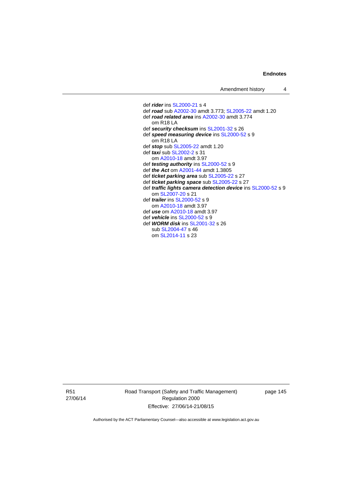def *rider* ins [SL2000-21](http://www.legislation.act.gov.au/sl/2000-21) s 4 def *road* sub [A2002-30](http://www.legislation.act.gov.au/a/2002-30) amdt 3.773; [SL2005-22](http://www.legislation.act.gov.au/sl/2005-22) amdt 1.20 def *road related area* ins [A2002-30](http://www.legislation.act.gov.au/a/2002-30) amdt 3.774 om R18 LA def *security checksum* ins [SL2001-32](http://www.legislation.act.gov.au/sl/2001-32) s 26 def *speed measuring device* ins [SL2000-52](http://www.legislation.act.gov.au/sl/2000-52) s 9 om R18 LA def *stop* sub [SL2005-22](http://www.legislation.act.gov.au/sl/2005-22) amdt 1.20 def *taxi* sub [SL2002-2](http://www.legislation.act.gov.au/sl/2002-2) s 31 om [A2010-18](http://www.legislation.act.gov.au/a/2010-18) amdt 3.97 def *testing authority* ins [SL2000-52](http://www.legislation.act.gov.au/sl/2000-52) s 9 def *the Act* om [A2001-44](http://www.legislation.act.gov.au/a/2001-44) amdt 1.3805 def *ticket parking area* sub [SL2005-22](http://www.legislation.act.gov.au/sl/2005-22) s 27 def *ticket parking space* sub [SL2005-22](http://www.legislation.act.gov.au/sl/2005-22) s 27 def *traffic lights camera detection device* ins [SL2000-52](http://www.legislation.act.gov.au/sl/2000-52) s 9 om [SL2007-20](http://www.legislation.act.gov.au/sl/2007-20) s 21 def *trailer* ins [SL2000-52](http://www.legislation.act.gov.au/sl/2000-52) s 9 om [A2010-18](http://www.legislation.act.gov.au/a/2010-18) amdt 3.97 def *use* om [A2010-18](http://www.legislation.act.gov.au/a/2010-18) amdt 3.97 def *vehicle* ins [SL2000-52](http://www.legislation.act.gov.au/sl/2000-52) s 9 def *WORM disk* ins [SL2001-32](http://www.legislation.act.gov.au/sl/2001-32) s 26 sub [SL2004-47](http://www.legislation.act.gov.au/sl/2004-47) s 46 om [SL2014-11](http://www.legislation.act.gov.au/sl/2014-11) s 23

R51 27/06/14 Road Transport (Safety and Traffic Management) Regulation 2000 Effective: 27/06/14-21/08/15

page 145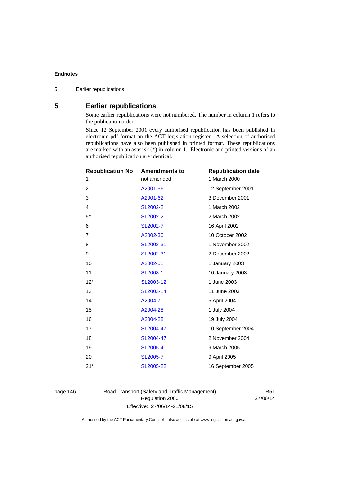# **5 Earlier republications**

Some earlier republications were not numbered. The number in column 1 refers to the publication order.

Since 12 September 2001 every authorised republication has been published in electronic pdf format on the ACT legislation register. A selection of authorised republications have also been published in printed format. These republications are marked with an asterisk (\*) in column 1. Electronic and printed versions of an authorised republication are identical.

| <b>Republication No</b> | <b>Amendments to</b> | <b>Republication date</b> |
|-------------------------|----------------------|---------------------------|
| 1                       | not amended          | 1 March 2000              |
| 2                       | A2001-56             | 12 September 2001         |
| 3                       | A2001-62             | 3 December 2001           |
| 4                       | <b>SL2002-2</b>      | 1 March 2002              |
| $5^*$                   | <b>SL2002-2</b>      | 2 March 2002              |
| 6                       | SL2002-7             | 16 April 2002             |
| 7                       | A2002-30             | 10 October 2002           |
| 8                       | SL2002-31            | 1 November 2002           |
| 9                       | SL2002-31            | 2 December 2002           |
| 10                      | A2002-51             | 1 January 2003            |
| 11                      | SL2003-1             | 10 January 2003           |
| $12*$                   | SL2003-12            | 1 June 2003               |
| 13                      | SL2003-14            | 11 June 2003              |
| 14                      | A2004-7              | 5 April 2004              |
| 15                      | A2004-28             | 1 July 2004               |
| 16                      | A2004-28             | 19 July 2004              |
| 17                      | SL2004-47            | 10 September 2004         |
| 18                      | SL2004-47            | 2 November 2004           |
| 19                      | <b>SL2005-4</b>      | 9 March 2005              |
| 20                      | <b>SL2005-7</b>      | 9 April 2005              |
| $21*$                   | SL2005-22            | 16 September 2005         |
|                         |                      |                           |

page 146 Road Transport (Safety and Traffic Management) Regulation 2000 Effective: 27/06/14-21/08/15

R51 27/06/14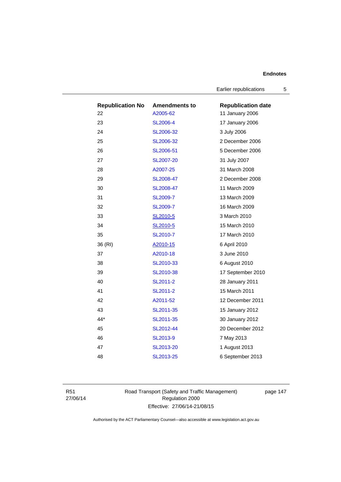Earlier republications 5

| <b>Republication No</b> | <b>Amendments to</b> | <b>Republication date</b> |
|-------------------------|----------------------|---------------------------|
| 22                      | A2005-62             | 11 January 2006           |
| 23                      | <b>SL2006-4</b>      | 17 January 2006           |
| 24                      | SL2006-32            | 3 July 2006               |
| 25                      | SL2006-32            | 2 December 2006           |
| 26                      | SL2006-51            | 5 December 2006           |
| 27                      | SL2007-20            | 31 July 2007              |
| 28                      | A2007-25             | 31 March 2008             |
| 29                      | SL2008-47            | 2 December 2008           |
| 30                      | SL2008-47            | 11 March 2009             |
| 31                      | <b>SL2009-7</b>      | 13 March 2009             |
| 32                      | <b>SL2009-7</b>      | 16 March 2009             |
| 33                      | SL2010-5             | 3 March 2010              |
| 34                      | SL2010-5             | 15 March 2010             |
| 35                      | SL2010-7             | 17 March 2010             |
| 36 (RI)                 | A2010-15             | 6 April 2010              |
| 37                      | A2010-18             | 3 June 2010               |
| 38                      | SL2010-33            | 6 August 2010             |
| 39                      | SL2010-38            | 17 September 2010         |
| 40                      | SL2011-2             | 28 January 2011           |
| 41                      | SL2011-2             | 15 March 2011             |
| 42                      | A2011-52             | 12 December 2011          |
| 43                      | SL2011-35            | 15 January 2012           |
| $44*$                   | SL2011-35            | 30 January 2012           |
| 45                      | SL2012-44            | 20 December 2012          |
| 46                      | SL2013-9             | 7 May 2013                |
| 47                      | SL2013-20            | 1 August 2013             |
| 48                      | SL2013-25            | 6 September 2013          |

R51 27/06/14 Road Transport (Safety and Traffic Management) Regulation 2000 Effective: 27/06/14-21/08/15

page 147